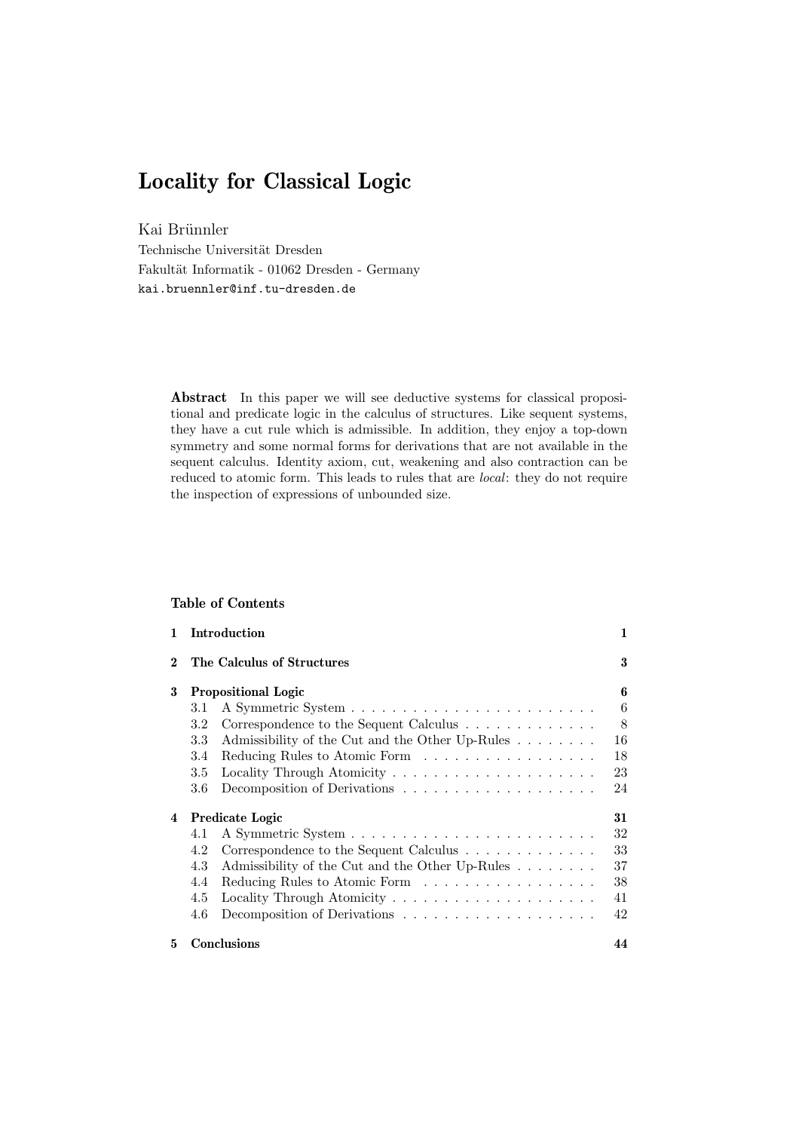# **Locality for Classical Logic**

Kai Brünnler

Technische Universität Dresden Fakultät Informatik - 01062 Dresden - Germany kai.bruennler@inf.tu-dresden.de

> **Abstract** In this paper we will see deductive systems for classical propositional and predicate logic in the calculus of structures. Like sequent systems, they have a cut rule which is admissible. In addition, they enjoy a top-down symmetry and some normal forms for derivations that are not available in the sequent calculus. Identity axiom, cut, weakening and also contraction can be reduced to atomic form. This leads to rules that are *local*: they do not require the inspection of expressions of unbounded size.

#### **Table of Contents**

| 1        |         | Introduction                                    | 1  |
|----------|---------|-------------------------------------------------|----|
| $\bf{2}$ |         | The Calculus of Structures                      | 3  |
| 3        |         | <b>Propositional Logic</b>                      | 6  |
|          | 3.1     |                                                 | 6  |
|          | 3.2     | Correspondence to the Sequent Calculus          | 8  |
|          | $3.3\,$ | Admissibility of the Cut and the Other Up-Rules | 16 |
|          | 3.4     | Reducing Rules to Atomic Form                   | 18 |
|          | 3.5     |                                                 | 23 |
|          | $3.6\,$ |                                                 | 24 |
| 4        |         | Predicate Logic                                 | 31 |
|          | 4.1     |                                                 | 32 |
|          | 4.2     | Correspondence to the Sequent Calculus          | 33 |
|          | 4.3     | Admissibility of the Cut and the Other Up-Rules | 37 |
|          | 4.4     | Reducing Rules to Atomic Form                   | 38 |
|          | 4.5     |                                                 | 41 |
|          | 4.6     |                                                 | 42 |
| 5.       |         | <b>Conclusions</b>                              | 44 |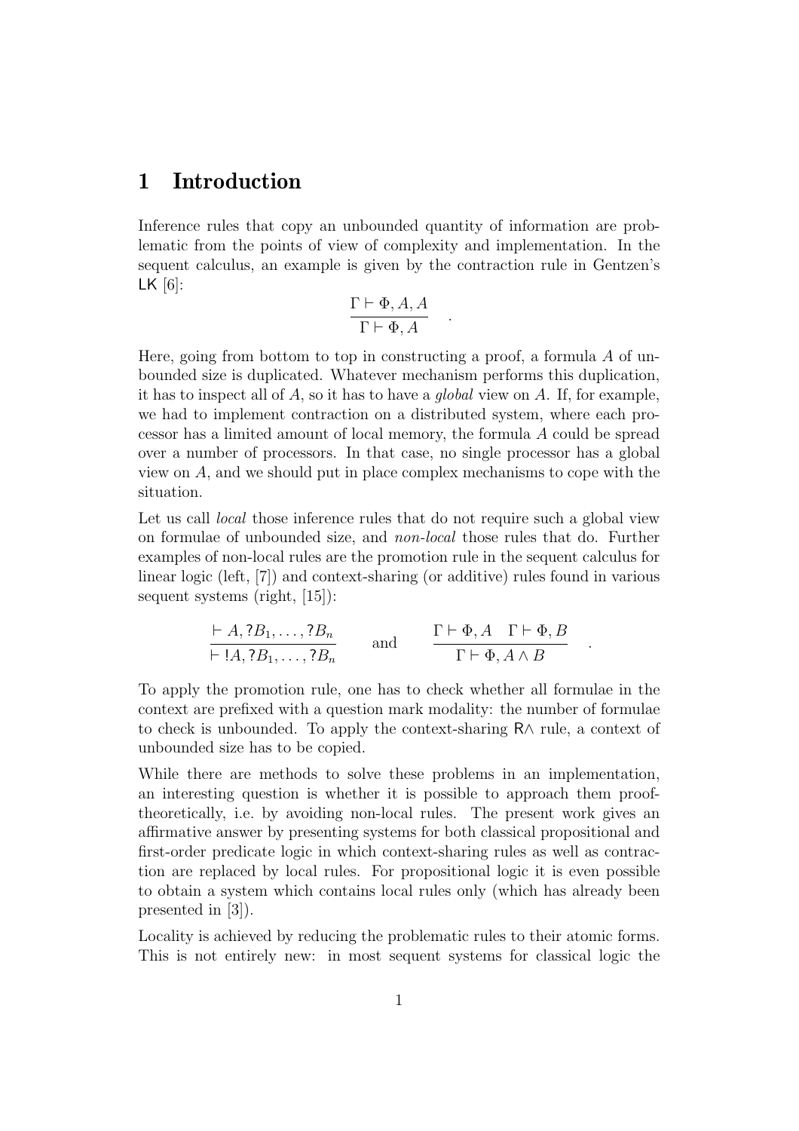# <span id="page-1-0"></span>**1 Introduction**

Inference rules that copy an unbounded quantity of information are problematic from the points of view of complexity and implementation. In the sequent calculus, an example is given by the contraction rule in Gentzen's LK  $[6]$ :

$$
\frac{\Gamma \vdash \Phi, A, A}{\Gamma \vdash \Phi, A} .
$$

Here, going from bottom to top in constructing a proof, a formula  $A$  of unbounded size is duplicated. Whatever mechanism performs this duplication, it has to inspect all of  $A$ , so it has to have a *global* view on  $A$ . If, for example, we had to implement contraction on a distributed system, where each processor has a limited amount of local memory, the formula A could be spread over a number of processors. In that case, no single processor has a global view on A, and we should put in place complex mechanisms to cope with the situation.

Let us call *local* those inference rules that do not require such a global view on formulae of unbounded size, and non-local those rules that do. Further examples of non-local rules are the promotion rule in the sequent calculus for linear logic (left, [\[7\]](#page-47-1)) and context-sharing (or additive) rules found in various sequent systems (right, [\[15\]](#page-48-0)):

$$
\frac{\vdash A, ?B_1, \ldots, ?B_n}{\vdash !A, ?B_1, \ldots, ?B_n} \quad \text{and} \quad \frac{\Gamma \vdash \Phi, A \quad \Gamma \vdash \Phi, B}{\Gamma \vdash \Phi, A \land B} \quad .
$$

To apply the promotion rule, one has to check whether all formulae in the context are prefixed with a question mark modality: the number of formulae to check is unbounded. To apply the context-sharing R∧ rule, a context of unbounded size has to be copied.

While there are methods to solve these problems in an implementation, an interesting question is whether it is possible to approach them prooftheoretically, i.e. by avoiding non-local rules. The present work gives an affirmative answer by presenting systems for both classical propositional and first-order predicate logic in which context-sharing rules as well as contraction are replaced by local rules. For propositional logic it is even possible to obtain a system which contains local rules only (which has already been presented in [\[3\]](#page-47-2)).

Locality is achieved by reducing the problematic rules to their atomic forms. This is not entirely new: in most sequent systems for classical logic the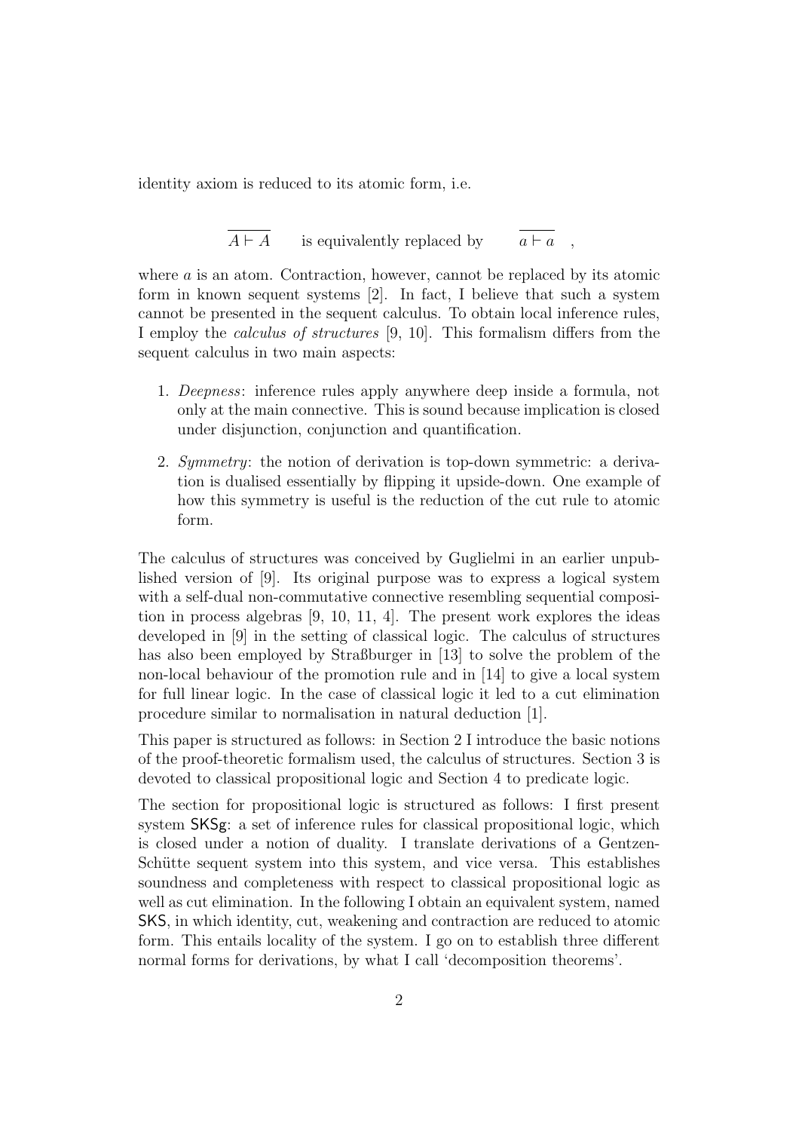identity axiom is reduced to its atomic form, i.e.

$$
\overline{A \vdash A}
$$
 is equivalently replaced by 
$$
\overline{a \vdash a}
$$
,

where a is an atom. Contraction, however, cannot be replaced by its atomic form in known sequent systems [\[2\]](#page-46-0). In fact, I believe that such a system cannot be presented in the sequent calculus. To obtain local inference rules, I employ the calculus of structures [\[9,](#page-47-3) [10\]](#page-47-4). This formalism differs from the sequent calculus in two main aspects:

- 1. Deepness: inference rules apply anywhere deep inside a formula, not only at the main connective. This is sound because implication is closed under disjunction, conjunction and quantification.
- 2. Symmetry: the notion of derivation is top-down symmetric: a derivation is dualised essentially by flipping it upside-down. One example of how this symmetry is useful is the reduction of the cut rule to atomic form.

The calculus of structures was conceived by Guglielmi in an earlier unpublished version of [\[9\]](#page-47-3). Its original purpose was to express a logical system with a self-dual non-commutative connective resembling sequential composition in process algebras [\[9,](#page-47-3) [10,](#page-47-4) [11,](#page-47-5) [4\]](#page-47-6). The present work explores the ideas developed in [\[9\]](#page-47-3) in the setting of classical logic. The calculus of structures has also been employed by Straßburger in [\[13\]](#page-47-7) to solve the problem of the non-local behaviour of the promotion rule and in [\[14\]](#page-48-1) to give a local system for full linear logic. In the case of classical logic it led to a cut elimination procedure similar to normalisation in natural deduction [\[1\]](#page-46-1).

This paper is structured as follows: in Section [2](#page-3-0) I introduce the basic notions of the proof-theoretic formalism used, the calculus of structures. Section [3](#page-6-0) is devoted to classical propositional logic and Section [4](#page-31-0) to predicate logic.

The section for propositional logic is structured as follows: I first present system SKSg: a set of inference rules for classical propositional logic, which is closed under a notion of duality. I translate derivations of a Gentzen-Schütte sequent system into this system, and vice versa. This establishes soundness and completeness with respect to classical propositional logic as well as cut elimination. In the following I obtain an equivalent system, named SKS, in which identity, cut, weakening and contraction are reduced to atomic form. This entails locality of the system. I go on to establish three different normal forms for derivations, by what I call 'decomposition theorems'.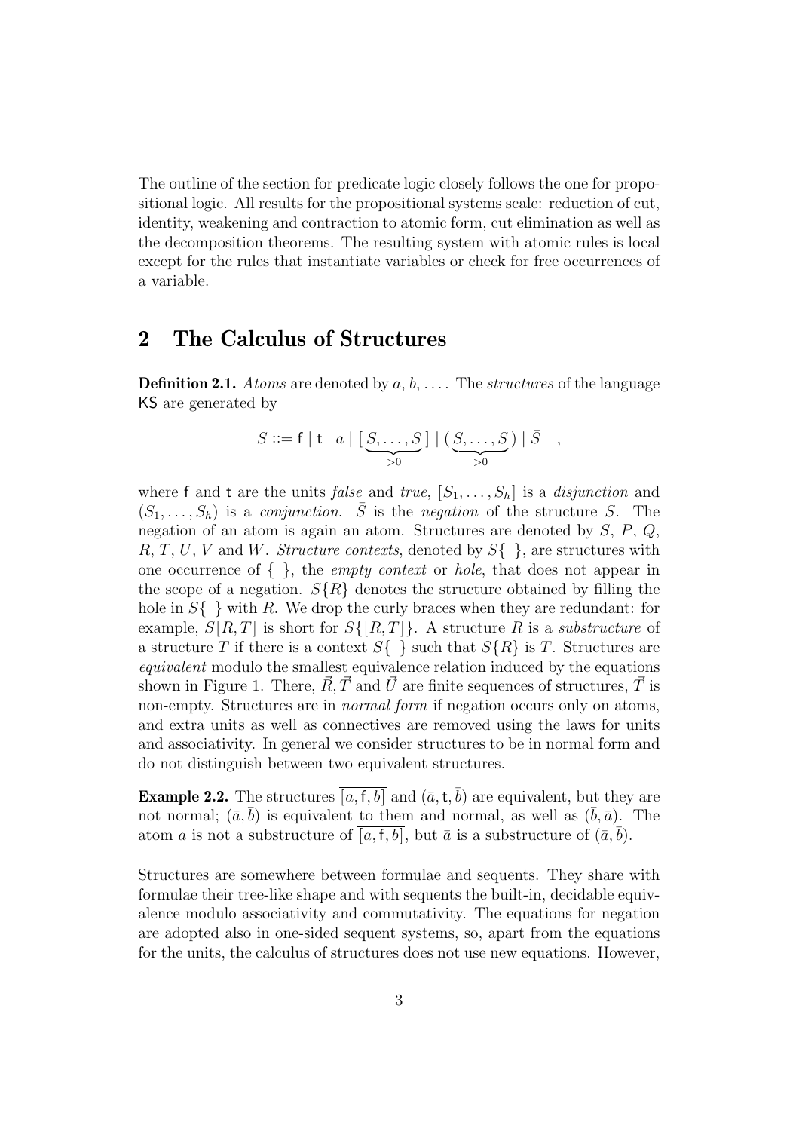The outline of the section for predicate logic closely follows the one for propositional logic. All results for the propositional systems scale: reduction of cut, identity, weakening and contraction to atomic form, cut elimination as well as the decomposition theorems. The resulting system with atomic rules is local except for the rules that instantiate variables or check for free occurrences of a variable.

## <span id="page-3-0"></span>**2 The Calculus of Structures**

**Definition 2.1.** Atoms are denoted by  $a, b, \ldots$ . The *structures* of the language KS are generated by

$$
S ::= f | t | a | \left[ \underbrace{S, \ldots, S}_{>0} \right] | \underbrace{(S, \ldots, S)}_{>0} | \overline{S} ,
$$

where f and t are the units false and true,  $[S_1, \ldots, S_h]$  is a disjunction and  $(S_1, \ldots, S_h)$  is a *conjunction.*  $\overline{S}$  is the *negation* of the structure S. The negation of an atom is again an atom. Structures are denoted by S, P, Q, R, T, U, V and W. Structure contexts, denoted by  $S\{\}\,$ , are structures with one occurrence of  $\{\}$ , the *empty context* or *hole*, that does not appear in the scope of a negation.  $S\{R\}$  denotes the structure obtained by filling the hole in  $S\{\}\$  with R. We drop the curly braces when they are redundant: for example,  $S[R,T]$  is short for  $S\{[R,T]\}$ . A structure R is a *substructure* of a structure T if there is a context  $S\{\}\$  such that  $S\{R\}$  is T. Structures are equivalent modulo the smallest equivalence relation induced by the equations shown in Figure [1.](#page-4-0) There,  $\vec{R}, \vec{T}$  and  $\vec{U}$  are finite sequences of structures,  $\vec{T}$  is non-empty. Structures are in *normal form* if negation occurs only on atoms, and extra units as well as connectives are removed using the laws for units and associativity. In general we consider structures to be in normal form and do not distinguish between two equivalent structures.

**Example 2.2.** The structures [a, f, b] and  $(\bar{a}, t, \bar{b})$  are equivalent, but they are not normal;  $(\bar{a}, \bar{b})$  is equivalent to them and normal, as well as  $(\bar{b}, \bar{a})$ . The atom a is not a substructure of [a, f, b], but  $\bar{a}$  is a substructure of  $(\bar{a}, b)$ .

Structures are somewhere between formulae and sequents. They share with formulae their tree-like shape and with sequents the built-in, decidable equivalence modulo associativity and commutativity. The equations for negation are adopted also in one-sided sequent systems, so, apart from the equations for the units, the calculus of structures does not use new equations. However,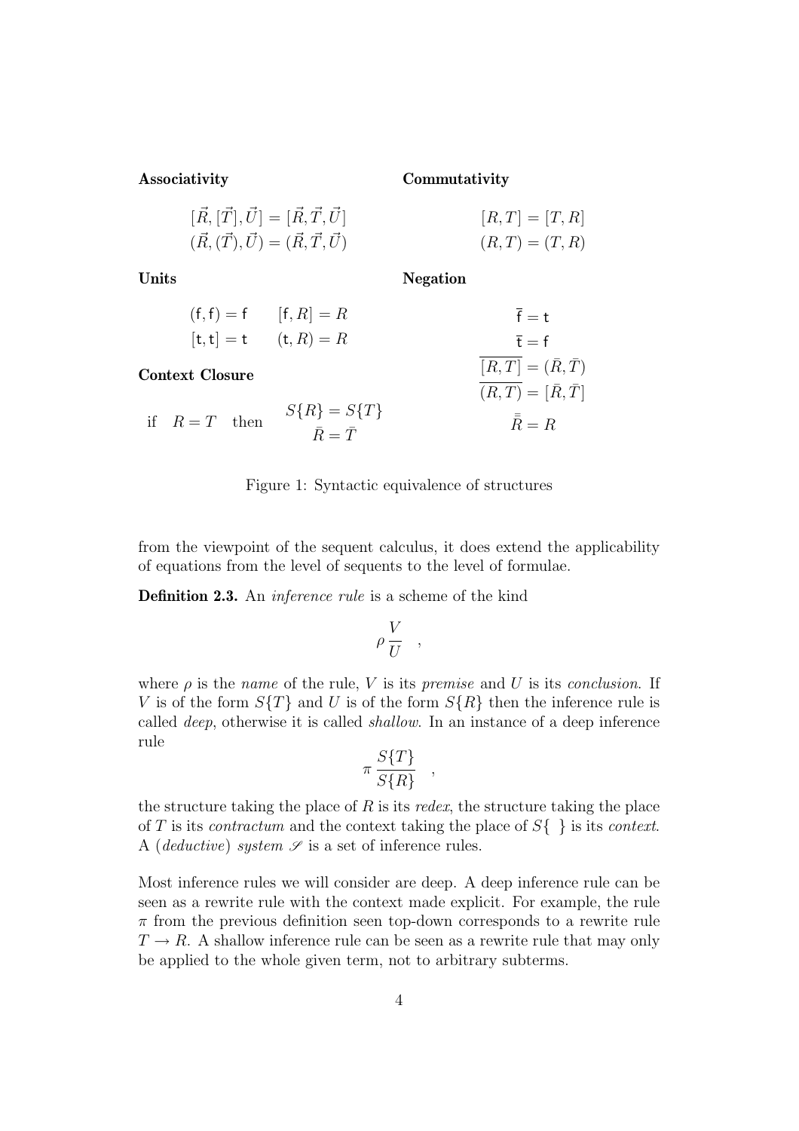**Associativity**

**Commutativity**

 $\overline{(R, T)}=[\bar R, \bar T]$ 

 $\bar{\bar{R}} = R$ 

| $[\vec{R}, [\vec{T}], \vec{U}] = [\vec{R}, \vec{T}, \vec{U}]$ | $[R, T] = [T, R]$ |
|---------------------------------------------------------------|-------------------|
| $(\vec{R}, (\vec{T}), \vec{U}) = (\vec{R}, \vec{T}, \vec{U})$ | $(R, T) = (T, R)$ |

**Units**

**Negation**

| <b>Context Closure</b> |                           | $[R,T]=(\bar{R},\bar{T})$ |
|------------------------|---------------------------|---------------------------|
|                        | $[t, t] = t$ $(t, R) = R$ | $\bar{f} = f$             |
|                        | $(f, f) = f$ $[f, R] = R$ | $\overline{f} = t$        |

if  $R = T$  then  $S\{R\} = S\{T\}$  $\bar{R} = \bar{T}$ 

<span id="page-4-0"></span>

from the viewpoint of the sequent calculus, it does extend the applicability of equations from the level of sequents to the level of formulae.

**Definition 2.3.** An *inference rule* is a scheme of the kind

$$
\rho \frac{V}{U} \quad ,
$$

where  $\rho$  is the *name* of the rule, V is its *premise* and U is its *conclusion*. If V is of the form  $S\{T\}$  and U is of the form  $S\{R\}$  then the inference rule is called deep, otherwise it is called shallow. In an instance of a deep inference rule

$$
\pi \frac{S\{T\}}{S\{R\}},
$$

the structure taking the place of  $R$  is its redex, the structure taking the place of T is its *contractum* and the context taking the place of  $S\{\}\$ is its *context*. A (*deductive*) system  $\mathscr S$  is a set of inference rules.

Most inference rules we will consider are deep. A deep inference rule can be seen as a rewrite rule with the context made explicit. For example, the rule  $\pi$  from the previous definition seen top-down corresponds to a rewrite rule  $T \rightarrow R$ . A shallow inference rule can be seen as a rewrite rule that may only be applied to the whole given term, not to arbitrary subterms.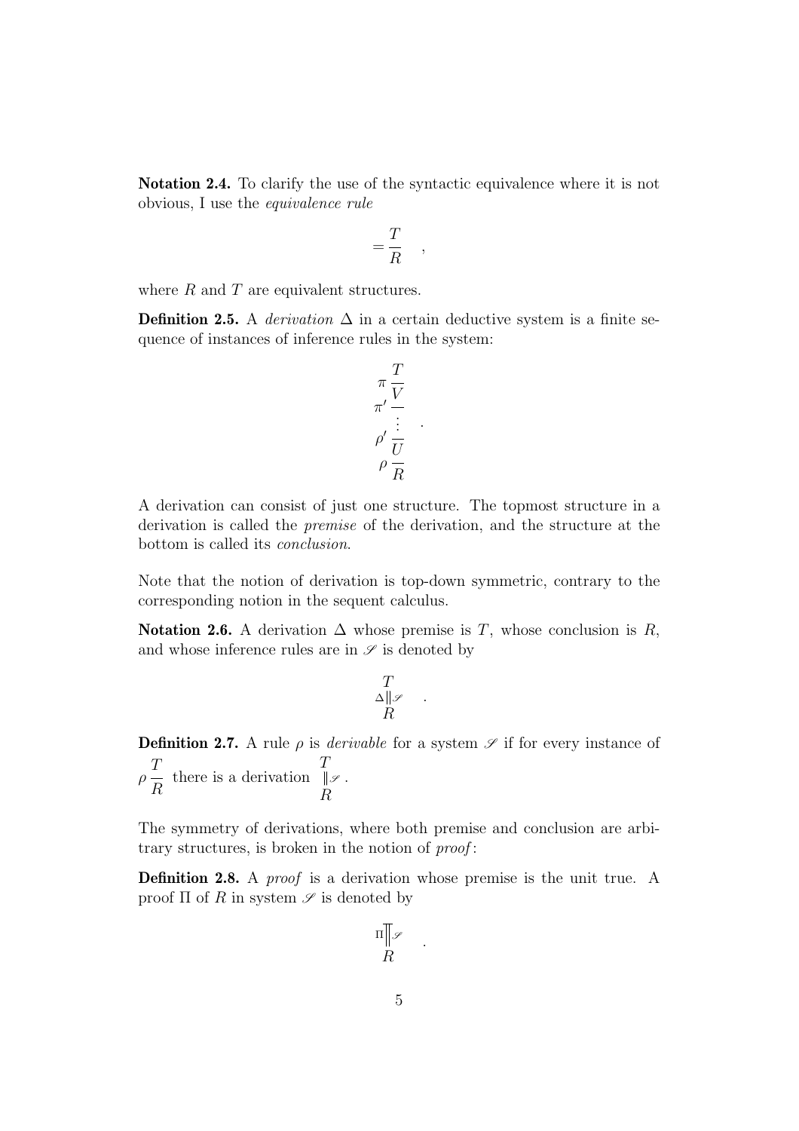**Notation 2.4.** To clarify the use of the syntactic equivalence where it is not obvious, I use the equivalence rule

$$
= \frac{T}{R} \quad ,
$$

where  $R$  and  $T$  are equivalent structures.

**Definition 2.5.** A derivation  $\Delta$  in a certain deductive system is a finite sequence of instances of inference rules in the system:

$$
\pi \frac{T}{V} \frac{V}{\vdots}
$$

$$
\rho' \frac{U}{U} \rho \frac{V}{R}
$$

.

A derivation can consist of just one structure. The topmost structure in a derivation is called the premise of the derivation, and the structure at the bottom is called its conclusion.

Note that the notion of derivation is top-down symmetric, contrary to the corresponding notion in the sequent calculus.

**Notation 2.6.** A derivation  $\Delta$  whose premise is T, whose conclusion is R, and whose inference rules are in  $\mathscr S$  is denoted by

$$
\begin{array}{c}\nT \\
\Delta \parallel \mathscr{S} \\
R\n\end{array}.
$$

**Definition 2.7.** A rule  $\rho$  is *derivable* for a system  $\mathscr S$  if for every instance of T  $\rho \frac{1}{R}$  there is a derivation T R *<sup>S</sup>* .

The symmetry of derivations, where both premise and conclusion are arbitrary structures, is broken in the notion of *proof*:

**Definition 2.8.** A *proof* is a derivation whose premise is the unit true. A proof  $\Pi$  of R in system  $\mathscr S$  is denoted by

$$
\Pi \underset{R}{\mathbb{T}}\mathscr{S}
$$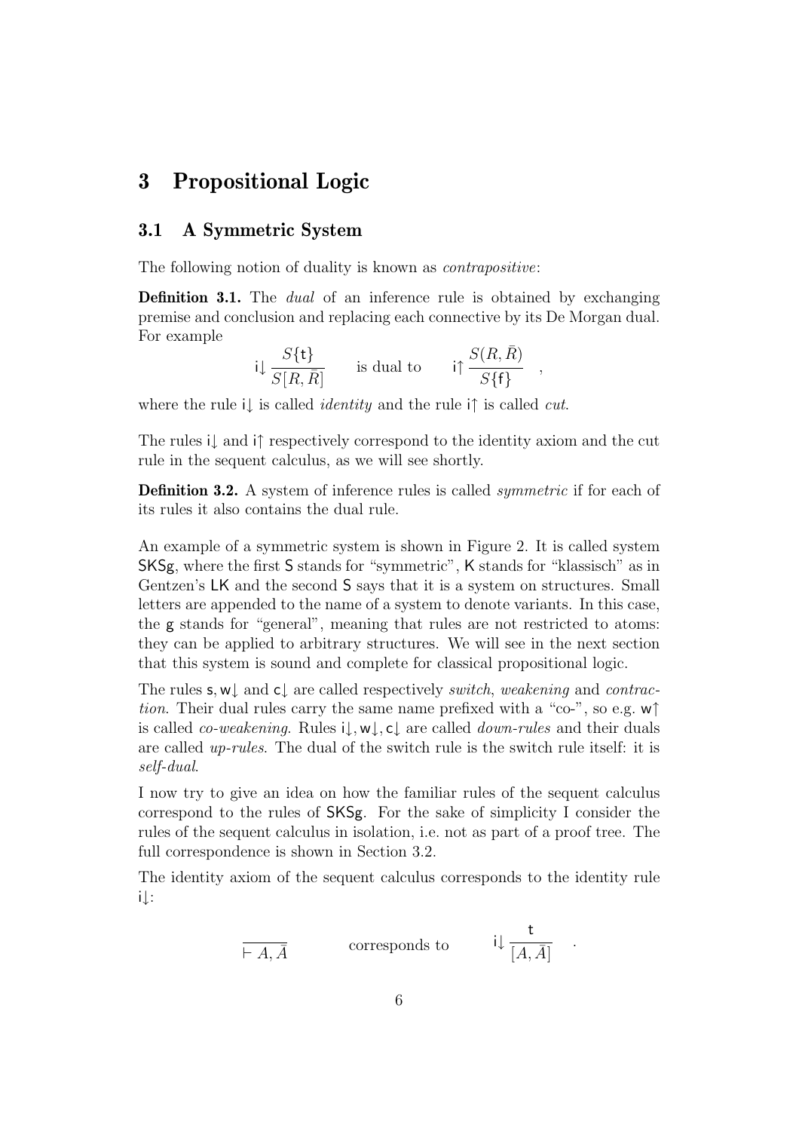## <span id="page-6-1"></span><span id="page-6-0"></span>**3 Propositional Logic**

## **3.1 A Symmetric System**

The following notion of duality is known as *contrapositive*:

**Definition 3.1.** The *dual* of an inference rule is obtained by exchanging premise and conclusion and replacing each connective by its De Morgan dual. For example

$$
i\downarrow \frac{S\{\mathbf{t}\}}{S[R,\bar{R}]}
$$
 is dual to  $i\uparrow \frac{S(R,\bar{R})}{S\{\mathbf{f}\}}$ ,

where the rule i↓ is called *identity* and the rule i $\uparrow$  is called *cut*.

The rules i↓ and i↑ respectively correspond to the identity axiom and the cut rule in the sequent calculus, as we will see shortly.

**Definition 3.2.** A system of inference rules is called *symmetric* if for each of its rules it also contains the dual rule.

An example of a symmetric system is shown in Figure [2.](#page-7-0) It is called system SKSg, where the first S stands for "symmetric", K stands for "klassisch" as in Gentzen's LK and the second S says that it is a system on structures. Small letters are appended to the name of a system to denote variants. In this case, the g stands for "general", meaning that rules are not restricted to atoms: they can be applied to arbitrary structures. We will see in the next section that this system is sound and complete for classical propositional logic.

The rules  $s, w \downarrow$  and  $c \downarrow$  are called respectively *switch*, weakening and *contrac*tion. Their dual rules carry the same name prefixed with a "co-", so e.g.  $w\uparrow$ is called *co-weakening*. Rules  $i\downarrow, w\downarrow, c\downarrow$  are called *down-rules* and their duals are called up-rules. The dual of the switch rule is the switch rule itself: it is self-dual.

I now try to give an idea on how the familiar rules of the sequent calculus correspond to the rules of SKSg. For the sake of simplicity I consider the rules of the sequent calculus in isolation, i.e. not as part of a proof tree. The full correspondence is shown in Section [3.2.](#page-8-0)

The identity axiom of the sequent calculus corresponds to the identity rule i↓:

$$
\frac{\mathsf{t}}{\vdash A, \bar{A}} \qquad \qquad \text{corresponds to} \qquad \qquad \mathsf{i} \downarrow \frac{\mathsf{t}}{[A, \bar{A}]} \quad .
$$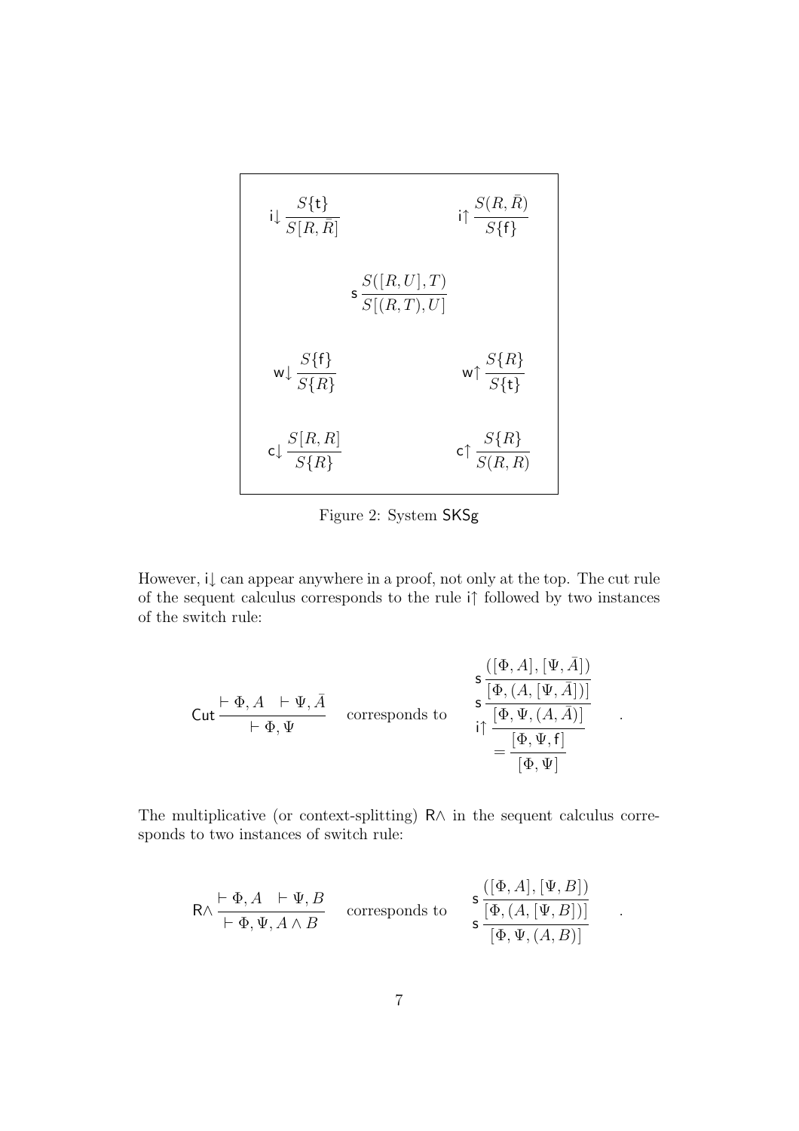

<span id="page-7-0"></span>Figure 2: System SKSg

However, i↓ can appear anywhere in a proof, not only at the top. The cut rule of the sequent calculus corresponds to the rule i↑ followed by two instances of the switch rule:

$$
\text{Cut} \frac{\vdash \Phi, A \quad \vdash \Psi, \bar{A}}{\vdash \Phi, \Psi} \quad \text{corresponds to} \quad \begin{array}{c} \mathsf{s} \frac{([\Phi, A], [\Psi, \bar{A}])}{[\Phi, (A, [\Psi, \bar{A}])]} \\ \mathsf{s} \frac{[\Phi, (A, [\Psi, \bar{A}])]}{[\Phi, \Psi, (A, \bar{A})]} \\ \vdots \\ \frac{[\Phi, \Psi, \mathsf{f}]}{[\Phi, \Psi]} \end{array}
$$

.

.

The multiplicative (or context-splitting) R∧ in the sequent calculus corresponds to two instances of switch rule:

$$
R \wedge \frac{\vdash \Phi, A \vdash \Psi, B}{\vdash \Phi, \Psi, A \wedge B} \quad \text{corresponds to} \quad s \frac{([\Phi, A], [\Psi, B])}{s \frac{[\Phi, (A, [\Psi, B])]}{[\Phi, \Psi, (A, B)]}}
$$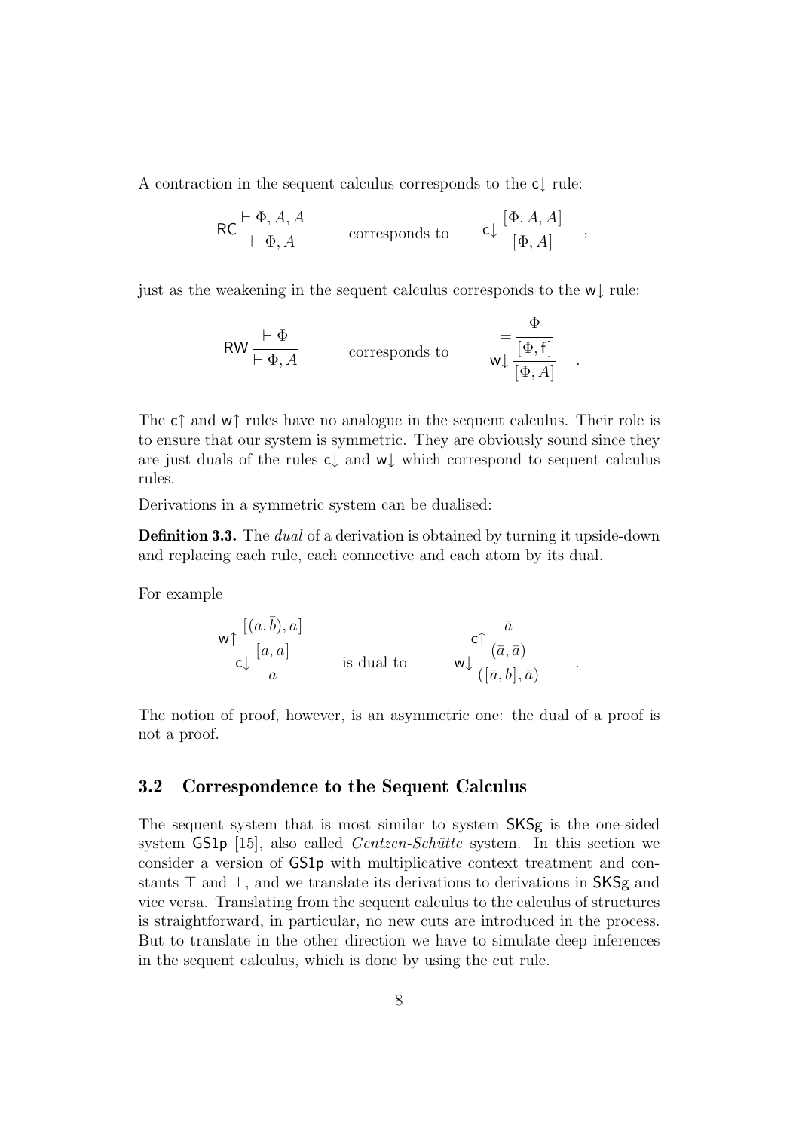A contraction in the sequent calculus corresponds to the c↓ rule:

$$
\mathsf{RC} \frac{\vdash \Phi, A, A}{\vdash \Phi, A} \qquad \text{corresponds to} \qquad \mathsf{cl} \frac{[\Phi, A, A]}{[\Phi, A]} \quad ,
$$

just as the weakening in the sequent calculus corresponds to the w↓ rule:

$$
\text{RW} \xrightarrow{\text{$\uparrow$}} \Phi
$$
\n
$$
\text{corresponds to} \qquad \text{$\text{$\uparrow$}} \xrightarrow{\text{$\Phi$}} \frac{\Phi}{[\Phi, \mathsf{f}]} \quad .
$$

The c $\uparrow$  and w $\uparrow$  rules have no analogue in the sequent calculus. Their role is to ensure that our system is symmetric. They are obviously sound since they are just duals of the rules c↓ and w↓ which correspond to sequent calculus rules.

Derivations in a symmetric system can be dualised:

**Definition 3.3.** The *dual* of a derivation is obtained by turning it upside-down and replacing each rule, each connective and each atom by its dual.

For example

$$
\mathsf{w}\uparrow \frac{[(a,\bar{b}),a]}{\mathsf{c}\downarrow \frac{[a,a]}{a}} \qquad \qquad \text{is dual to} \qquad \qquad \mathsf{w}\downarrow \frac{\bar{a}}{(\bar{a},\bar{a})}
$$

The notion of proof, however, is an asymmetric one: the dual of a proof is not a proof.

## <span id="page-8-0"></span>**3.2 Correspondence to the Sequent Calculus**

The sequent system that is most similar to system SKSg is the one-sided system GS1p [\[15\]](#page-48-0), also called *Gentzen-Schütte* system. In this section we consider a version of GS1p with multiplicative context treatment and constants  $\top$  and  $\bot$ , and we translate its derivations to derivations in SKSg and vice versa. Translating from the sequent calculus to the calculus of structures is straightforward, in particular, no new cuts are introduced in the process. But to translate in the other direction we have to simulate deep inferences in the sequent calculus, which is done by using the cut rule.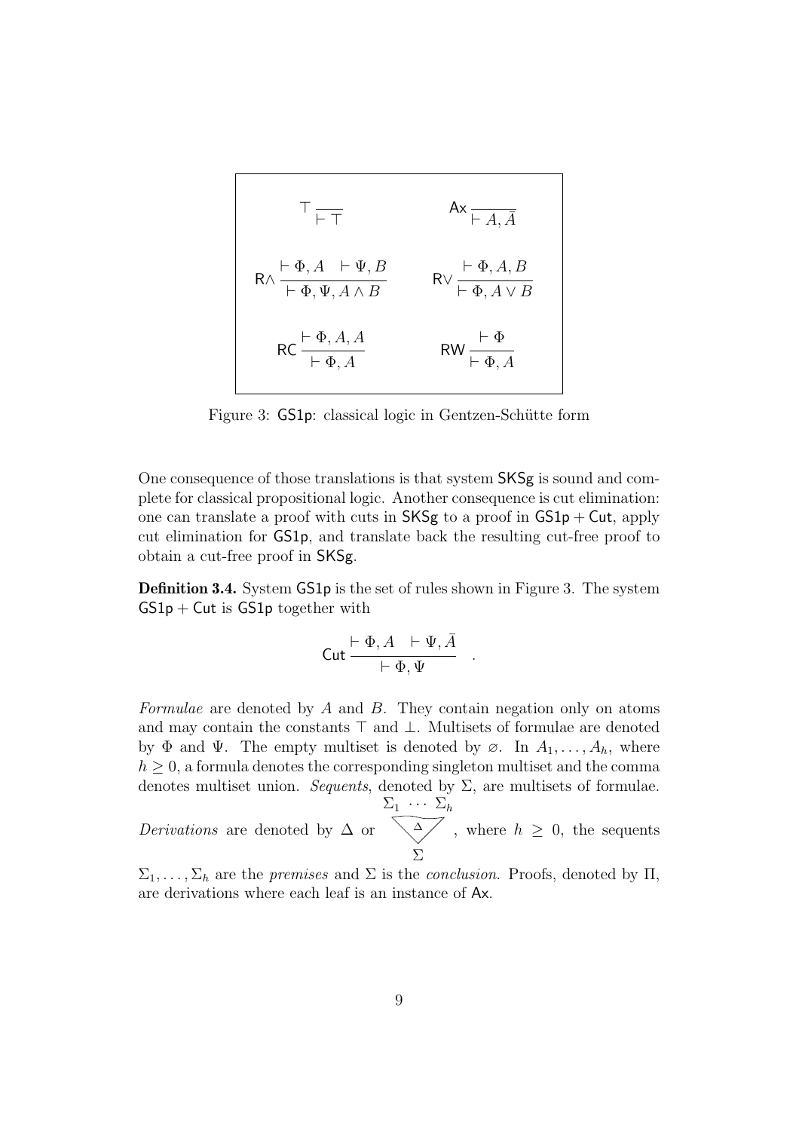$$
\begin{array}{ccc}\n\top & & A \times \overline{A} \\
\downarrow & & \downarrow A, \overline{A} \\
\downarrow & & \downarrow A, \overline{A}\n\end{array}
$$
\n
$$
\begin{array}{ccc}\n\downarrow & \Phi, A & \downarrow \Psi, B \\
\downarrow & \downarrow & \Phi, A, B \\
\downarrow & & \downarrow \Phi, A \lor B\n\end{array}
$$
\n
$$
\begin{array}{ccc}\n\downarrow & \Phi, A, B \\
\downarrow & \downarrow & \Phi, A \lor B\n\end{array}
$$
\n
$$
\begin{array}{ccc}\n\downarrow & \downarrow & \Phi \\
\downarrow & \downarrow & \Phi, A\n\end{array}
$$
\n
$$
\begin{array}{ccc}\n\downarrow & \downarrow & \Phi \\
\downarrow & \downarrow & \Phi, A\n\end{array}
$$

<span id="page-9-0"></span>Figure 3: **GS1p**: classical logic in Gentzen-Schütte form

One consequence of those translations is that system SKSg is sound and complete for classical propositional logic. Another consequence is cut elimination: one can translate a proof with cuts in  $SKSg$  to a proof in  $GSDp + Cut$ , apply cut elimination for GS1p, and translate back the resulting cut-free proof to obtain a cut-free proof in SKSg.

**Definition [3.](#page-9-0)4.** System GS1p is the set of rules shown in Figure 3. The system  $GS1p + Cut$  is  $GS1p$  together with

$$
\mathsf{Cut} \frac{\vdash \Phi, A \quad \vdash \Psi, \bar{A}}{\vdash \Phi, \Psi} \quad .
$$

Formulae are denoted by A and B. They contain negation only on atoms and may contain the constants  $\top$  and  $\bot$ . Multisets of formulae are denoted by  $\Phi$  and  $\Psi$ . The empty multiset is denoted by  $\emptyset$ . In  $A_1, \ldots, A_h$ , where  $h \geq 0$ , a formula denotes the corresponding singleton multiset and the comma denotes multiset union. Sequents, denoted by  $\Sigma$ , are multisets of formulae.  $\Sigma_1$  ···  $\Sigma_h$ 

Derivations are denoted by  $\Delta$  or ∆ Σ , where  $h \geq 0$ , the sequents

 $\Sigma_1,\ldots,\Sigma_h$  are the *premises* and  $\Sigma$  is the *conclusion*. Proofs, denoted by  $\Pi$ , are derivations where each leaf is an instance of Ax.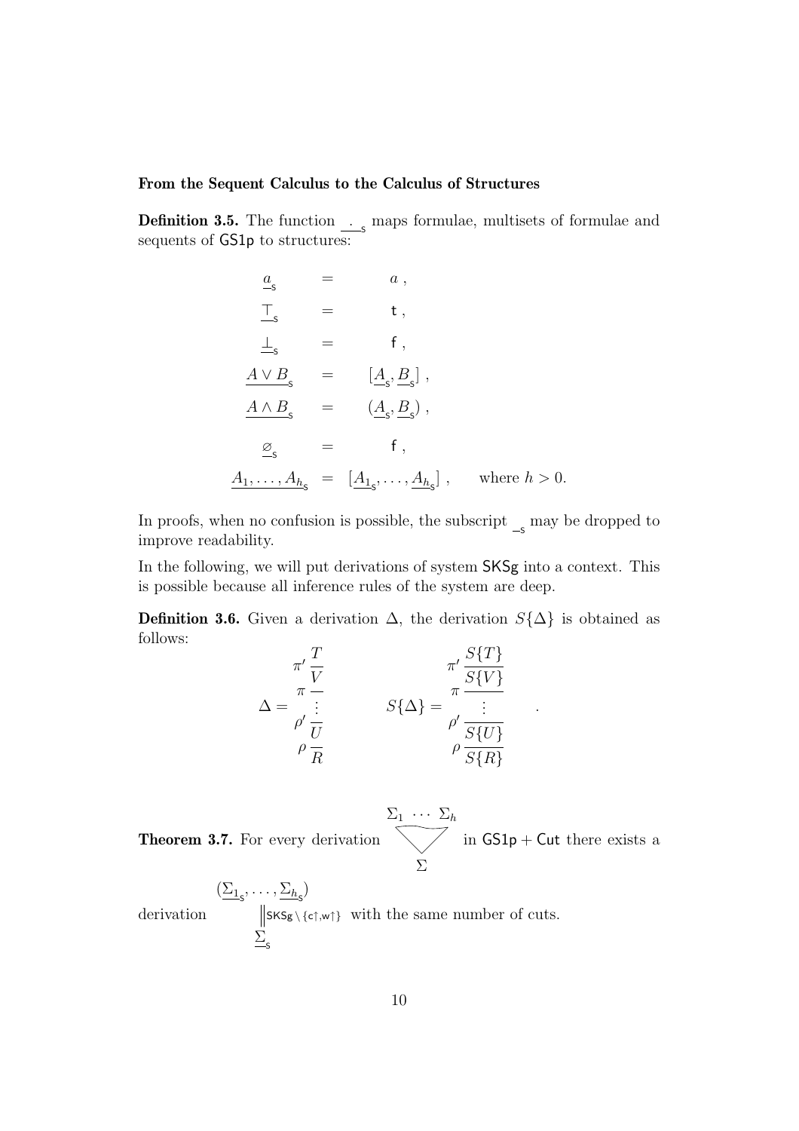#### **From the Sequent Calculus to the Calculus of Structures**

**Definition 3.5.** The function  $\frac{1}{\sqrt{2}}$  maps formulae, multisets of formulae and sequents of GS1p to structures:

$$
\begin{array}{rcl}\n\underline{a}_{s} &=& a, \\
\overline{\phantom{a}}_{s} &=& t, \\
\underline{\phantom{a}}_{s} &=& f, \\
\underline{A \vee B}_{s} &=& \underline{[A_{s}, B_{s}]}, \\
\underline{A \wedge B}_{s} &=& \underline{(A_{s}, B_{s})}, \\
\underline{\phantom{a}}_{s} &=& f, \\
\underline{A}_{1}, \ldots, \underline{A}_{h_{s}} &=& \underline{[A_{1_{s}}, \ldots, A_{h_{s}]}} \,, \quad \text{where } h > 0.\n\end{array}
$$

In proofs, when no confusion is possible, the subscript  $\frac{1}{s}$  may be dropped to improve readability.

In the following, we will put derivations of system  $SKSg$  into a context. This is possible because all inference rules of the system are deep.

**Definition 3.6.** Given a derivation  $\Delta$ , the derivation  $S\{\Delta\}$  is obtained as follows:

$$
\Delta = \frac{\pi'}{\frac{V}{V}} = \frac{\pi'}{S\{\Delta\}} = \frac{\pi'}{\frac{S\{T\}}{S\{V\}}}{\rho' \frac{V}{R}} = \frac{\pi'}{\rho'} \frac{\frac{S\{T\}}{S\{V\}}}{\rho \frac{S\{U\}}{S\{R\}}}
$$

.

<span id="page-10-0"></span>**Theorem 3.7.** For every derivation  $\Sigma_1 \cdots \Sigma_h$ Σ in  $GS1p + Cut$  there exists a

derivation  $(\underline{\Sigma_{1}}_{\mathsf{S}},\ldots,\underline{\Sigma_{h}}_{\mathsf{S}})$  $\frac{\sum_{s}}{s}$  $SKS_{g} \setminus \{c\uparrow, w\uparrow\}$  with the same number of cuts.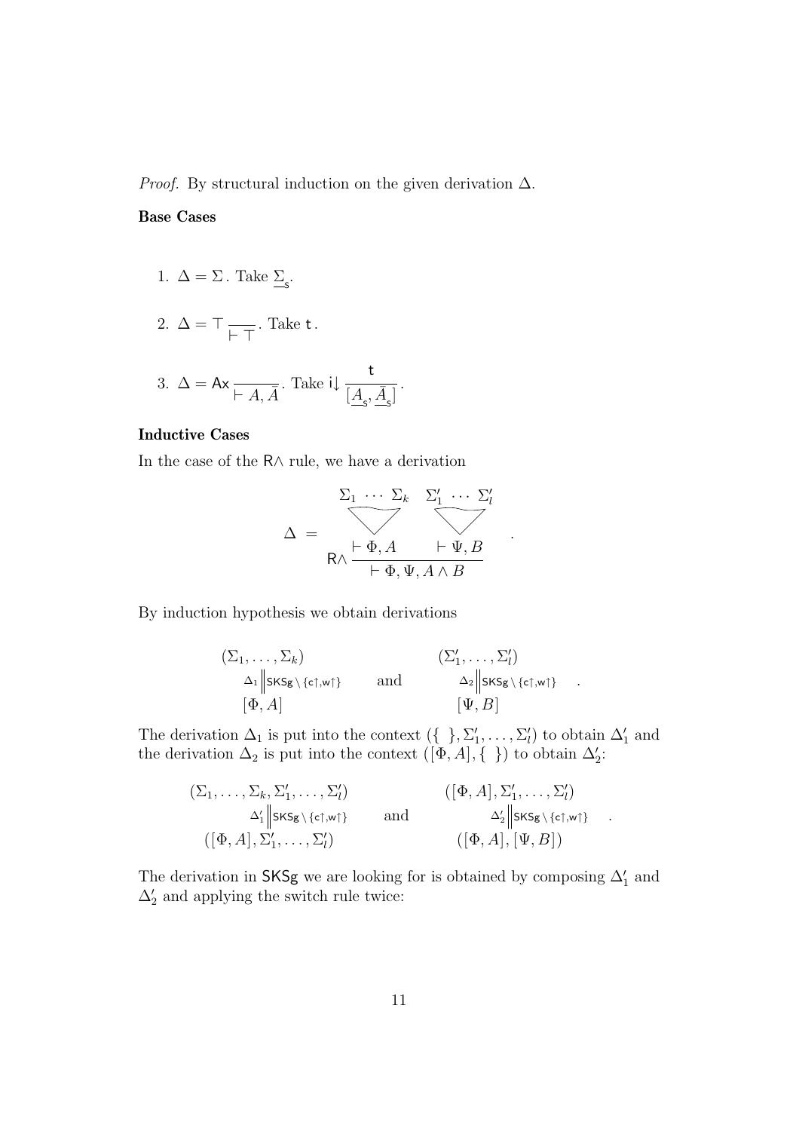*Proof.* By structural induction on the given derivation  $\Delta$ .

#### **Base Cases**

1.  $\Delta = \Sigma$ . Take  $\Sigma_s$ .

2. 
$$
\Delta = \top \frac{\ }{\vdash \top}.
$$
 Take **t**.

3. 
$$
\Delta = Ax \frac{t}{\vdash A, \bar{A}}
$$
. Take  $i \downarrow \frac{t}{\left[\underline{A}_{s}, \bar{A}_{s}\right]}$ .

## **Inductive Cases**

In the case of the R∧ rule, we have a derivation

$$
\Delta = \frac{\sum_{1} \cdots \sum_{k} \sum_{1}^{\prime} \cdots \sum_{l}^{\prime}}{\begin{array}{c}\n\text{R}\wedge \frac{\text{L}\Phi}{\text{L}\Phi}, A \quad \text{L}\Psi, B \\
\text{R}\wedge \frac{\text{L}\Phi}{\text{L}\Phi}, \Psi, A \wedge B\n\end{array}}
$$

.

By induction hypothesis we obtain derivations

$$
(\Sigma_1, \ldots, \Sigma_k) \qquad (\Sigma'_1, \ldots, \Sigma'_l) \n\Delta_1 \| \text{sks}_{\mathsf{g} \setminus \{\text{cf}, \text{wt}\}} \qquad \text{and} \qquad \Delta_2 \| \text{sks}_{\mathsf{g} \setminus \{\text{cf}, \text{wt}\}} .
$$
\n
$$
[\Phi, A] \qquad [\Psi, B]
$$

The derivation  $\Delta_1$  is put into the context  $(\{\,\,\},\,\Sigma'_1,\ldots,\,\Sigma'_l)$  to obtain  $\Delta'_1$  and the derivation  $\Delta_2$  is put into the context  $([\Phi, A], \{\})$  to obtain  $\Delta_2'$ :

$$
(\Sigma_1, \ldots, \Sigma_k, \Sigma'_1, \ldots, \Sigma'_l)
$$
\n
$$
\Delta'_1 \parallel s\kappa s \times \{\epsilon \uparrow, \mathbf{w} \uparrow\}
$$
\nand\n
$$
(\lbrack \Phi, A \rbrack, \Sigma'_1, \ldots, \Sigma'_l)
$$
\nand\n
$$
\Delta'_2 \parallel s\kappa s \times \{\epsilon \uparrow, \mathbf{w} \uparrow\}
$$
\n
$$
(\lbrack \Phi, A \rbrack, \lbrack \Psi, B \rbrack)
$$

The derivation in SKSg we are looking for is obtained by composing  $\Delta'_1$  and  $\Delta'_2$  and applying the switch rule twice: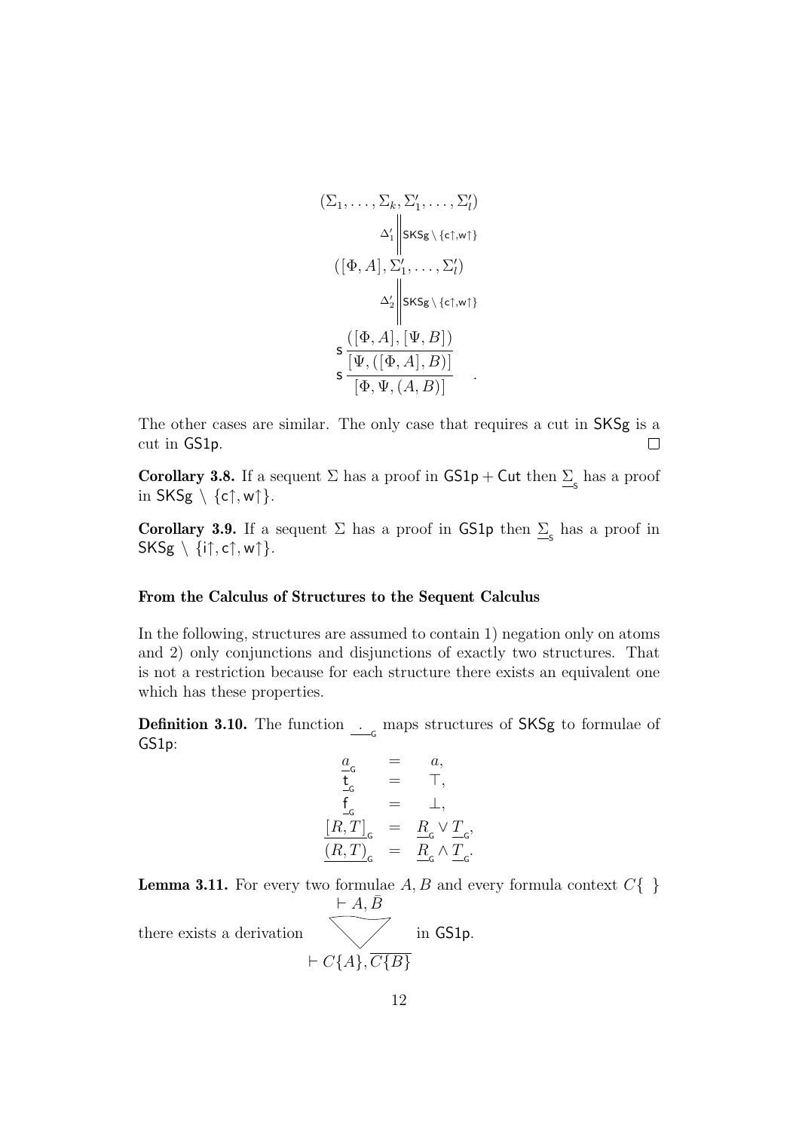$$
(\Sigma_1, \ldots, \Sigma_k, \Sigma'_1, \ldots, \Sigma'_l)
$$

$$
\Delta'_1 \parallel s\kappa s_{\mathsf{g}} \setminus \{\epsilon \uparrow, \mathsf{w} \uparrow\}
$$

$$
([\Phi, A], \Sigma'_1, \ldots, \Sigma'_l)
$$

$$
\Delta'_2 \parallel s\kappa s_{\mathsf{g}} \setminus \{\epsilon \uparrow, \mathsf{w} \uparrow\}
$$

$$
\mathsf{s} \frac{([\Phi, A], [\Psi, B])}{[\Phi, \Psi, (A, B)]}
$$

The other cases are similar. The only case that requires a cut in SKSg is a cut in GS1p.  $\Box$ 

<span id="page-12-1"></span>**Corollary 3.8.** If a sequent  $\Sigma$  has a proof in  $GS1p + Cut$  then  $\Sigma_s$  has a proof in  $SKSg \setminus \{c\uparrow, w\uparrow\}.$ 

<span id="page-12-2"></span>**Corollary 3.9.** If a sequent  $\Sigma$  has a proof in GS1p then  $\Sigma$ <sub>s</sub> has a proof in  $SKSg \setminus \{i\uparrow, c\uparrow, w\uparrow\}.$ 

#### **From the Calculus of Structures to the Sequent Calculus**

In the following, structures are assumed to contain 1) negation only on atoms and 2) only conjunctions and disjunctions of exactly two structures. That is not a restriction because for each structure there exists an equivalent one which has these properties.

**Definition 3.10.** The function  $\frac{1}{\sqrt{G}}$  maps structures of SKSg to formulae of GS1p:

$$
\begin{array}{rcl} \underline{a}_{\mathrm{G}} &=& a, \\ \underline{\mathbf{t}}_{\mathrm{G}} &=& \top, \\ \underline{f}_{\mathrm{G}} &=& \bot, \\ \underline{[R,T]}_{\mathrm{G}} &=& \underline{R}_{\mathrm{G}} \vee \underline{T}_{\mathrm{G}}, \\ \underline{(R,T)}_{\mathrm{G}} &=& \underline{R}_{\mathrm{G}} \wedge \underline{T}_{\mathrm{G}}. \end{array}
$$

<span id="page-12-0"></span>**Lemma 3.11.** For every two formulae  $A, B$  and every formula context  $C\{\}$ 

there exists a derivation

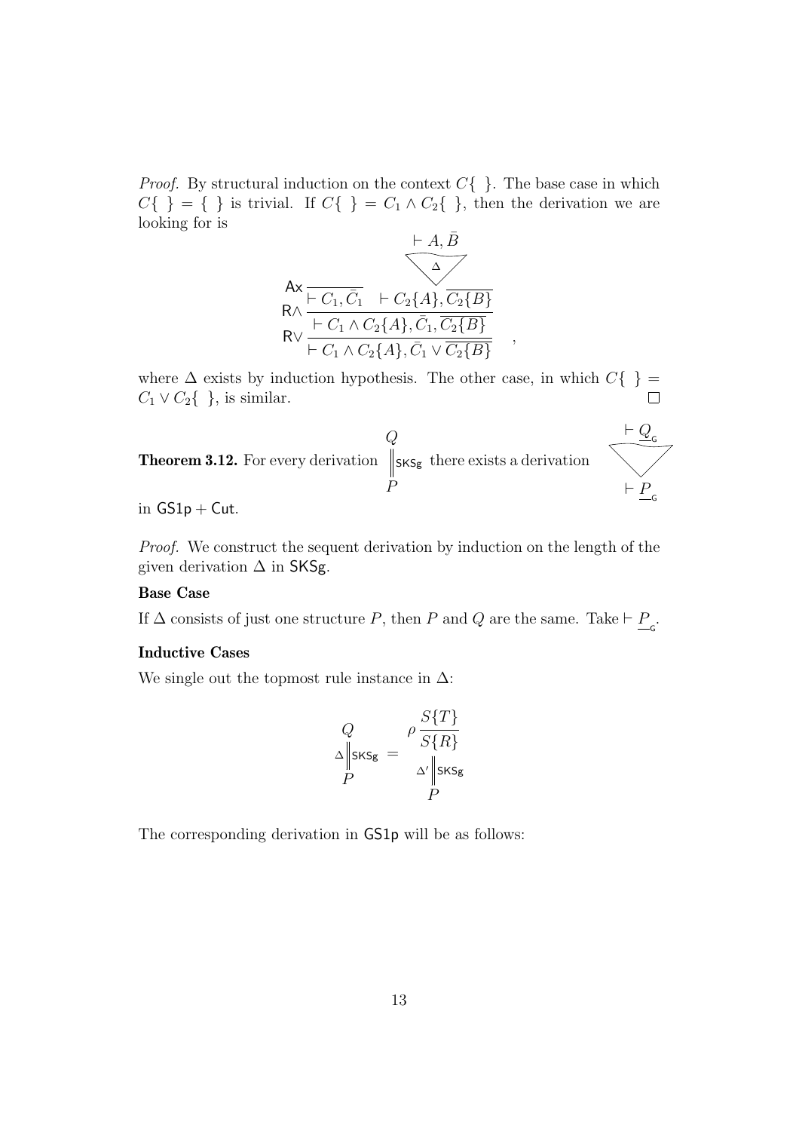*Proof.* By structural induction on the context  $C\{\}\.$  The base case in which  $C\{\ \}\ =\ \{\ \}$  is trivial. If  $C\{\ \}=C_1 \wedge C_2\{\ \}$ , then the derivation we are looking for is



where  $\Delta$  exists by induction hypothesis. The other case, in which  $C\{\}$  $C_1 \vee C_2\{\}\;$ , is similar.  $\Box$ 

<span id="page-13-0"></span>

in  $GS1p + Cut$ .

Proof. We construct the sequent derivation by induction on the length of the given derivation  $\Delta$  in SKSg.

#### **Base Case**

If  $\Delta$  consists of just one structure P, then P and Q are the same. Take  $\vdash \underline{P}_{\varsigma}$ .

#### **Inductive Cases**

We single out the topmost rule instance in  $\Delta$ :

$$
Q \Delta \parallel_{\text{SKSg}} = \frac{\rho \frac{S\{T\}}{S\{R\}}}{\Delta' \parallel_{\text{SKSg}}}
$$

The corresponding derivation in GS1p will be as follows: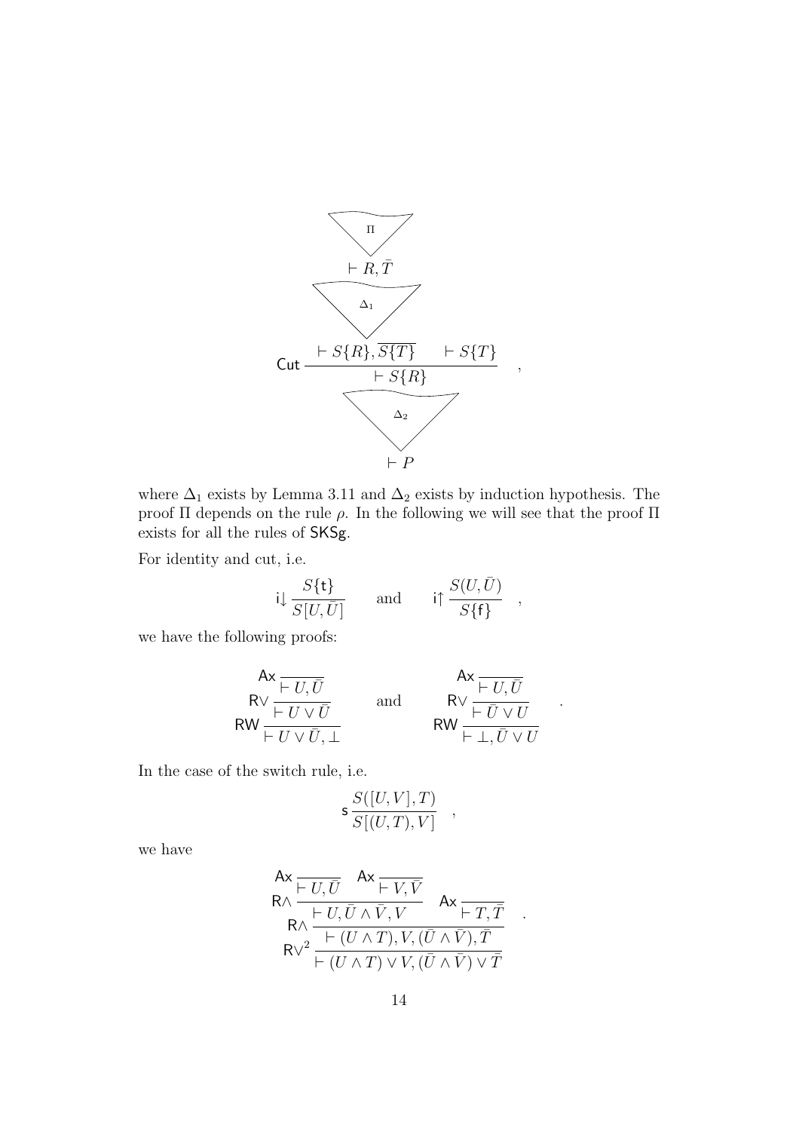

where  $\Delta_1$  exists by Lemma [3.11](#page-12-0) and  $\Delta_2$  exists by induction hypothesis. The proof Π depends on the rule  $ρ$ . In the following we will see that the proof Π exists for all the rules of SKSg.

For identity and cut, i.e.

$$
i\downarrow \frac{S\{\mathbf{t}\}}{S[U,\bar{U}]}
$$
 and  $i\uparrow \frac{S(U,\bar{U})}{S\{\mathbf{f}\}}$ ,

we have the following proofs:

$$
\begin{array}{ccc}\n & \text{Ax} & \text{Ax} \\
\hline\n & FU, \overline{U} \\
\hline\n\end{array}\n\quad \text{and} \quad\n\begin{array}{ccc}\n & \text{Ax} & \text{Ax} \\
\hline\n & FU, \overline{U} \\
\hline\n\end{array}\n\quad \text{and} \quad\n\begin{array}{ccc}\n & \text{Ax} & \text{Ax} \\
\hline\n & FU, \overline{U} \\
\hline\n\end{array}
$$

.

.

In the case of the switch rule, i.e.

$$
\mathsf{s}\,\frac{S([U,V],T)}{S[(U,T),V]}\quad,\quad
$$

we have

$$
\mathsf{Ax}_{\mathsf{R}\wedge \frac{\mathsf{F} \cup \overline{U}}{\mathsf{R}\wedge \frac{\mathsf{F} \cup \overline{U} \wedge \overline{V}}{\mathsf{R}\wedge \frac{\mathsf{F} \cup \overline{U} \wedge \overline{V}, V}{\mathsf{R}\wedge \frac{\mathsf{F} \cup \overline{U} \wedge \overline{V}, V, (\overline{U} \wedge \overline{V}), \overline{T}}{\mathsf{R}\vee^2 \mathsf{F} \wedge \overline{U} \wedge \overline{T} \vee V, (\overline{U} \wedge \overline{V}) \vee \overline{T}}
$$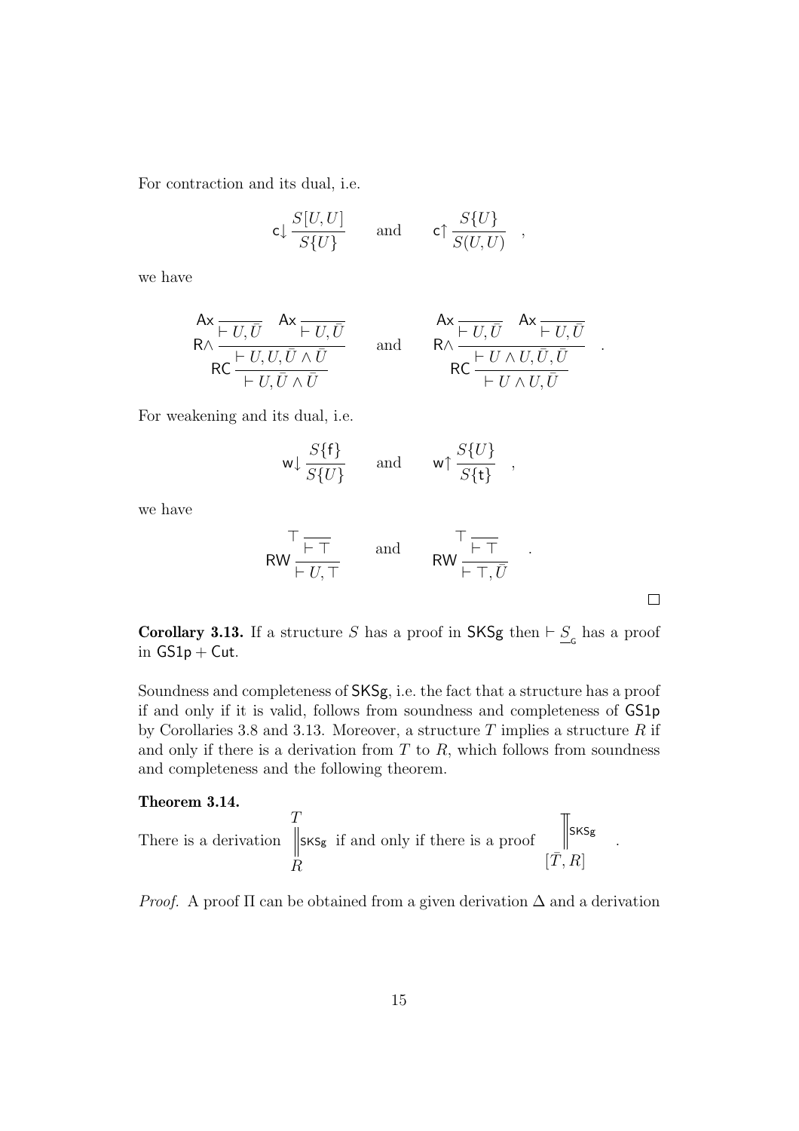For contraction and its dual, i.e.

$$
\mathsf{c}\downarrow \frac{S[U,U]}{S\{U\}} \qquad \text{and} \qquad \mathsf{c}\uparrow \frac{S\{U\}}{S(U,U)} \quad ,
$$

we have

$$
\begin{array}{ccc}\n\text{Ax} & \overline{U, \overline{U}} & \text{Ax} \\ \n\overline{R} \wedge \frac{\overline{U, \overline{U}} & \overline{U}}{\overline{U, \overline{U} \wedge \overline{U}}} & \text{and} & \overline{R} \wedge \frac{\overline{U, \overline{U}} & \text{Ax} \\ \n\overline{R} \wedge \frac{\overline{U, \overline{U}} \wedge \overline{U}}{\overline{U \wedge U, \overline{U}}} & \text{and} & \overline{R} \wedge \frac{\overline{U, \overline{U}} \wedge \overline{U, \overline{U}}}{\overline{U \wedge U, \overline{U}}}\n\end{array}
$$

For weakening and its dual, i.e.

$$
w \downarrow \frac{S\{\mathsf{f}\}}{S\{U\}}
$$
 and  $w \uparrow \frac{S\{U\}}{S\{\mathsf{t}\}}$ ,

we have

$$
\begin{array}{ccc}\n\uparrow & \uparrow & \uparrow \\
\text{RW} & \downarrow & \uparrow \\
\downarrow & \downarrow & \uparrow \\
\downarrow & \uparrow & \uparrow\n\end{array}\n\quad \text{and} \quad\n\begin{array}{ccc}\n\uparrow & \uparrow & \uparrow \\
\text{RW} & \downarrow & \uparrow \\
\downarrow & \uparrow & \uparrow\n\end{array}.
$$

.

.

<span id="page-15-0"></span>**Corollary 3.13.** If a structure S has a proof in SKSg then  $\vdash \underline{S}_{\subseteq}$  has a proof in  $GS1p + Cut$ .

Soundness and completeness of SKSg, i.e. the fact that a structure has a proof if and only if it is valid, follows from soundness and completeness of GS1p by Corollaries [3.8](#page-12-1) and [3.13.](#page-15-0) Moreover, a structure  $T$  implies a structure  $R$  if and only if there is a derivation from  $T$  to  $R$ , which follows from soundness and completeness and the following theorem.

### <span id="page-15-1"></span>**Theorem 3.14.**

There is a derivation 
$$
\begin{array}{c}\nT \\
\parallel \text{sks}_{g} \\
R\n\end{array}
$$
 if and only if there is a proof 
$$
\begin{array}{c}\n\parallel \text{sks}_{g} \\
\parallel \text{sks}_{g}\n\end{array}
$$

*Proof.* A proof  $\Pi$  can be obtained from a given derivation  $\Delta$  and a derivation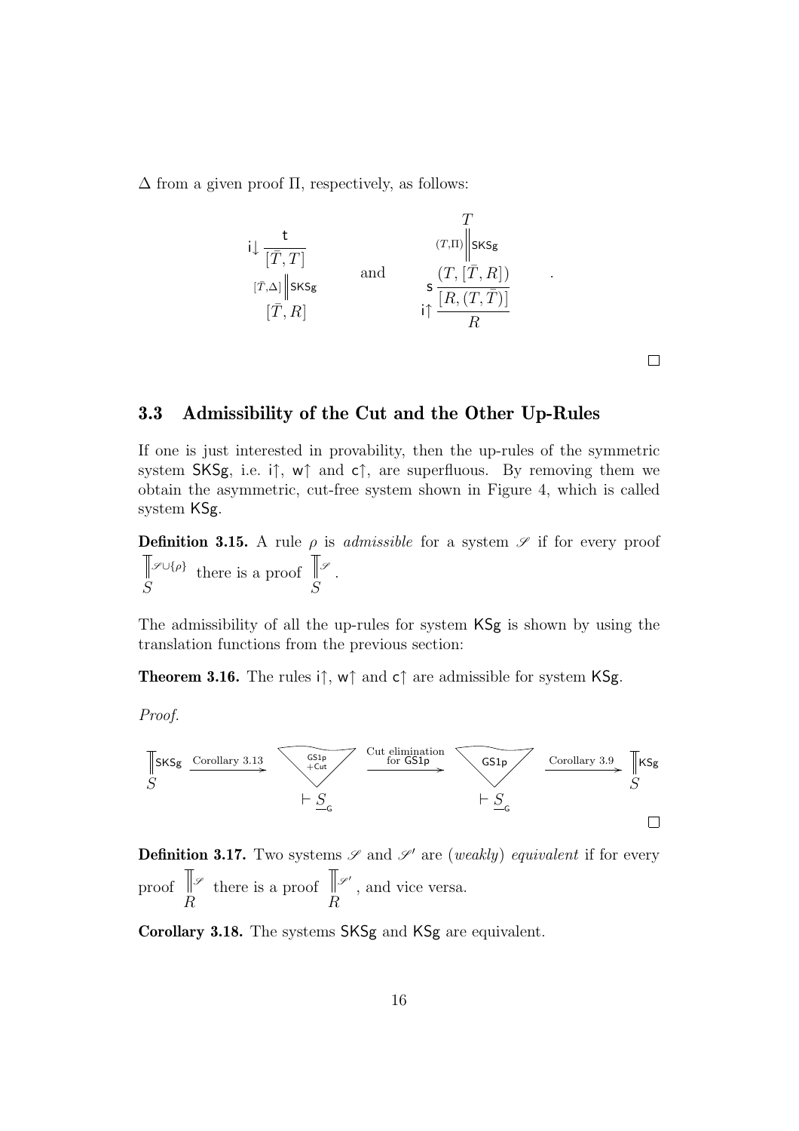$\Delta$  from a given proof  $\Pi$ , respectively, as follows:



 $\Box$ 

.

## <span id="page-16-0"></span>**3.3 Admissibility of the Cut and the Other Up-Rules**

If one is just interested in provability, then the up-rules of the symmetric system SKSg, i.e. i†, w† and c†, are superfluous. By removing them we obtain the asymmetric, cut-free system shown in Figure [4,](#page-17-0) which is called system KSg.

**Definition 3.15.** A rule  $\rho$  is *admissible* for a system  $\mathscr{S}$  if for every proof S  $\mathscr{S} \cup \{\rho\}$  there is a proof S *<sup>S</sup>* .

The admissibility of all the up-rules for system KSg is shown by using the translation functions from the previous section:

**Theorem 3.16.** The rules i↑, w↑ and c↑ are admissible for system KSg.

Proof.



**Definition 3.17.** Two systems  $\mathscr{S}$  and  $\mathscr{S}'$  are (weakly) equivalent if for every proof R *<sup>S</sup>* there is a proof R  $\mathscr{S}'$ , and vice versa.

**Corollary 3.18.** The systems SKSg and KSg are equivalent.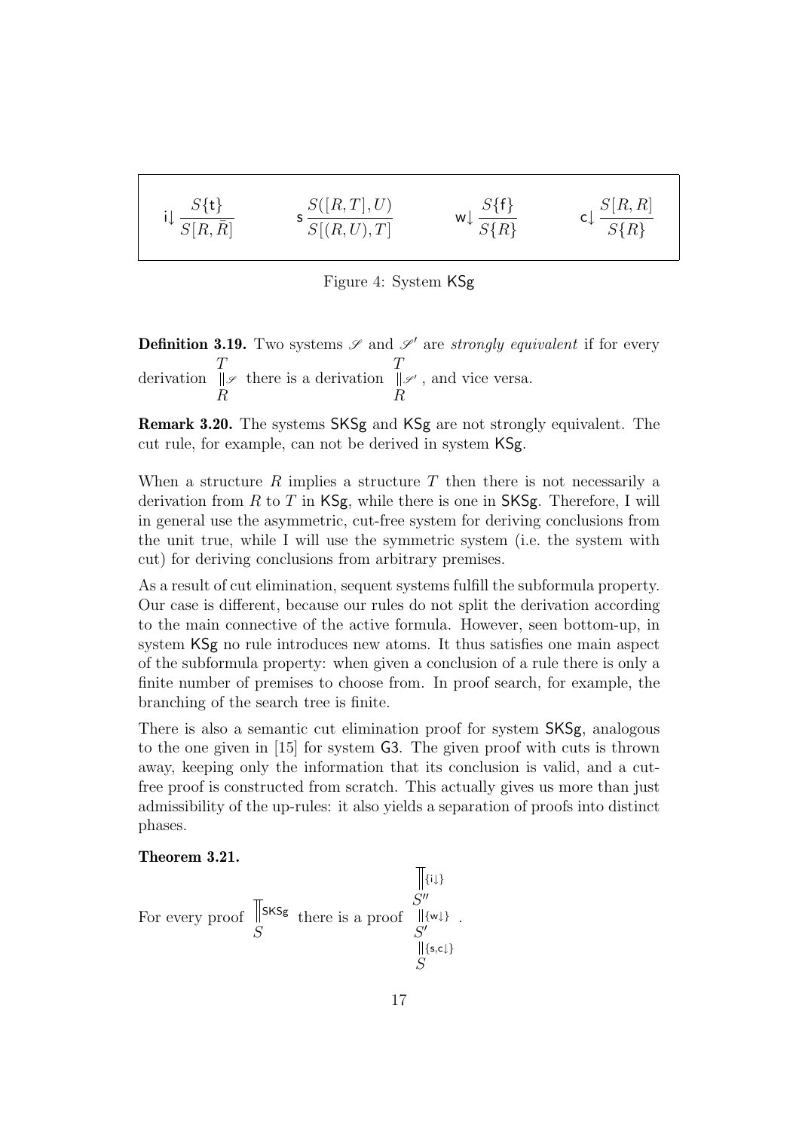$$
i\downarrow \frac{S\{\mathbf{t}\}}{S[R,\bar{R}]} \qquad \qquad s\frac{S([R,T],U)}{S[(R,U),T]} \qquad \qquad w\downarrow \frac{S\{\mathbf{f}\}}{S\{R\}} \qquad \qquad c\downarrow \frac{S[R,R]}{S\{R\}}
$$

<span id="page-17-0"></span>Figure 4: System KSg

**Definition 3.19.** Two systems  $\mathscr{S}$  and  $\mathscr{S}'$  are strongly equivalent if for every derivation T R *<sup>S</sup>* there is a derivation T R  $\mathscr{S}'$ , and vice versa.

**Remark 3.20.** The systems SKSg and KSg are not strongly equivalent. The cut rule, for example, can not be derived in system KSg.

When a structure  $R$  implies a structure  $T$  then there is not necessarily a derivation from  $R$  to  $T$  in  $\mathsf{KSg}$ , while there is one in  $\mathsf{SKSg}$ . Therefore, I will in general use the asymmetric, cut-free system for deriving conclusions from the unit true, while I will use the symmetric system (i.e. the system with cut) for deriving conclusions from arbitrary premises.

As a result of cut elimination, sequent systems fulfill the subformula property. Our case is different, because our rules do not split the derivation according to the main connective of the active formula. However, seen bottom-up, in system KSg no rule introduces new atoms. It thus satisfies one main aspect of the subformula property: when given a conclusion of a rule there is only a finite number of premises to choose from. In proof search, for example, the branching of the search tree is finite.

There is also a semantic cut elimination proof for system SKSg, analogous to the one given in [\[15\]](#page-48-0) for system G3. The given proof with cuts is thrown away, keeping only the information that its conclusion is valid, and a cutfree proof is constructed from scratch. This actually gives us more than just admissibility of the up-rules: it also yields a separation of proofs into distinct phases.

#### <span id="page-17-1"></span>**Theorem 3.21.**

$$
\begin{array}{c}\n\text{For every proof } \begin{array}{c}\n\text{Fix}_\mathsf{Sg} \\
\text{S''} \\
\text{For every proof } \begin{array}{c}\n\text{Fix}_\mathsf{Sg} \\
\text{S''} \\
\text{S''} \\
\text{S''} \\
\text{S''} \\
\text{S''} \\
\text{S''}\n\end{array}\n\end{array}
$$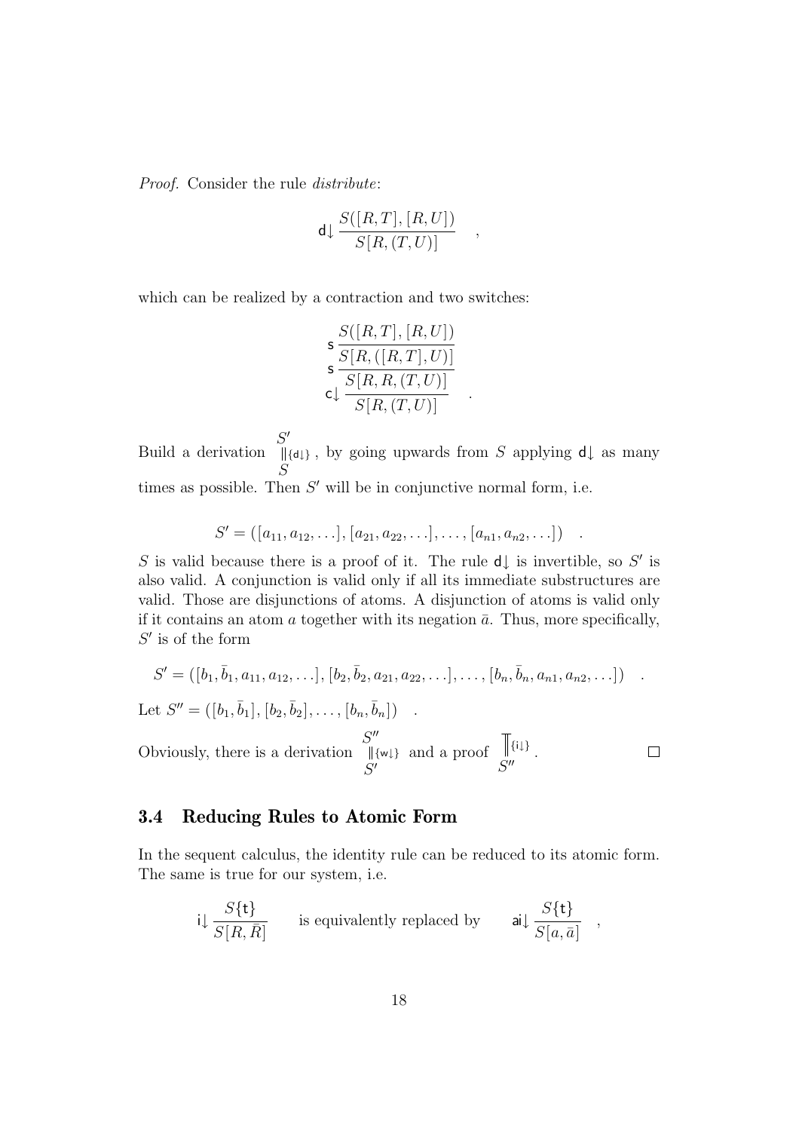Proof. Consider the rule distribute:

$$
\mathsf{d} \downarrow \frac{S([R,T],[R,U])}{S[R,(T,U)]} \quad ,
$$

which can be realized by a contraction and two switches:

$$
\frac{S([R,T],[R,U])}{S[R,([R,T],U)]}
$$
  
\n
$$
\frac{S[R,R,(T,U)]}{S[R,R,(T,U)]}
$$

Build a derivation  $S'$ S  $\{\dagger\}$ , by going upwards from S applying  $d\downarrow$  as many times as possible. Then  $S'$  will be in conjunctive normal form, i.e.

$$
S' = ([a_{11}, a_{12}, \ldots], [a_{21}, a_{22}, \ldots], \ldots, [a_{n1}, a_{n2}, \ldots])
$$

S is valid because there is a proof of it. The rule  $d\downarrow$  is invertible, so S' is also valid. A conjunction is valid only if all its immediate substructures are valid. Those are disjunctions of atoms. A disjunction of atoms is valid only if it contains an atom  $\alpha$  together with its negation  $\bar{\alpha}$ . Thus, more specifically,  $S'$  is of the form

$$
S' = ([b_1, \bar{b}_1, a_{11}, a_{12}, \ldots], [b_2, \bar{b}_2, a_{21}, a_{22}, \ldots], \ldots, [b_n, \bar{b}_n, a_{n1}, a_{n2}, \ldots])
$$

 $\Box$ 

Let  $S'' = ([b_1, \bar{b}_1], [b_2, \bar{b}_2], \ldots, [b_n, \bar{b}_n])$  .

Obviously, there is a derivation  $S''$  $S'$ {w↓} and a proof  $S''$  $\{i\downarrow\}$ .

## <span id="page-18-0"></span>**3.4 Reducing Rules to Atomic Form**

In the sequent calculus, the identity rule can be reduced to its atomic form. The same is true for our system, i.e.

$$
i\downarrow \frac{S\{\mathbf{t}\}}{S[R,\bar{R}]}
$$
 is equivalently replaced by  $\mathbf{a}i\downarrow \frac{S\{\mathbf{t}\}}{S[a,\bar{a}]}$ ,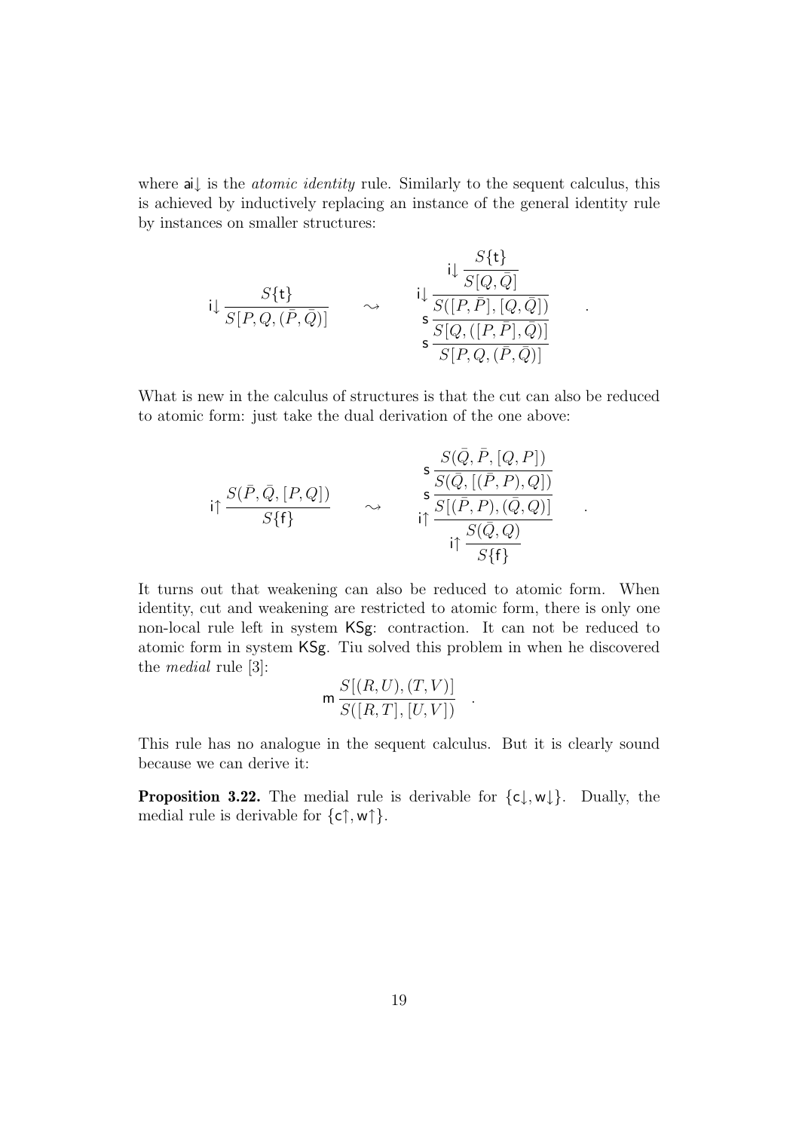where ai↓ is the *atomic identity* rule. Similarly to the sequent calculus, this is achieved by inductively replacing an instance of the general identity rule by instances on smaller structures:

$$
\mathbf{i} \downarrow \frac{S\{\mathbf{t}\}}{S[P,Q,(\bar{P},\bar{Q})]} \qquad \sim \qquad \mathbf{i} \downarrow \frac{\frac{S\{\mathbf{t}\}}{S[Q,\bar{Q}]}}{\frac{S\{[P,\bar{P}], [Q,\bar{Q}])}{S\{[P,Q,([P,\bar{P}],\bar{Q})\}}}
$$

.

.

What is new in the calculus of structures is that the cut can also be reduced to atomic form: just take the dual derivation of the one above:

$$
\mathsf{i}\uparrow \frac{S(\bar{P},\bar{Q},[P,Q])}{S\{\mathsf{f}\}} \qquad \sim \qquad \begin{array}{c} \mathsf{s} \frac{S(\bar{Q},\bar{P},[Q,P])}{S(\bar{Q},[(\bar{P},P),Q])} \\ \mathsf{s} \frac{S(\bar{Q},[(\bar{P},P),Q])}{S\{[\bar{P},P),(\bar{Q},Q)]}} \\ \mathsf{i}\uparrow \frac{S(\bar{Q},Q)}{S\{\mathsf{f}\}} \end{array}
$$

It turns out that weakening can also be reduced to atomic form. When identity, cut and weakening are restricted to atomic form, there is only one non-local rule left in system KSg: contraction. It can not be reduced to atomic form in system KSg. Tiu solved this problem in when he discovered the medial rule [\[3\]](#page-47-2):

$$
\mathsf{m}\frac{S[(R,U),(T,V)]}{S([R,T],[U,V])}.
$$

<span id="page-19-0"></span>This rule has no analogue in the sequent calculus. But it is clearly sound because we can derive it:

**Proposition 3.22.** The medial rule is derivable for  $\{c\}, w\}$ . Dually, the medial rule is derivable for  $\{c\uparrow, w\uparrow\}.$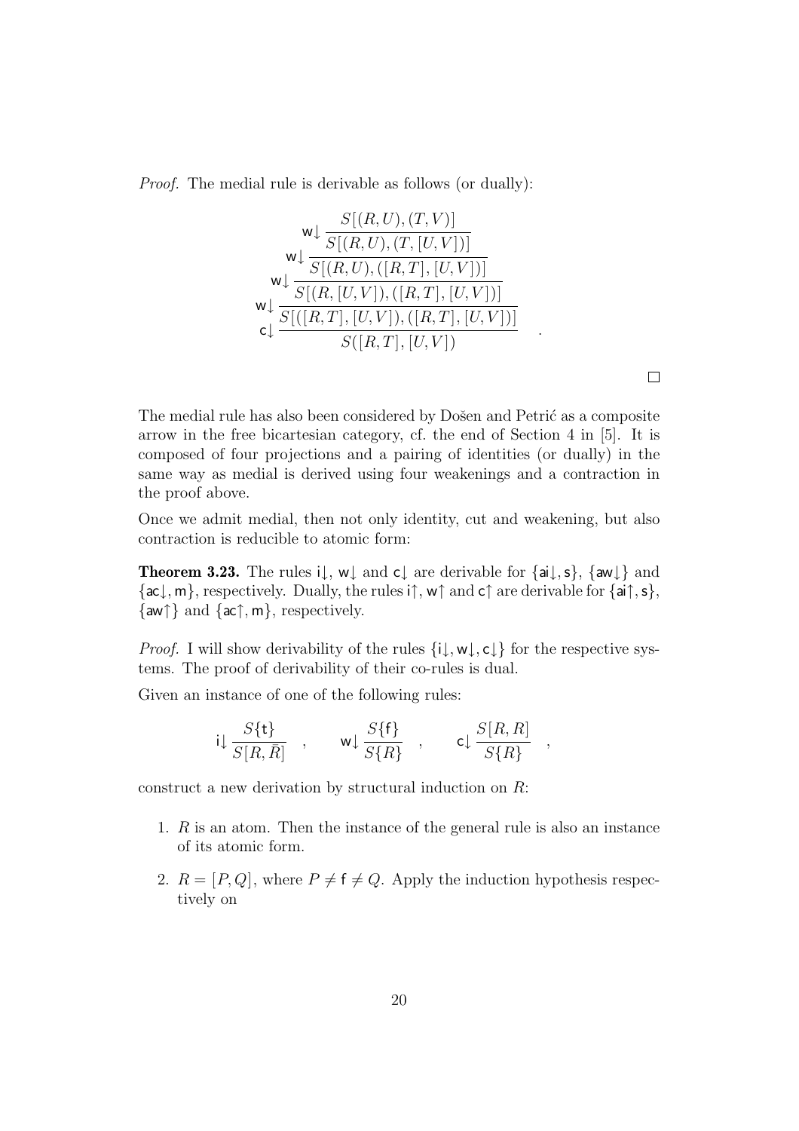Proof. The medial rule is derivable as follows (or dually):

$$
\mathsf{w} \downarrow \frac{S[(R, U), (T, V)]}{S[(R, U), (T, [U, V])]}
$$
\n
$$
\mathsf{w} \downarrow \frac{S[(R, U), (R, T], [U, V])]}{S[(R, [U, V]), ([R, T], [U, V])]}
$$
\n
$$
\mathsf{w} \downarrow \frac{S[(R, T], [U, V]), ([R, T], [U, V])]}{S([R, T], [U, V])}
$$

The medial rule has also been considered by Došen and Petrić as a composite arrow in the free bicartesian category, cf. the end of Section 4 in [\[5\]](#page-47-8). It is composed of four projections and a pairing of identities (or dually) in the same way as medial is derived using four weakenings and a contraction in the proof above.

<span id="page-20-0"></span>Once we admit medial, then not only identity, cut and weakening, but also contraction is reducible to atomic form:

**Theorem 3.23.** The rules  $i\downarrow$ ,  $w\downarrow$  and  $c\downarrow$  are derivable for  $\{ai\downarrow, s\}$ ,  $\{aw\downarrow\}$  and  $\{\textsf{ac}\downarrow,\textsf{m}\},$  respectively. Dually, the rules i $\uparrow,\textsf{w}\uparrow$  and  $\textsf{c}\uparrow$  are derivable for  $\{\textsf{ai}\uparrow,\textsf{s}\},$  $\{aw\}$  and  $\{ac\}$ , m, respectively.

*Proof.* I will show derivability of the rules  $\{i\downarrow, w\downarrow, c\downarrow\}$  for the respective systems. The proof of derivability of their co-rules is dual.

Given an instance of one of the following rules:

$$
i\downarrow \frac{S\{\mathbf{t}\}}{S[R,\bar{R}]}
$$
,  $w\downarrow \frac{S\{\mathbf{f}\}}{S\{R\}}$ ,  $c\downarrow \frac{S[R,R]}{S\{R\}}$ ,

construct a new derivation by structural induction on R:

- 1. R is an atom. Then the instance of the general rule is also an instance of its atomic form.
- 2.  $R = [P, Q]$ , where  $P \neq f \neq Q$ . Apply the induction hypothesis respectively on

 $\Box$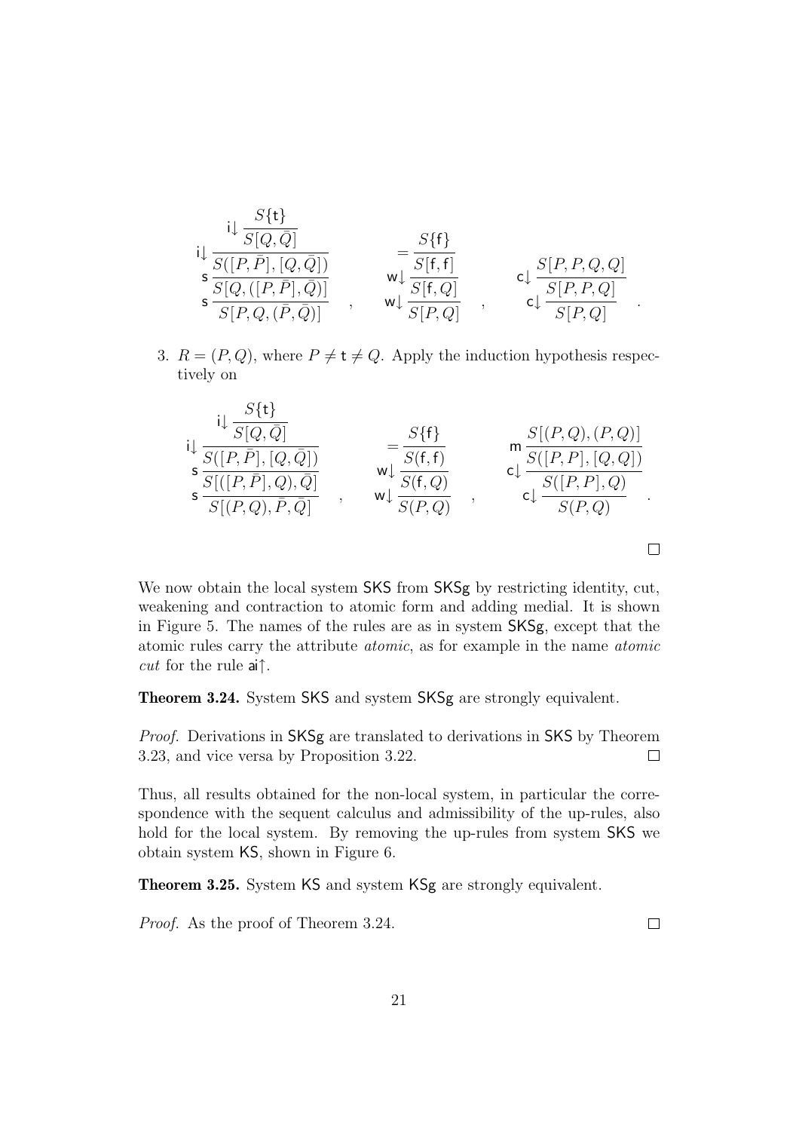$$
\begin{array}{ccc}\n\mathbf{i} & \frac{S\{\mathbf{t}\}}{S[Q,\bar{Q}]} \\
\mathbf{i} & \frac{S([P,\bar{P}], [Q,\bar{Q}])}{S[Q,([P,\bar{P}],\bar{Q})]} \\
\mathbf{s} & \frac{S[Q,([P,\bar{P}],\bar{Q})]}{S[P,Q,(\bar{P},\bar{Q})]} \\
\end{array}\n\quad\n\begin{array}{c}\n=\frac{S\{\mathbf{f}\}}{S[\mathbf{f},\mathbf{f}]} \\
\mathbf{w}\downarrow & \frac{S[\mathbf{f},\mathbf{f}]}{S[\mathbf{f},Q]} \\
\mathbf{w}\downarrow & \frac{S[\mathbf{f},Q]}{S[P,Q]} \\
\end{array}\n\quad\n\text{c}\downarrow\n\frac{S[P,P,Q,Q]}{S[P,P,Q]}.
$$

3.  $R = (P,Q)$ , where  $P \neq t \neq Q$ . Apply the induction hypothesis respectively on

$$
\mathbf{i}_{\mathbf{j}} \frac{\mathbf{i}_{\mathbf{j}} \frac{S\{\mathbf{t}\}}{S[Q,\bar{Q}]}}{\mathbf{s}_{\mathbf{j}} \frac{S\{[P,\bar{P}], [Q,\bar{Q}] \}}{S\{[P,\bar{P}], Q), \bar{Q}]}} = \frac{S\{\mathbf{f}\}}{\mathbf{w}_{\mathbf{j}} \frac{S(\mathbf{f}, \mathbf{f})}{S(\mathbf{f}, Q)}} \qquad \mathbf{m}_{\mathbf{j}} \frac{S[(P,Q), (P,Q)]}{S([P,P], [Q,Q])}}{\mathbf{c}_{\mathbf{j}} \frac{S([P,P], [Q,Q])}{S(P,Q)}}.
$$

We now obtain the local system SKS from SKSg by restricting identity, cut, weakening and contraction to atomic form and adding medial. It is shown in Figure [5.](#page-22-0) The names of the rules are as in system SKSg, except that the atomic rules carry the attribute atomic, as for example in the name atomic *cut* for the rule ai $\uparrow$ .

<span id="page-21-0"></span>**Theorem 3.24.** System SKS and system SKSg are strongly equivalent.

Proof. Derivations in SKSg are translated to derivations in SKS by Theorem [3.23,](#page-20-0) and vice versa by Proposition [3.22.](#page-19-0)  $\Box$ 

Thus, all results obtained for the non-local system, in particular the correspondence with the sequent calculus and admissibility of the up-rules, also hold for the local system. By removing the up-rules from system SKS we obtain system KS, shown in Figure [6.](#page-23-1)

**Theorem 3.25.** System KS and system KSg are strongly equivalent.

Proof. As the proof of Theorem [3.24.](#page-21-0)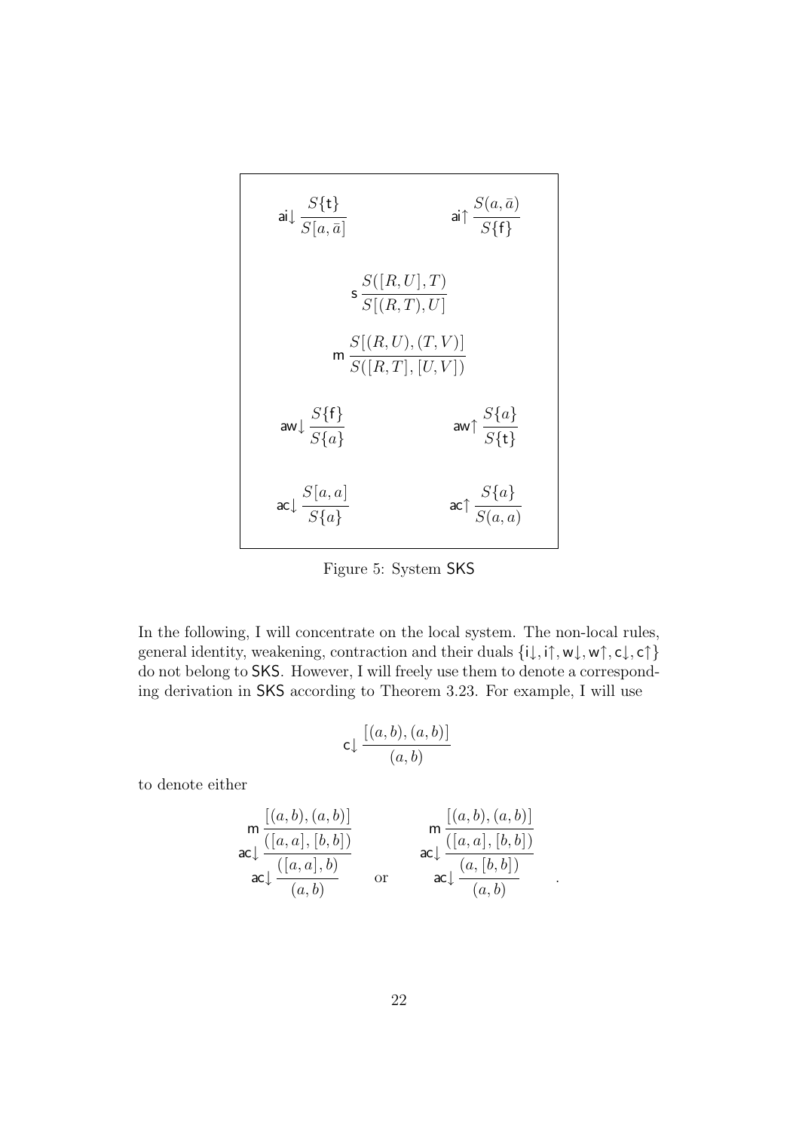$$
\begin{array}{ccc}\n\text{ai} & \frac{S\{\mathbf{t}\}}{S[a,\bar{a}]} & \text{ai} \uparrow \frac{S(a,\bar{a})}{S\{\mathbf{f}\}} \\
& \text{s} & \frac{S([R,U],T)}{S[(R,T),U]} \\
& \text{m} & \frac{S[(R,U),(T,V)]}{S([R,T],[U,V])} \\
\text{aw} & \frac{S\{\mathbf{f}\}}{S\{a\}} & \text{aw} \uparrow \frac{S\{a\}}{S\{\mathbf{t}\}} \\
& \text{ac} & \frac{S[a,a]}{S\{a\}} & \text{ac} \uparrow \frac{S\{a\}}{S(a,a)}\n\end{array}
$$

<span id="page-22-0"></span>Figure 5: System SKS

In the following, I will concentrate on the local system. The non-local rules, general identity, weakening, contraction and their duals  $\{i\downarrow, i\uparrow, w\downarrow, w\uparrow, c\downarrow, c\uparrow\}$ do not belong to SKS. However, I will freely use them to denote a corresponding derivation in SKS according to Theorem [3.23.](#page-20-0) For example, I will use

$$
\mathsf{c}\!\downarrow\!\frac{[(a,b),(a,b)]}{(a,b)}
$$

to denote either

$$
\begin{array}{ll}\n\mathbf{m} \frac{[(a,b),(a,b)]}{([a,a],[b,b])} \\
\mathbf{ac} \downarrow \frac{([a,a],[b,b])}{(a,b)} \\
\mathbf{ac} \downarrow \frac{([a,a],[b])}{(a,b)} \\
\mathbf{c} \downarrow \frac{(a,[b,b])}{(a,b)}\n\end{array}
$$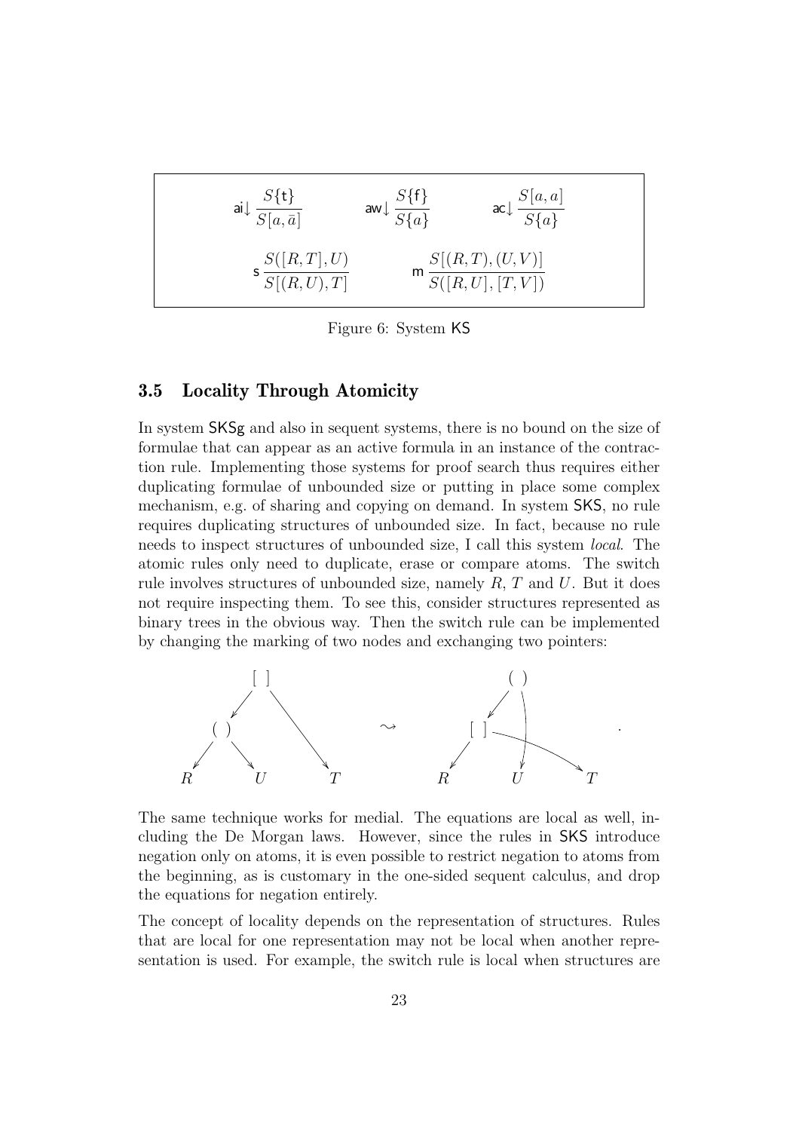$$
\begin{array}{ll}\n\mathsf{ai}\downarrow \frac{S\{\mathsf{t}\}}{S[a,\bar{a}]} & \mathsf{aw}\downarrow \frac{S\{\mathsf{f}\}}{S\{a\}} & \mathsf{ac}\downarrow \frac{S[a,a]}{S\{a\}} \\
& \mathsf{s}\frac{S([R,T],U)}{S[(R,U),T]} & \mathsf{m}\frac{S[(R,T),(U,V)]}{S([R,U],[T,V])}\n\end{array}
$$

<span id="page-23-1"></span>Figure 6: System KS

## <span id="page-23-0"></span>**3.5 Locality Through Atomicity**

In system SKSg and also in sequent systems, there is no bound on the size of formulae that can appear as an active formula in an instance of the contraction rule. Implementing those systems for proof search thus requires either duplicating formulae of unbounded size or putting in place some complex mechanism, e.g. of sharing and copying on demand. In system SKS, no rule requires duplicating structures of unbounded size. In fact, because no rule needs to inspect structures of unbounded size, I call this system local. The atomic rules only need to duplicate, erase or compare atoms. The switch rule involves structures of unbounded size, namely  $R, T$  and  $U$ . But it does not require inspecting them. To see this, consider structures represented as binary trees in the obvious way. Then the switch rule can be implemented by changing the marking of two nodes and exchanging two pointers:



The same technique works for medial. The equations are local as well, including the De Morgan laws. However, since the rules in SKS introduce negation only on atoms, it is even possible to restrict negation to atoms from the beginning, as is customary in the one-sided sequent calculus, and drop the equations for negation entirely.

The concept of locality depends on the representation of structures. Rules that are local for one representation may not be local when another representation is used. For example, the switch rule is local when structures are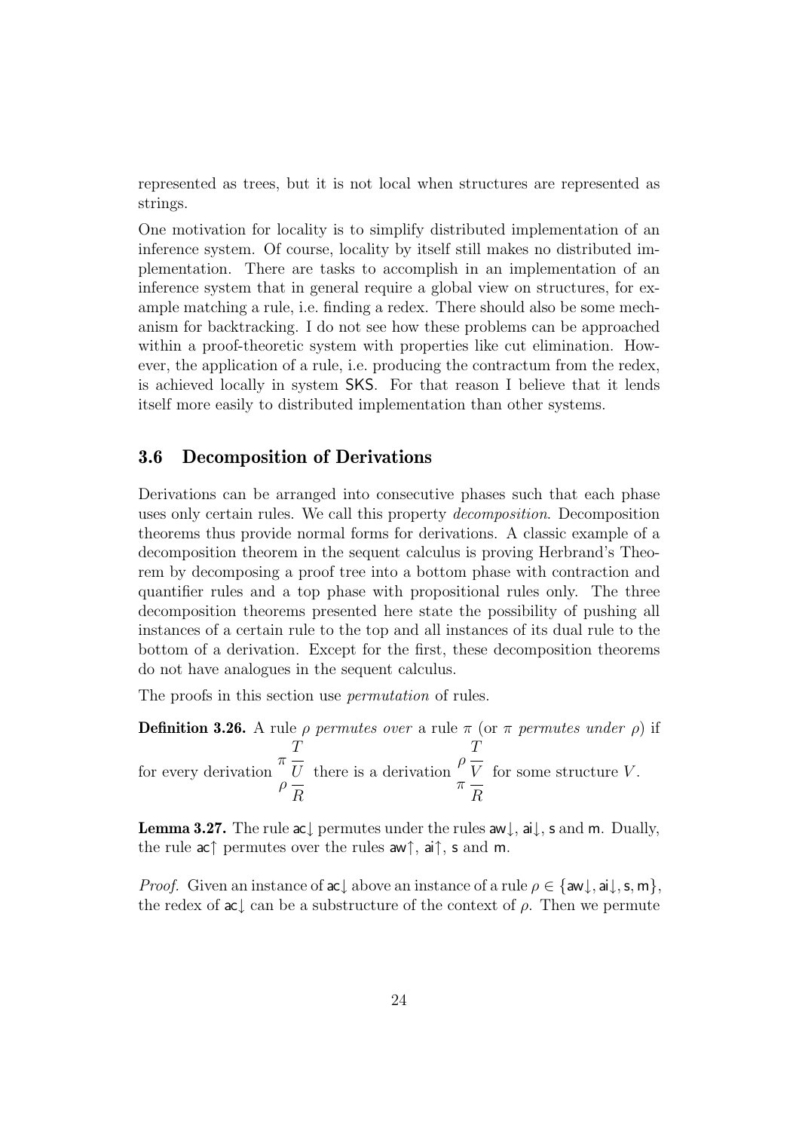represented as trees, but it is not local when structures are represented as strings.

One motivation for locality is to simplify distributed implementation of an inference system. Of course, locality by itself still makes no distributed implementation. There are tasks to accomplish in an implementation of an inference system that in general require a global view on structures, for example matching a rule, i.e. finding a redex. There should also be some mechanism for backtracking. I do not see how these problems can be approached within a proof-theoretic system with properties like cut elimination. However, the application of a rule, i.e. producing the contractum from the redex, is achieved locally in system SKS. For that reason I believe that it lends itself more easily to distributed implementation than other systems.

## <span id="page-24-0"></span>**3.6 Decomposition of Derivations**

Derivations can be arranged into consecutive phases such that each phase uses only certain rules. We call this property decomposition. Decomposition theorems thus provide normal forms for derivations. A classic example of a decomposition theorem in the sequent calculus is proving Herbrand's Theorem by decomposing a proof tree into a bottom phase with contraction and quantifier rules and a top phase with propositional rules only. The three decomposition theorems presented here state the possibility of pushing all instances of a certain rule to the top and all instances of its dual rule to the bottom of a derivation. Except for the first, these decomposition theorems do not have analogues in the sequent calculus.

The proofs in this section use *permutation* of rules.

**Definition 3.26.** A rule  $\rho$  permutes over a rule  $\pi$  (or  $\pi$  permutes under  $\rho$ ) if for every derivation T π U  $\rho$   $\frac{1}{R}$ there is a derivation  $\mathcal I$  $\rho$ <sub>V</sub> π R for some structure  $V$ .

<span id="page-24-1"></span>**Lemma 3.27.** The rule ac↓ permutes under the rules aw↓, ai↓, s and m. Dually, the rule ac $\uparrow$  permutes over the rules aw $\uparrow$ , ai $\uparrow$ , s and m.

*Proof.* Given an instance of ac<sub>↓</sub> above an instance of a rule  $\rho \in \{aw \mid, ai \mid, s, m\}$ , the redex of  $ac \nightharpoonup can$  be a substructure of the context of  $\rho$ . Then we permute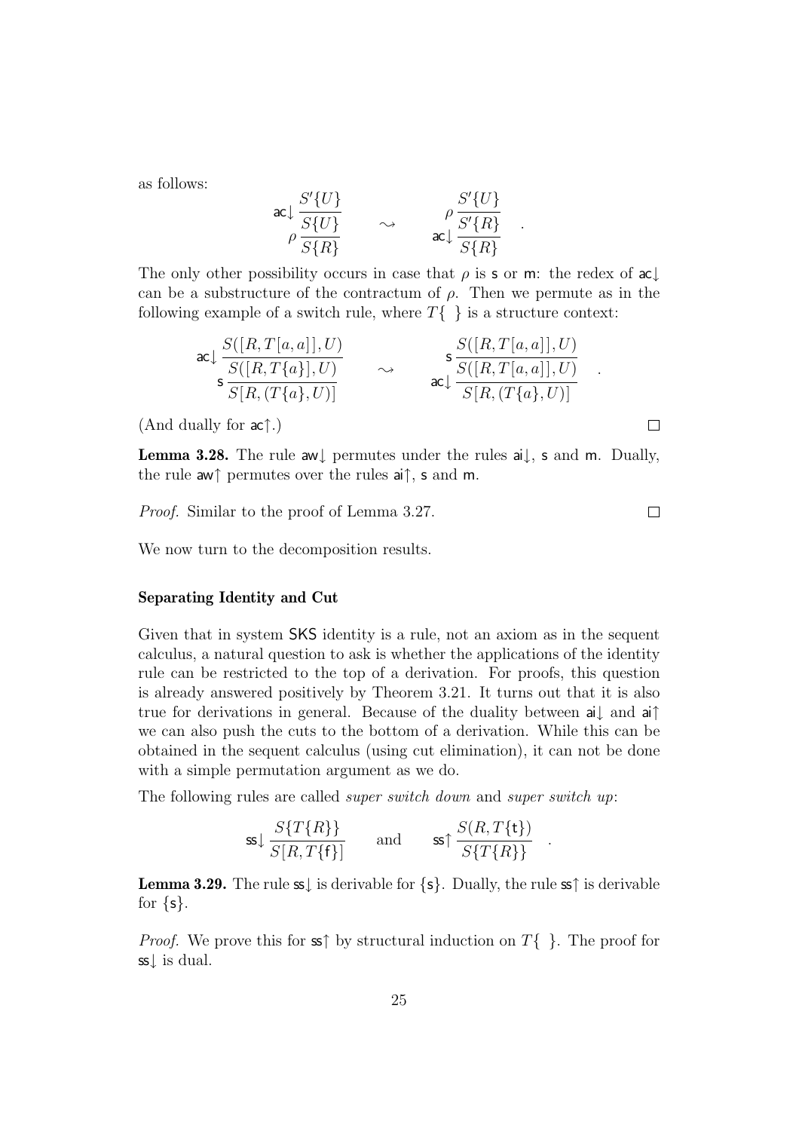as follows:

$$
\begin{array}{ccc}\n\text{ac}\downarrow \frac{S'\{U\}}{S\{U\}} & \sim & \rho \frac{S'\{U\}}{S'\{R\}} \\
\rho \frac{S}{S\{R\}} & \sim & \text{ac}\downarrow \frac{S'\{R\}}{S\{R\}}\n\end{array}
$$

.

 $\Box$ 

 $\Box$ 

The only other possibility occurs in case that  $\rho$  is s or m: the redex of ac can be a substructure of the contractum of  $\rho$ . Then we permute as in the following example of a switch rule, where  $T\{\}$  is a structure context:

$$
\operatorname{ac}\downarrow \frac{S([R,T[a,a]],U)}{S([R,T\{a\}],U)} \qquad \sim \qquad \operatorname{sc}\downarrow \frac{S([R,T[a,a]],U)}{S([R,T[a,a],U)} \qquad \sim \qquad \operatorname{ac}\downarrow \frac{S([R,T[a,a]],U)}{S[R,(T\{a\},U)]}
$$

<span id="page-25-0"></span>(And dually for ac↑.)

**Lemma 3.28.** The rule aw↓ permutes under the rules ai↓, s and m. Dually, the rule aw↑ permutes over the rules ai↑, s and m.

Proof. Similar to the proof of Lemma [3.27.](#page-24-1)

We now turn to the decomposition results.

#### **Separating Identity and Cut**

Given that in system SKS identity is a rule, not an axiom as in the sequent calculus, a natural question to ask is whether the applications of the identity rule can be restricted to the top of a derivation. For proofs, this question is already answered positively by Theorem [3.21.](#page-17-1) It turns out that it is also true for derivations in general. Because of the duality between ai↓ and ai↑ we can also push the cuts to the bottom of a derivation. While this can be obtained in the sequent calculus (using cut elimination), it can not be done with a simple permutation argument as we do.

The following rules are called *super switch down* and *super switch up*:

$$
\text{ss}\downarrow \frac{S\{T\{R\}\}}{S[R,T\{f\}]}\qquad \text{and} \qquad \text{ss}\uparrow \frac{S(R,T\{t\})}{S\{T\{R\}\}}\quad.
$$

<span id="page-25-1"></span>**Lemma 3.29.** The rule  $s$ , is derivable for  $\{s\}$ . Dually, the rule so f is derivable for  $\{s\}$ .

*Proof.* We prove this for  $\infty \uparrow$  by structural induction on  $T\{\}$ . The proof for ss↓ is dual.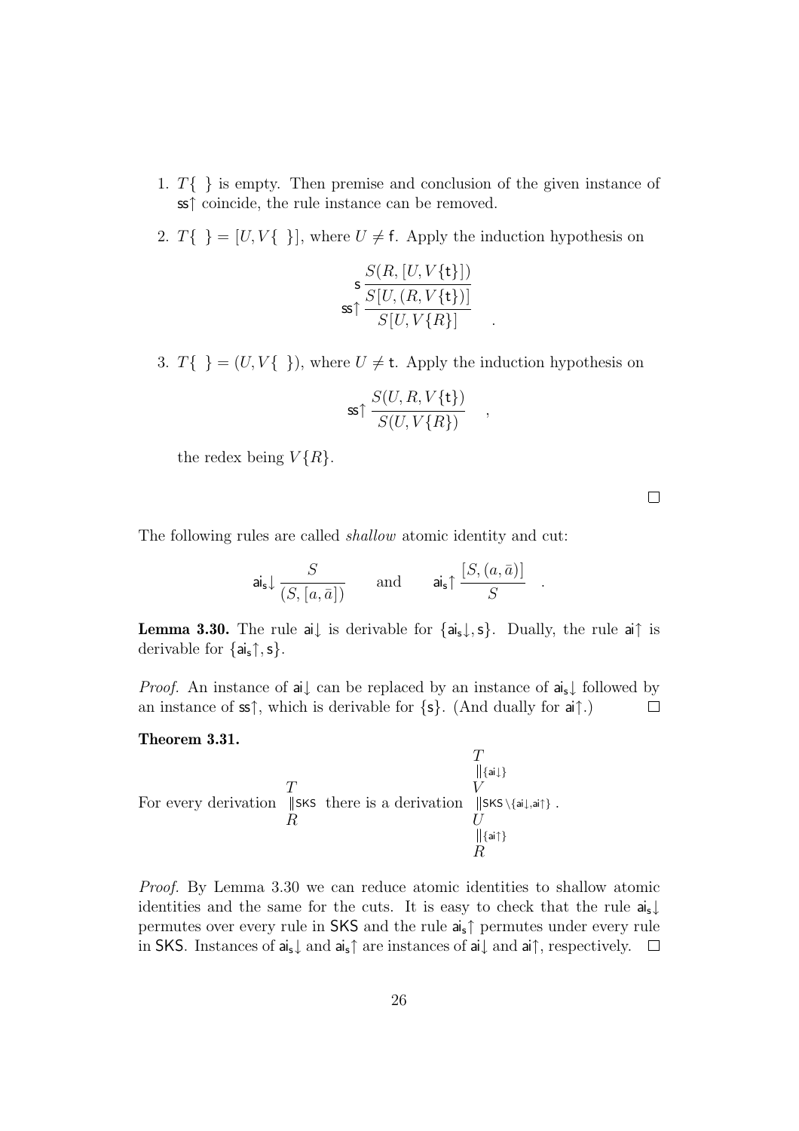- 1.  $T\{\}\$ is empty. Then premise and conclusion of the given instance of ss↑ coincide, the rule instance can be removed.
- 2.  $T\{\} = [U, V\{\}]$ , where  $U \neq \mathsf{f}$ . Apply the induction hypothesis on

$$
\mathsf{s} \frac{S(R, [U, V\{\mathsf{t}\}])}{S[U, (R, V\{\mathsf{t}\})]}
$$

$$
\mathsf{s} \uparrow \frac{S[U, (R, V\{\mathsf{t}\})]}{S[U, V\{R\}]}
$$

3.  $T\{\} = (U, V\{\})$ , where  $U \neq t$ . Apply the induction hypothesis on

$$
\text{ss} \uparrow \frac{S(U, R, V\{\mathbf{t}\})}{S(U, V\{R\})} \quad ,
$$

the redex being  $V\{R\}$ .

 $\Box$ 

The following rules are called shallow atomic identity and cut:

$$
\mathsf{ai}_{\mathsf{s}} \downarrow \frac{S}{(S,[a,\bar{a}])} \qquad \text{and} \qquad \mathsf{ai}_{\mathsf{s}} \uparrow \frac{[S,(a,\bar{a})]}{S} \quad .
$$

<span id="page-26-0"></span>**Lemma 3.30.** The rule ai $\downarrow$  is derivable for  $\{a_i, \downarrow, s\}$ . Dually, the rule ai† is derivable for  $\{a_i\}$ , s $\}$ .

*Proof.* An instance of ai $\downarrow$  can be replaced by an instance of ai<sub>s</sub> $\downarrow$  followed by an instance of  $\infty$  $\uparrow$ , which is derivable for  $\{s\}$ . (And dually for  $ai\uparrow$ .)  $\Box$ 

#### <span id="page-26-1"></span>**Theorem 3.31.**

$$
\begin{array}{c}\nT \\
\parallel_{\{\mathsf{ai}\}} \\
\hline\n\end{array}
$$
\nFor every derivation 
$$
\parallel_{\{\mathsf{SKS}\}} \text{Sts}
$$
 there is a derivation 
$$
\parallel_{\{\mathsf{SKS}\}\{\mathsf{ai}\},\mathsf{ai}\}} \text{Sts}
$$

Proof. By Lemma [3.30](#page-26-0) we can reduce atomic identities to shallow atomic identities and the same for the cuts. It is easy to check that the rule  $a_i$ permutes over every rule in SKS and the rule ais↑ permutes under every rule in SKS. Instances of  $a_i$ , and  $a_i$ <sup> $\uparrow$ </sup> are instances of  $a_i$  and  $a_i$ <sup> $\uparrow$ </sup>, respectively.  $\Box$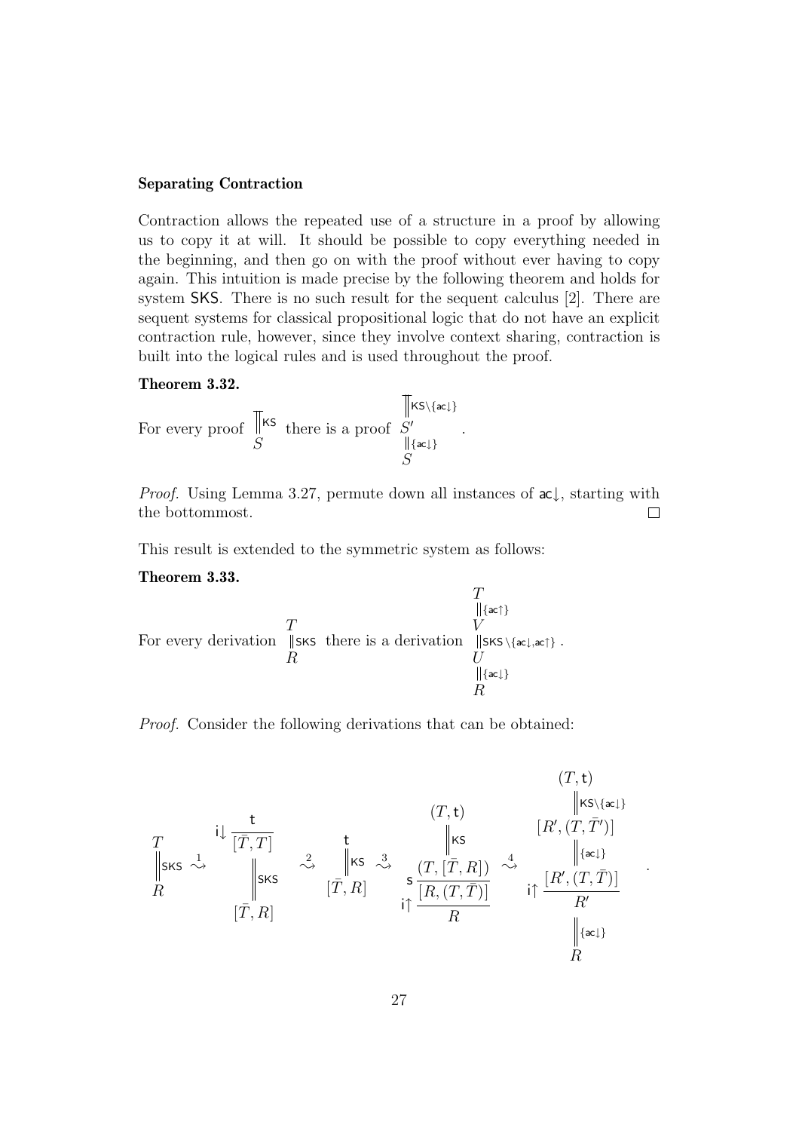### **Separating Contraction**

Contraction allows the repeated use of a structure in a proof by allowing us to copy it at will. It should be possible to copy everything needed in the beginning, and then go on with the proof without ever having to copy again. This intuition is made precise by the following theorem and holds for system SKS. There is no such result for the sequent calculus [\[2\]](#page-46-0). There are sequent systems for classical propositional logic that do not have an explicit contraction rule, however, since they involve context sharing, contraction is built into the logical rules and is used throughout the proof.

#### **Theorem 3.32.**

For every proof 
$$
\overline{\mathbb{S}}^{\text{KS}}
$$
 there is a proof  $\frac{\|\mathbf{KS}\setminus\{\mathbf{ac}\}\|}{\|\{\mathbf{ac}\}\}}\$ 

*Proof.* Using Lemma [3.27,](#page-24-1) permute down all instances of  $ac \downarrow$ , starting with the bottommost.  $\Box$ 

.

<span id="page-27-0"></span>This result is extended to the symmetric system as follows:

#### **Theorem 3.33.**

$$
\begin{array}{c}\nT \\
\parallel_{\{\mathsf{ac}\uparrow\}} \\
\text{For every derivation } \parallel_{\mathsf{SKS}} \text{ these is a derivation } \parallel_{\mathsf{SKS}\setminus\{\mathsf{ac}\downarrow,\mathsf{ac}\uparrow\}} \\
R\n\end{array}.
$$
\n
$$
\begin{array}{c}\nT \\
V \\
U \\
\parallel_{\{\mathsf{ac}\downarrow\}} \\
R\n\end{array}
$$

Proof. Consider the following derivations that can be obtained:

$$
\begin{array}{ccc}\n & & & & (T, t) & & & & & (T, t) \\
 & & & & & & \text{if } \text{Ks} \setminus \{ac\} \\
 & & & & & \text{if } \text{Ks} & & \text{if } \text{Ks} \\
 & & & & & \text{if } \text{Ks} & & \text{if } \text{Ks} \\
 & & & & & \text{if } \text{Ks} & & \text{if } \text{Ks} \\
 & & & & & & \text{if } \text{Ks} & & \text{if } \text{Ks} \\
 & & & & & & \text{if } \text{Ks} & & \text{if } \text{Ks} \\
 & & & & & & \text{if } \text{Ks} & & \text{if } \text{Ks} \\
 & & & & & & \text{if } \text{Ks} & & \text{if } \text{Ks} \\
 & & & & & & \text{if } \text{Ks} & & \text{if } \text{Ks} \\
 & & & & & & \text{if } \text{Ks} & & \text{if } \text{Ks} \\
 & & & & & & \text{if } \text{Ks} & & \text{if } \text{Ks} \\
 & & & & & & \text{if } \text{Ks} & & \text{if } \text{Ks} \\
 & & & & & & \text{if } \text{Ks} & & \text{if } \text{Ks} \\
 & & & & & & \text{if } \text{Ks} & & \text{if } \text{Ks} \\
 & & & & & & \text{if } \text{Ks} & & \text{if } \text{Ks} \\
 & & & & & & \text{if } \text{Ks} & & \text{if } \text{Ks} \\
 & & & & & & \text{if } \text{Ks} & & \text{if } \text{Ks} \\
 & & & & & & & \text{if } \text{Ks} & & \text{if } \text{Ks} & & \text{if } \text{Ks} \\
 & & & & & & & \text{if } \text{Ks} & & \text{if } \text{Ks} & & \text{if } \text{Ks} & & \text{if } \text{Ks} \\
 & & & & & & & \text{if } \text{Ks} & & \text{if } \text{Ks} & & \text{if } \text{Ks} & & \text{if } \text{Ks} & & \text{if } \text{Ks} & & \text{if } \text{Ks} \\
 & & & & & & & & \text{if } \text{Ks} & & \text{if }
$$

.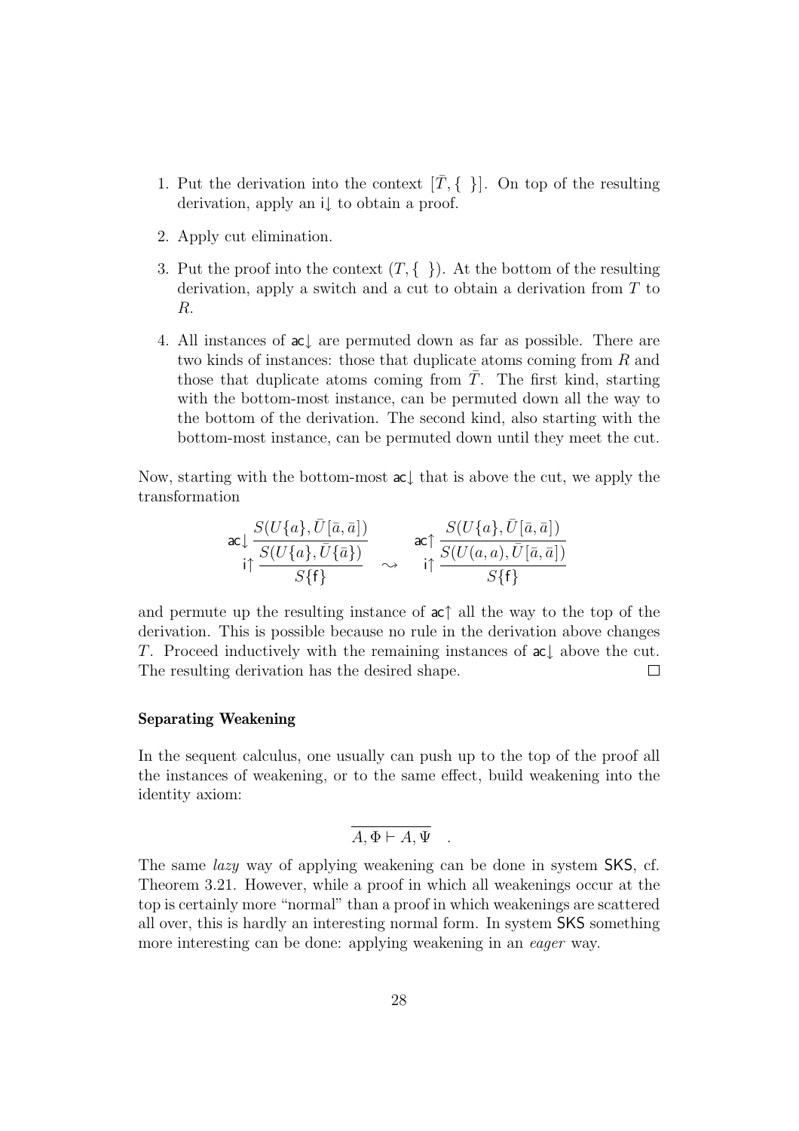- 1. Put the derivation into the context  $[\bar{T}, \{\}]$ . On top of the resulting derivation, apply an i↓ to obtain a proof.
- 2. Apply cut elimination.
- 3. Put the proof into the context  $(T, \{\})$ . At the bottom of the resulting derivation, apply a switch and a cut to obtain a derivation from  $T$  to R.
- 4. All instances of ac↓ are permuted down as far as possible. There are two kinds of instances: those that duplicate atoms coming from R and those that duplicate atoms coming from  $\overline{T}$ . The first kind, starting with the bottom-most instance, can be permuted down all the way to the bottom of the derivation. The second kind, also starting with the bottom-most instance, can be permuted down until they meet the cut.

Now, starting with the bottom-most ac↓ that is above the cut, we apply the transformation

$$
\text{acl}\frac{S(U\{a\},\bar{U}[\bar{a},\bar{a}])}{S(U\{a\},\bar{U}\{\bar{a}\})}\quad\text{acl}\frac{S(U\{a\},\bar{U}[\bar{a},\bar{a}])}{S\{\mathsf{f}\}}\quad\text{cl}\frac{S(U\{a\},\bar{U}[\bar{a},\bar{a}])}{S\{\mathsf{f}\}}
$$

and permute up the resulting instance of ac↑ all the way to the top of the derivation. This is possible because no rule in the derivation above changes T. Proceed inductively with the remaining instances of ac↓ above the cut. The resulting derivation has the desired shape.  $\Box$ 

#### **Separating Weakening**

In the sequent calculus, one usually can push up to the top of the proof all the instances of weakening, or to the same effect, build weakening into the identity axiom:

$$
A, \Phi \vdash A, \Psi .
$$

The same *lazy* way of applying weakening can be done in system SKS, cf. Theorem [3.21.](#page-17-1) However, while a proof in which all weakenings occur at the top is certainly more "normal" than a proof in which weakenings are scattered all over, this is hardly an interesting normal form. In system SKS something more interesting can be done: applying weakening in an eager way.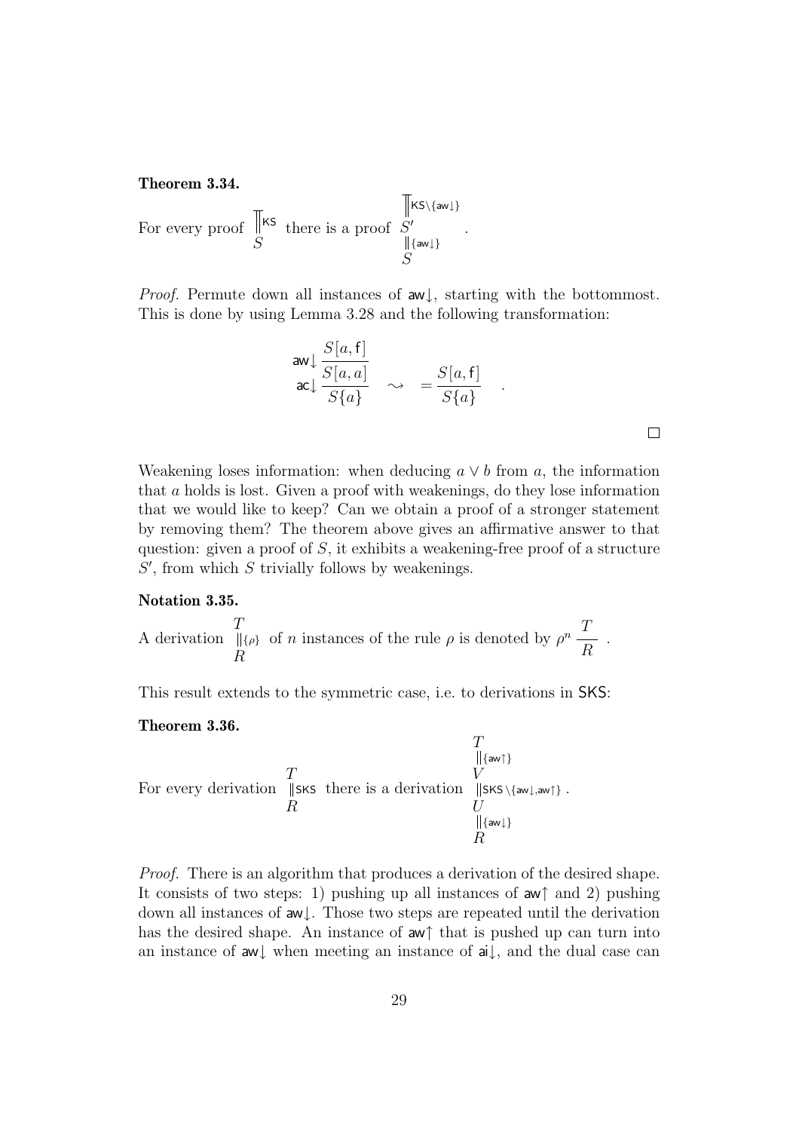**Theorem 3.34.**

For every proof S KS there is a proof S KS\{aw↓} S {aw↓} .

*Proof.* Permute down all instances of  $aw\downarrow$ , starting with the bottommost. This is done by using Lemma [3.28](#page-25-0) and the following transformation:

$$
\begin{array}{ccc}\n\text{aw} & \frac{S[a, \mathsf{f}]}{S[a, a]} \\
\text{ac} & \frac{S[a, a]}{S\{a\}} & \rightarrow & = \frac{S[a, \mathsf{f}]}{S\{a\}} \\
\end{array}.
$$

 $\Box$ 

Weakening loses information: when deducing  $a \vee b$  from a, the information that a holds is lost. Given a proof with weakenings, do they lose information that we would like to keep? Can we obtain a proof of a stronger statement by removing them? The theorem above gives an affirmative answer to that question: given a proof of  $S$ , it exhibits a weakening-free proof of a structure  $S'$ , from which  $S$  trivially follows by weakenings.

#### **Notation 3.35.**

A derivation T R  $\{\rho\}$  of n instances of the rule  $\rho$  is denoted by  $\rho^n \frac{T}{R}$ .

<span id="page-29-0"></span>This result extends to the symmetric case, i.e. to derivations in SKS:

#### **Theorem 3.36.**

$$
\begin{array}{c}\nT \\
\parallel {\{\rm aw}\} \\
\hline\nR\n\end{array}
$$
\nFor every derivation  $\parallel SKS$  there is a derivation  $\parallel SKS \setminus {\{\rm aw}\}, \mathcal{W}$ .  
\n
$$
\begin{array}{c}\nT \\
V \\
U \\
\parallel {\{\rm aw}\} \\
R\n\end{array}
$$

Proof. There is an algorithm that produces a derivation of the desired shape. It consists of two steps: 1) pushing up all instances of  $\mathsf{aw}^{\uparrow}$  and 2) pushing down all instances of aw↓. Those two steps are repeated until the derivation has the desired shape. An instance of aw↑ that is pushed up can turn into an instance of aw↓ when meeting an instance of ai↓, and the dual case can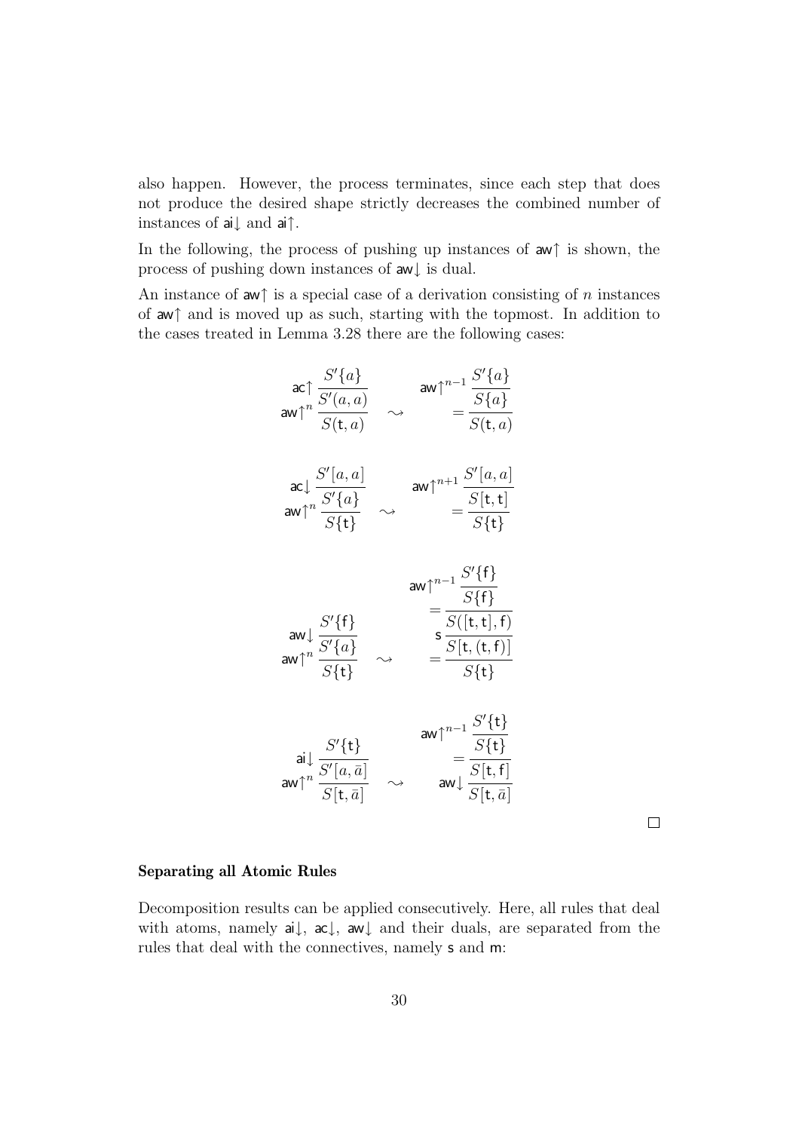also happen. However, the process terminates, since each step that does not produce the desired shape strictly decreases the combined number of instances of ai↓ and ai↑.

In the following, the process of pushing up instances of aw↑ is shown, the process of pushing down instances of aw↓ is dual.

An instance of aw↑ is a special case of a derivation consisting of n instances of aw↑ and is moved up as such, starting with the topmost. In addition to the cases treated in Lemma [3.28](#page-25-0) there are the following cases:

$$
\begin{array}{ccc}\n\text{ac}\uparrow \frac{S'\{a\}}{S'(a,a)} & \text{aw}\uparrow^{n-1} \frac{S'\{a\}}{S\{a\}} \\
\text{aw}\uparrow^n \frac{S'\{a,a}{S(t,a)} & \rightarrow & \frac{S'\{a\}}{S(t,a)} \\
\text{aw}\uparrow^n \frac{S'\{a\}}{S\{t\}} & \rightarrow & \frac{S''[a,a]}{S\{t\}} \\
\text{aw}\uparrow^n \frac{S'\{t\}}{S\{t\}} & \rightarrow & \frac{S'\{t\}}{S\{t\}} \\
\text{aw}\uparrow^n \frac{S'\{t\}}{S\{t\}} & \rightarrow & \frac{S'\{t\}}{S\{t\}} \\
\text{aw}\uparrow^n \frac{S'\{t\}}{S\{t\}} & \rightarrow & \frac{S(\mathbf{t},\mathbf{t}),\mathbf{f})}{S\{t\}} \\
\text{aw}\uparrow^n \frac{S'\{t\}}{S'\{t\}} & \rightarrow & \frac{S' \{t\}}{S\{t\}} \\
\text{aw}\uparrow^n \frac{S'\{t\}}{S[\mathbf{t},\bar{a}]} & \rightarrow & \text{aw}\uparrow^{n-1} \frac{S'\{t\}}{S[\mathbf{t},\bar{t}]} \\
\text{aw}\uparrow^n \frac{S'[\mathbf{t},\bar{a}]}{S[\mathbf{t},\bar{a}]} & \rightarrow & \text{aw}\downarrow \frac{S'[\mathbf{t},\bar{a}]}{S[\mathbf{t},\bar{a}]}\n\end{array}
$$

#### **Separating all Atomic Rules**

<span id="page-30-0"></span>Decomposition results can be applied consecutively. Here, all rules that deal with atoms, namely ai↓, ac↓, aw↓ and their duals, are separated from the rules that deal with the connectives, namely s and m: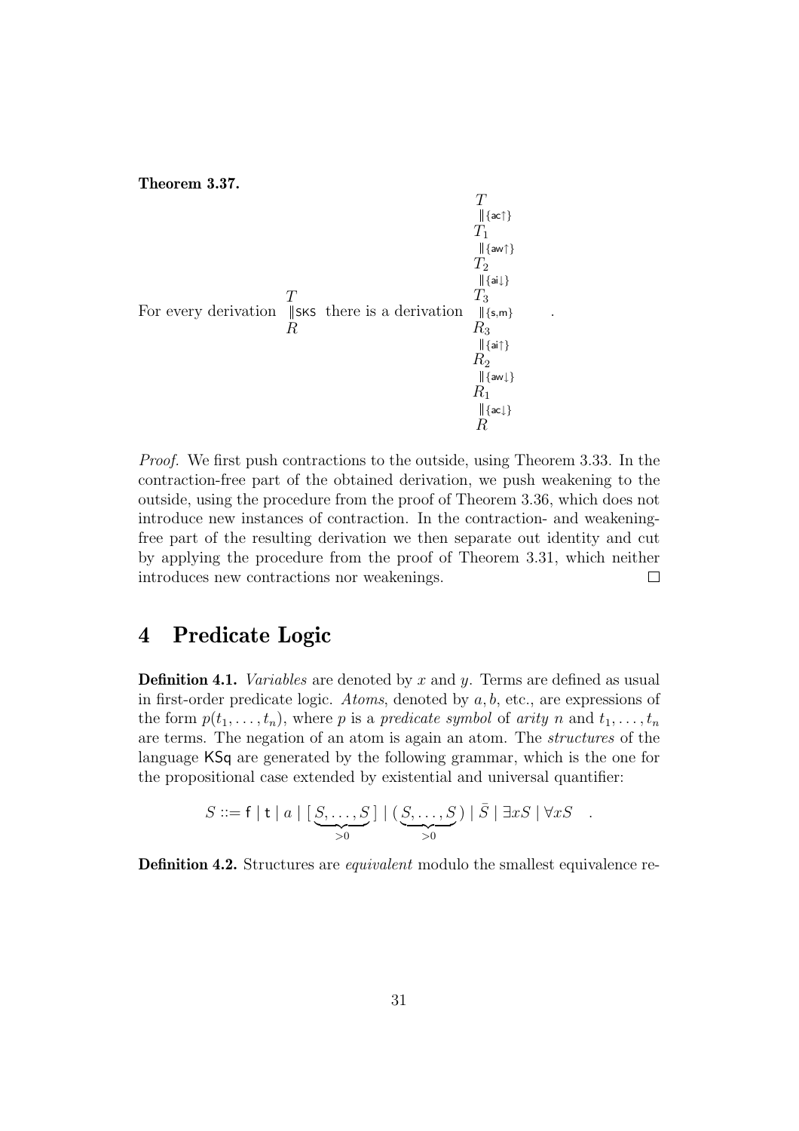**Theorem 3.37.**

$$
\begin{array}{c}\nT \\
T_1 \\
T_1 \\
T_2 \\
T_3 \\
T_4 \\
R_3 \\
R_2 \\
\text{[sat1]} \\
R_1 \\
\text{[at2]} \\
R_1 \\
\text{[at3]} \\
R_2 \\
\text{[at4]} \\
R_1 \\
\text{[at4]} \\
R_2 \\
\text{[at4]} \\
R_3 \\
\text{[at4]} \\
R_4 \\
\text{[at4]} \\
R_1 \\
\text{[at4]} \\
R_2 \\
\text{[at4]} \\
R_3 \\
\text{[at4]} \\
\text{[at4]} \\
R_4 \\
\text{[at4]} \\
\text{[at4]} \\
\text{[at4]} \\
\text{[at4]} \\
\text{[at4]} \\
\text{[at4]} \\
\text{[at4]} \\
\text{[at4]} \\
\text{[at4]} \\
\text{[at4]} \\
\text{[at4]} \\
\text{[at4]} \\
\text{[at4]} \\
\text{[at4]} \\
\text{[at4]} \\
\text{[at4]} \\
\text{[at4]} \\
\text{[at4]} \\
\text{[at4]} \\
\text{[at4]} \\
\text{[at4]} \\
\text{[at4]} \\
\text{[at4]} \\
\text{[at4]} \\
\text{[at4]} \\
\text{[at4]} \\
\text{[at4]} \\
\text{[at4]} \\
\text{[at4]} \\
\text{[at4]} \\
\text{[at4]} \\
\text{[at4]} \\
\text{[at4]} \\
\text{[at4]} \\
\text{[at4]} \\
\text{[at4]} \\
\text{[at4]} \\
\text{[at4]} \\
\text{[at4]} \\
\text{[at4]} \\
\text{[at4]} \\
\text{[at4]} \\
\text{[at4]} \\
\text{[at4]} \\
\text{[at4]} \\
\text{[at4]} \\
\text{[at4]} \\
\text{[at4]} \\
\text{[at4]} \\
\text{[at4]} \\
\text{[at4]} \\
\text{[at4]} \\
\text{[at4]} \\
\text{[at4]} \\
\text{[at4]} \\
\text{[at4]} \\
\text{[at4]} \\
\text{[at4]} \\
\text{[at4]} \\
\text{[at4]} \\
\text{[at4]} \\
\text{[at4]} \\
\text{[at4]} \\
\text{[at4]} \\
\text{[at4]} \\
\text{[at4]} \\
\text{[at4]} \\
\text{[at4]} \\
\text{[at4]} \\
\text{[at4]} \\
\text{[at4]} \\
\text{[at4]} \\
\text{[at4
$$

Proof. We first push contractions to the outside, using Theorem [3.33.](#page-27-0) In the contraction-free part of the obtained derivation, we push weakening to the outside, using the procedure from the proof of Theorem [3.36,](#page-29-0) which does not introduce new instances of contraction. In the contraction- and weakeningfree part of the resulting derivation we then separate out identity and cut by applying the procedure from the proof of Theorem [3.31,](#page-26-1) which neither introduces new contractions nor weakenings.  $\Box$ 

.

## <span id="page-31-0"></span>**4 Predicate Logic**

**Definition 4.1.** *Variables* are denoted by x and y. Terms are defined as usual in first-order predicate logic. Atoms, denoted by a, b, etc., are expressions of the form  $p(t_1,\ldots,t_n)$ , where p is a predicate symbol of arity n and  $t_1,\ldots,t_n$ are terms. The negation of an atom is again an atom. The structures of the language KSq are generated by the following grammar, which is the one for the propositional case extended by existential and universal quantifier:

$$
S ::= f | t | a | [S, \ldots, S] | (S, \ldots, S) | \overline{S} | \exists x S | \forall x S .
$$

**Definition 4.2.** Structures are *equivalent* modulo the smallest equivalence re-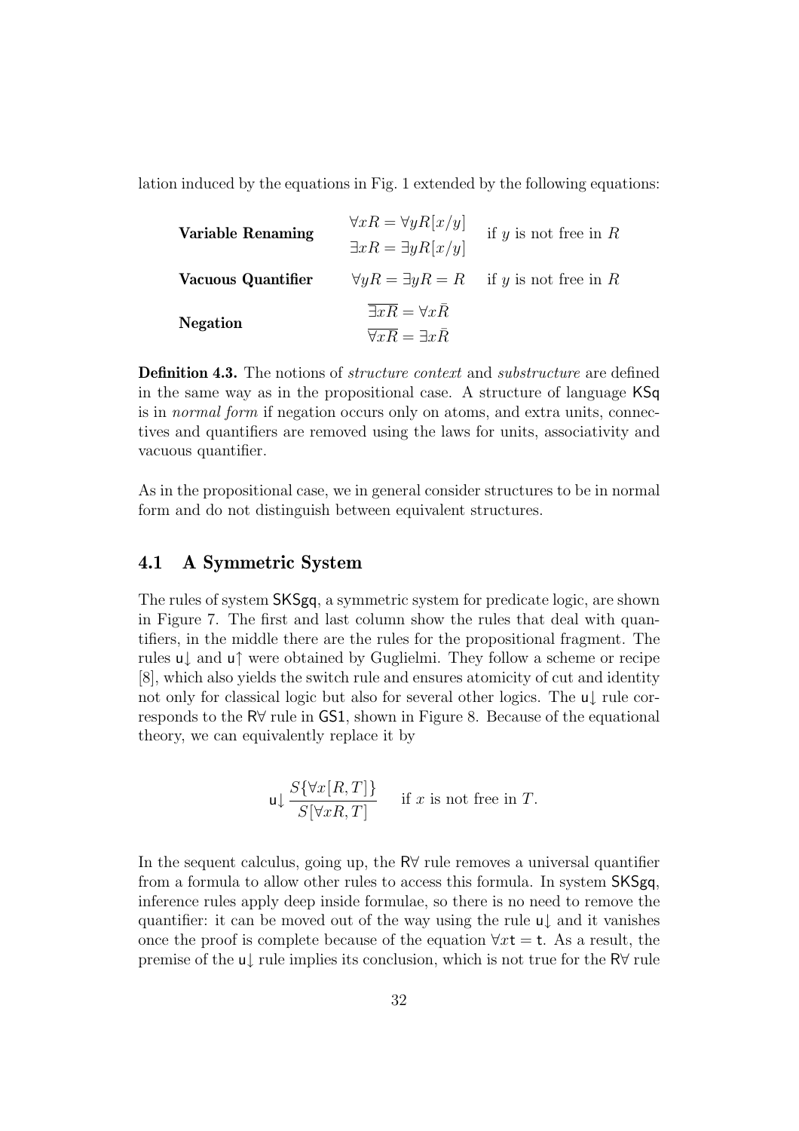lation induced by the equations in Fig. [1](#page-4-0) extended by the following equations:

| <b>Variable Renaming</b> | $\forall x R = \forall y R[x/y]$<br>$\exists x R = \exists y R[x/y]$ | if $y$ is not free in $R$                             |
|--------------------------|----------------------------------------------------------------------|-------------------------------------------------------|
| Vacuous Quantifier       |                                                                      | $\forall y R = \exists y R = R$ if y is not free in R |
|                          | $\overline{\exists xR} = \forall x\overline{R}$                      |                                                       |
| <b>Negation</b>          | $\forall x \overline{R} = \exists x \overline{R}$                    |                                                       |

**Definition 4.3.** The notions of *structure context* and *substructure* are defined in the same way as in the propositional case. A structure of language KSq is in normal form if negation occurs only on atoms, and extra units, connectives and quantifiers are removed using the laws for units, associativity and vacuous quantifier.

As in the propositional case, we in general consider structures to be in normal form and do not distinguish between equivalent structures.

## <span id="page-32-0"></span>**4.1 A Symmetric System**

The rules of system SKSgq, a symmetric system for predicate logic, are shown in Figure [7.](#page-33-1) The first and last column show the rules that deal with quantifiers, in the middle there are the rules for the propositional fragment. The rules u↓ and u↑ were obtained by Guglielmi. They follow a scheme or recipe [\[8\]](#page-47-9), which also yields the switch rule and ensures atomicity of cut and identity not only for classical logic but also for several other logics. The u↓ rule corresponds to the R∀ rule in GS1, shown in Figure [8.](#page-34-0) Because of the equational theory, we can equivalently replace it by

$$
\mathsf{u} \downarrow \frac{S\{\forall x[R,T]\}}{S[\forall xR,T]} \quad \text{if } x \text{ is not free in } T.
$$

In the sequent calculus, going up, the R∀ rule removes a universal quantifier from a formula to allow other rules to access this formula. In system SKSgq, inference rules apply deep inside formulae, so there is no need to remove the quantifier: it can be moved out of the way using the rule u↓ and it vanishes once the proof is complete because of the equation  $\forall x \mathsf{t} = \mathsf{t}$ . As a result, the premise of the u↓ rule implies its conclusion, which is not true for the R∀ rule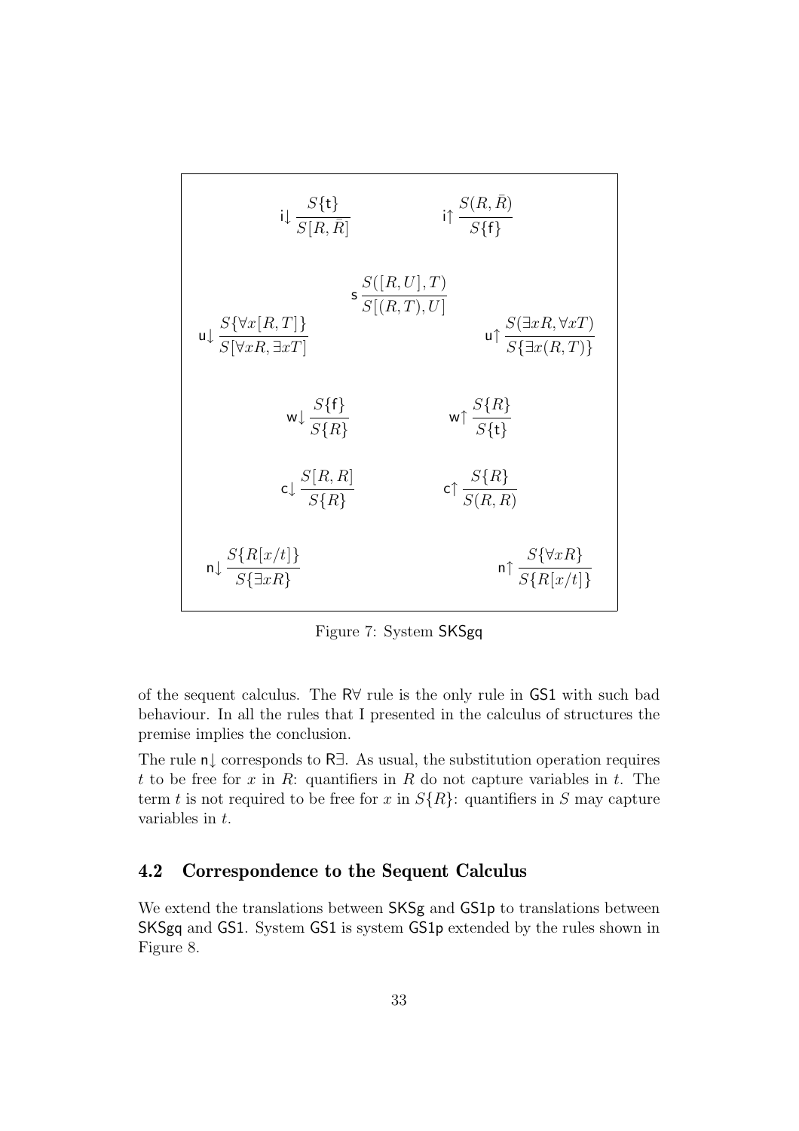

<span id="page-33-1"></span>Figure 7: System SKSgq

of the sequent calculus. The R∀ rule is the only rule in GS1 with such bad behaviour. In all the rules that I presented in the calculus of structures the premise implies the conclusion.

The rule n↓ corresponds to R∃. As usual, the substitution operation requires t to be free for x in R: quantifiers in R do not capture variables in t. The term t is not required to be free for x in  $S\{R\}$ : quantifiers in S may capture variables in t.

## <span id="page-33-0"></span>**4.2 Correspondence to the Sequent Calculus**

We extend the translations between SKSg and GS1p to translations between SKSgq and GS1. System GS1 is system GS1p extended by the rules shown in Figure [8.](#page-34-0)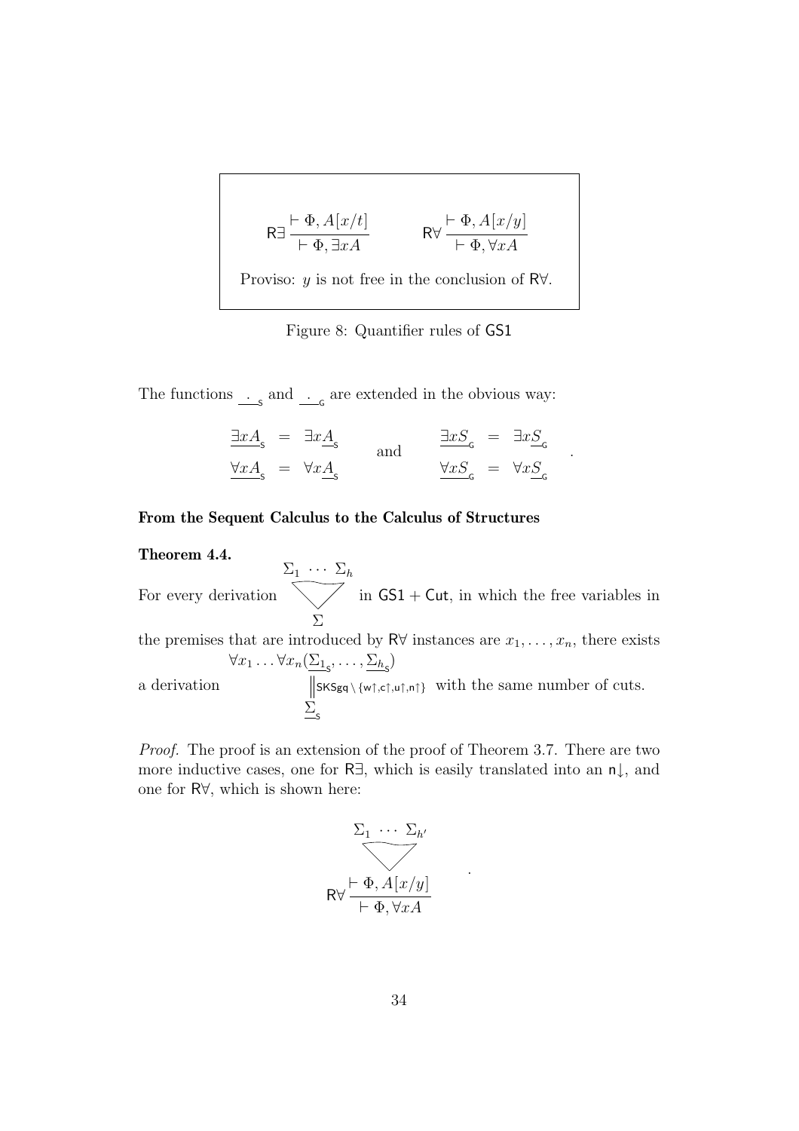$$
R \exists \frac{\vdash \Phi, A[x/t]}{\vdash \Phi, \exists x A} \qquad R \forall \frac{\vdash \Phi, A[x/y]}{\vdash \Phi, \forall x A}
$$
  
Proviso: *y* is not free in the conclusion of R $\forall$ .

<span id="page-34-0"></span>Figure 8: Quantifier rules of GS1

The functions  $\frac{S}{S}$  and  $\frac{S}{S}$  are extended in the obvious way:

$$
\frac{\exists x A_{\rm s}}{\forall x A_{\rm s}} = \exists x \underline{A}_{\rm s} \quad \text{and} \quad \frac{\exists x S_{\rm c}}{\forall x S_{\rm c}} = \exists x \underline{S}_{\rm c} \n\frac{\forall x A_{\rm s}} = \forall x \underline{A}_{\rm s}
$$

.

### **From the Sequent Calculus to the Calculus of Structures**

#### **Theorem 4.4.**

For every derivation  $\Sigma_1 \cdots \Sigma_h$ Σ in  $GS1 + Cut$ , in which the free variables in the premises that are introduced by R∀ instances are  $x_1, \ldots, x_n$ , there exists a derivation  $\forall x_1 \ldots \forall x_n (\underline{\Sigma_{1}}_s, \ldots, \underline{\Sigma_{h}}_s)$  $\frac{\sum_{s}}{s}$  $SKS_{gq} \setminus \{w\uparrow,c\uparrow,u\uparrow,n\uparrow\}$  with the same number of cuts.

Proof. The proof is an extension of the proof of Theorem [3.7.](#page-10-0) There are two more inductive cases, one for R∃, which is easily translated into an n↓, and one for R∀, which is shown here:

$$
\sum_{1} \cdots \sum_{h'} \sqrt{\frac{\sum_{j} \sum_{j=1}^{h'} x_j}{\sum_{j=1}^{h'} x_j}}
$$

.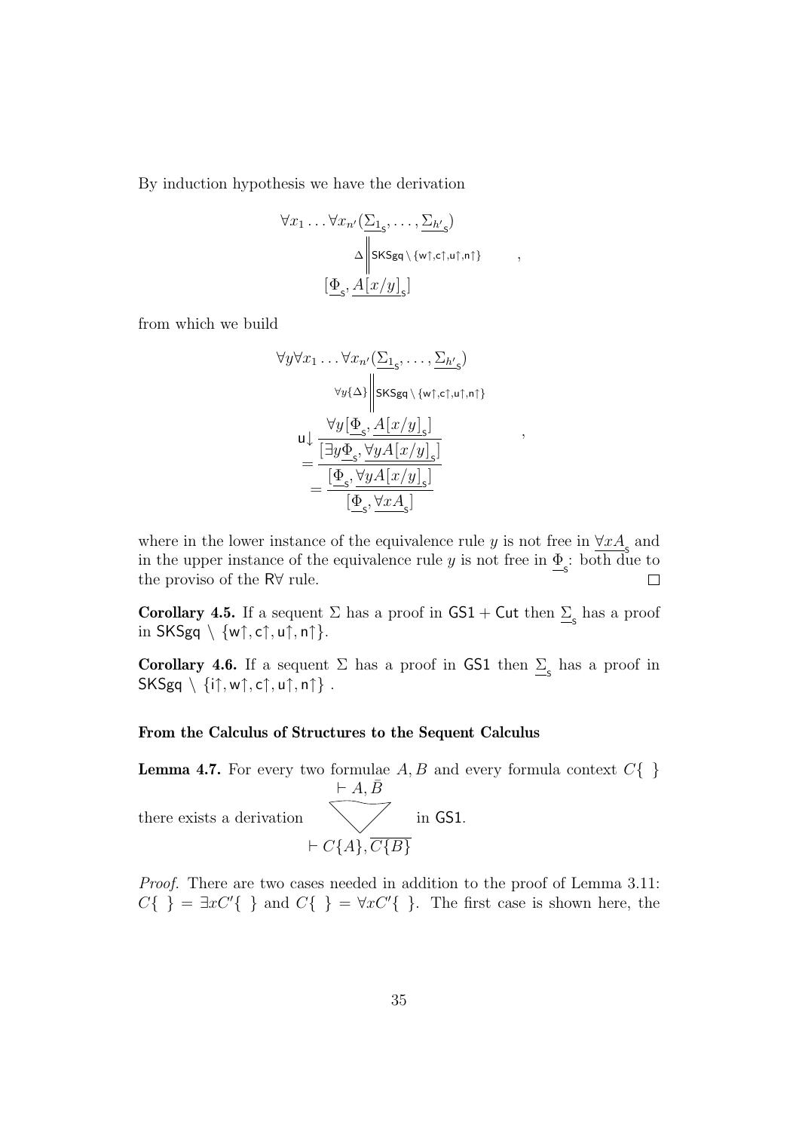By induction hypothesis we have the derivation

$$
\forall x_1 \dots \forall x_{n'} \left( \frac{\sum_{1_{\varsigma}}, \dots, \sum_{h'_{\varsigma}} \right) \\
\Delta \middle\| \mathsf{SKSgq} \setminus \{ \mathsf{wt}, \mathsf{cf}, \mathsf{ut}, \mathsf{nt} \} \right\},
$$
\n
$$
\left[ \underline{\Phi}_{\varsigma}, \underline{A \left[ x/y \right]_{\varsigma}} \right]
$$

from which we build

$$
\forall y \forall x_1 \dots \forall x_{n'} \left( \frac{\sum_{1_{\varsigma}}, \dots, \sum_{h'} \varsigma \right)
$$

$$
\forall y \{\Delta\} \middle\vert \text{SKSgq} \setminus \{ \text{wt}, \text{cf}, \text{wt}, \text{nt} \}
$$

$$
u \downarrow \frac{\forall y \left[ \underline{\Phi}_{\varsigma}, A[x/y]_{\varsigma} \right]}{\left[ \underline{\exists y \underline{\Phi}_{\varsigma}, \forall y A[x/y]_{\varsigma} \right]}
$$

$$
= \frac{\left[ \underline{\Phi}_{\varsigma}, \forall y A[x/y]_{\varsigma} \right]}{\left[ \underline{\Phi}_{\varsigma}, \forall x A_{\varsigma} \right]}
$$

,

where in the lower instance of the equivalence rule y is not free in  $\forall x A_s$  and in the upper instance of the equivalence rule y is not free in  $\underline{\Phi}_{s}$ : both due to the proviso of the R∀ rule.  $\Box$ 

<span id="page-35-1"></span>**Corollary 4.5.** If a sequent  $\Sigma$  has a proof in  $GS1 + Cut$  then  $\Sigma_s$  has a proof in  $SKSgq \setminus \{w\mathord\uparrow, c\mathord\uparrow, u\mathord\uparrow, n\mathord\uparrow\}.$ 

<span id="page-35-2"></span>**Corollary 4.6.** If a sequent  $\Sigma$  has a proof in GS1 then  $\Sigma$ <sub>s</sub> has a proof in  $SKSga \setminus \{i\uparrow, w\uparrow, c\uparrow, u\uparrow, n\uparrow\}$ .

#### **From the Calculus of Structures to the Sequent Calculus**

<span id="page-35-0"></span>**Lemma 4.7.** For every two formulae  $A, B$  and every formula context  $C\{\}$ there exists a derivation  $\vdash A, \bar{B}$  $\vdash C\{A\}, \overline{C\{B\}}$ in GS1.

Proof. There are two cases needed in addition to the proof of Lemma [3.11:](#page-12-0)  $C\{\}\ = \exists x C'\{\}\$  and  $C\{\}\ = \forall x C'\{\}\.$  The first case is shown here, the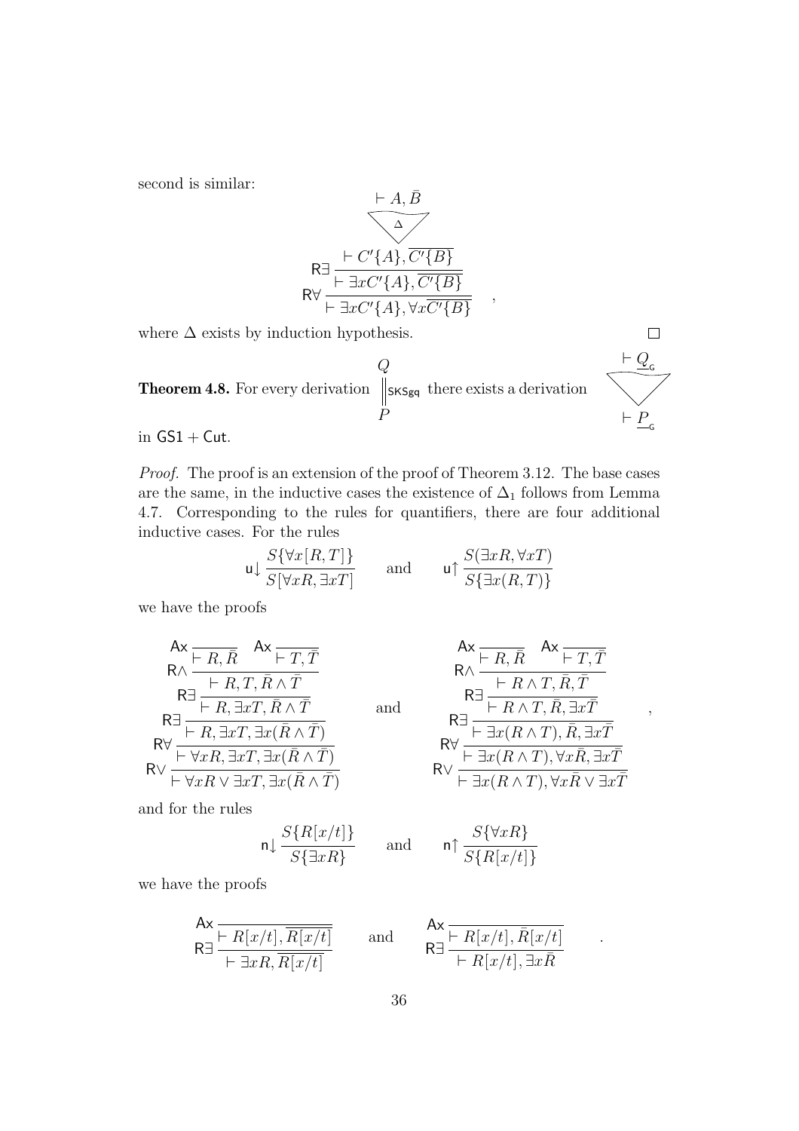second is similar:

$$
\begin{array}{r}\n \leftarrow A, \overline{B} \\
\hline\n R\n\end{array}
$$
\n
$$
\begin{array}{r}\n \leftarrow C'\{A\}, \overline{C'\{B\}} \\
 \hline\n R \vee \leftarrow \exists x C'\{A\}, \overline{C'\{B\}} \\
 \leftarrow \exists x C'\{A\}, \forall x \overline{C'\{B\}}\n\end{array}
$$

<span id="page-36-0"></span>where  $\Delta$  exists by induction hypothesis.

**Theorem 4.8.** For every derivation  $\,Q$ P SKSgq there exists a derivation  $\vdash Q$ <sub>G</sub>  $\vdash P$ <sub>G</sub>

in  $GS1 + Cut$ .

Proof. The proof is an extension of the proof of Theorem [3.12.](#page-13-0) The base cases are the same, in the inductive cases the existence of  $\Delta_1$  follows from Lemma [4.7.](#page-35-0) Corresponding to the rules for quantifiers, there are four additional inductive cases. For the rules

$$
\mathsf{u} \downarrow \frac{S\{\forall x [R, T]\}}{S[\forall x R, \exists x T]} \qquad \text{and} \qquad \mathsf{u} \uparrow \frac{S(\exists x R, \forall x T)}{S\{\exists x (R, T)\}}
$$

we have the proofs

$$
Ax = R, \overline{R} \qquad Ax = \overline{T, \overline{T}}
$$
  
\n
$$
R\Delta = \frac{\overline{R}, \overline{R}, \overline{R} \wedge \overline{T}}{\overline{R}, \overline{R}, \overline{R}, \overline{R} \wedge \overline{T}}
$$
  
\n
$$
R\Delta = \frac{\overline{R}}{\overline{R}, \overline{R}, \overline{R}, \overline{R} \wedge \overline{T}} \qquad \text{and}
$$
  
\n
$$
R\Delta = \frac{\overline{R}}{\overline{R}, \overline{R}, \overline{R}, \overline{R} \wedge \overline{T}}
$$
  
\n
$$
R\Delta = \frac{\overline{R}}{\overline{R}, \overline{R}, \overline{R}, \overline{R}, \overline{R} \wedge \overline{T}}
$$
  
\n
$$
R\Delta = \frac{\overline{R}}{\overline{R}, \overline{R}, \overline{R}, \overline{R} \wedge \overline{T}}
$$

and for the rules

$$
\mathsf{n} \downarrow \frac{S\{R[x/t]\}}{S\{\exists x R\}} \qquad \text{and} \qquad
$$

$$
A x \overline{R} A x \overline{R}
$$
\n
$$
R \overline{R} A x \overline{R}
$$
\n
$$
R \overline{R}
$$
\n
$$
R \overline{R}
$$
\n
$$
R \overline{R}
$$
\n
$$
R \overline{R}
$$
\n
$$
R \overline{R}
$$
\n
$$
R \overline{R}
$$
\n
$$
R \overline{R}
$$
\n
$$
R \overline{R}
$$
\n
$$
R \overline{R}
$$
\n
$$
R \overline{R}
$$
\n
$$
R \overline{R}
$$
\n
$$
R \overline{R}
$$
\n
$$
R \overline{R}
$$
\n
$$
R \overline{R}
$$
\n
$$
R \overline{R}
$$
\n
$$
R \overline{R}
$$
\n
$$
R \overline{R}
$$
\n
$$
R \overline{R}
$$
\n
$$
R \overline{R}
$$
\n
$$
R \overline{R}
$$
\n
$$
R \overline{R}
$$
\n
$$
R \overline{R}
$$
\n
$$
R \overline{R}
$$
\n
$$
R \overline{R}
$$
\n
$$
R \overline{R}
$$
\n
$$
R \overline{R}
$$
\n
$$
R \overline{R}
$$
\n
$$
R \overline{R}
$$
\n
$$
R \overline{R}
$$
\n
$$
R \overline{R}
$$
\n
$$
R \overline{R}
$$
\n
$$
R \overline{R}
$$
\n
$$
R \overline{R}
$$
\n
$$
R \overline{R}
$$
\n
$$
R \overline{R}
$$
\n
$$
R \overline{R}
$$
\n
$$
R \overline{R}
$$
\n
$$
R \overline{R}
$$
\n
$$
R \overline{R}
$$
\n
$$
R \overline{R}
$$
\n
$$
R \overline{R}
$$
\n
$$
R \overline{R}
$$
\n
$$
R \overline{R}
$$
\n
$$
R \overline{R}
$$
\n
$$
R \overline{R
$$

,

 $\Box$ 

.

$$
\mathsf{n}\!\upharpoonright \frac{S\{\forall xR\}}{S\{R[x/t]\}}
$$

we have the proofs

$$
\mathsf{Ax} \xrightarrow[\mathsf{F} \exists x R, \overline{R[x/t]} \mathsf{H} \mathsf{H} \mathsf{H} \mathsf{H} \mathsf{H} \mathsf{H} \mathsf{H} \mathsf{H} \mathsf{H} \mathsf{H} \mathsf{H} \mathsf{H} \mathsf{H} \mathsf{H} \mathsf{H} \mathsf{H} \mathsf{H} \mathsf{H} \mathsf{H} \mathsf{H} \mathsf{H} \mathsf{H} \mathsf{H} \mathsf{H} \mathsf{H} \mathsf{H} \mathsf{H} \mathsf{H} \mathsf{H} \mathsf{H} \mathsf{H} \mathsf{H} \mathsf{H} \mathsf{H} \mathsf{H} \mathsf{H} \mathsf{H} \mathsf{H} \mathsf{H} \mathsf{H} \mathsf{H} \mathsf{H} \mathsf{H} \mathsf{H} \mathsf{H} \mathsf{H} \mathsf{H} \mathsf{H} \mathsf{H} \mathsf{H} \mathsf{H} \mathsf{H} \mathsf{H} \mathsf{H} \mathsf{H} \mathsf{H} \mathsf{H} \mathsf{H} \mathsf{H} \mathsf{H} \mathsf{H} \mathsf{H} \mathsf{H} \mathsf{H} \mathsf{H} \mathsf{H} \mathsf{H} \mathsf{H} \mathsf{H} \mathsf{H} \mathsf{H} \mathsf{H} \mathsf{H} \mathsf{H} \mathsf{H} \mathsf{H} \mathsf{H} \mathsf{H} \mathsf{H} \mathsf{H} \mathsf{H} \mathsf{H} \mathsf{H} \mathsf{H} \mathsf{H} \mathsf{H} \mathsf{H} \mathsf{H} \mathsf{H} \mathsf{H} \mathsf{H} \mathsf{H} \mathsf{H} \mathsf{H} \mathsf{H} \mathsf{H} \mathsf{H} \mathsf{H} \mathsf{H} \mathsf{H} \mathsf{H} \mathsf{H} \mathsf{H} \mathsf{H} \mathsf{H} \mathsf{H} \mathsf{H} \mathsf{H} \mathsf{H} \mathsf{H} \mathsf{H} \mathsf{H} \mathsf{H} \mathsf{H} \mathsf{H} \mathsf{H} \mathsf{H} \mathsf{H} \mathsf{H} \mathsf{H} \mathsf{H} \mathsf{H}
$$

$$
\mathsf{Ax} \, \frac{\vdash R[x/t], \bar{R}[x/t]}{\vdash R[x/t], \exists x \bar{R}}
$$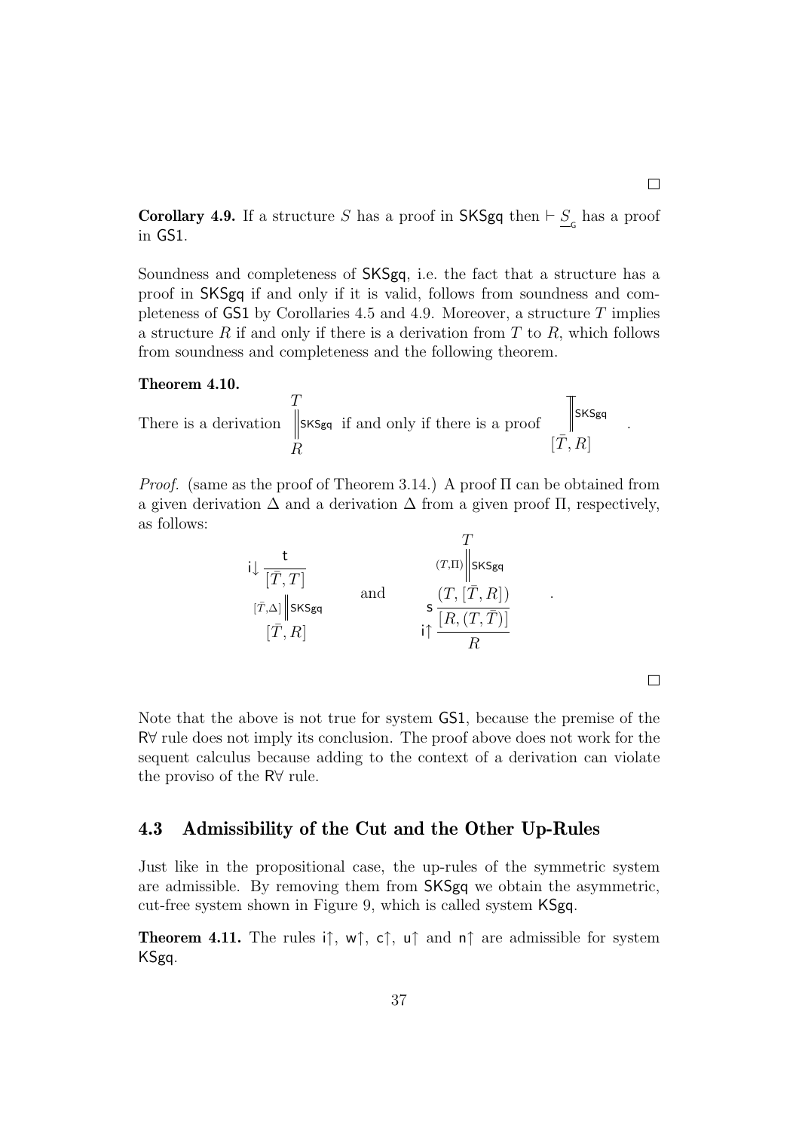<span id="page-37-1"></span>**Corollary 4.9.** If a structure S has a proof in SKSgq then  $\vdash \underline{S}_{\subseteq}$  has a proof in GS1.

Soundness and completeness of SKSgq, i.e. the fact that a structure has a proof in SKSgq if and only if it is valid, follows from soundness and com-pleteness of GS1 by Corollaries [4.5](#page-35-1) and [4.9.](#page-37-1) Moreover, a structure  $T$  implies a structure  $R$  if and only if there is a derivation from  $T$  to  $R$ , which follows from soundness and completeness and the following theorem.

#### **Theorem 4.10.**

There is a derivation 
$$
\begin{array}{c}\nT \\
\parallel \text{SKSgq} \\
R\n\end{array}
$$
 if and only if there is a proof 
$$
\begin{array}{c}\n\parallel \text{SKSgq} \\
[\bar{T}, R]\n\end{array}
$$

 $\overline{a}$ 

*Proof.* (same as the proof of Theorem [3.14.](#page-15-1)) A proof  $\Pi$  can be obtained from a given derivation  $\Delta$  and a derivation  $\Delta$  from a given proof  $\Pi$ , respectively, as follows:  $\sigma$ 

$$
i \downarrow \frac{t}{[\overline{T}, T]}
$$
\n
$$
[\overline{T}, R]
$$
\nand\n
$$
s \frac{(T, [\overline{T}, R])}{[R, (T, \overline{T})]}
$$
\n
$$
i \uparrow \frac{[R, (T, \overline{T})]}{R}
$$

 $\Box$ 

.

 $\Box$ 

.

Note that the above is not true for system GS1, because the premise of the R∀ rule does not imply its conclusion. The proof above does not work for the sequent calculus because adding to the context of a derivation can violate the proviso of the R∀ rule.

### <span id="page-37-0"></span>**4.3 Admissibility of the Cut and the Other Up-Rules**

Just like in the propositional case, the up-rules of the symmetric system are admissible. By removing them from SKSgq we obtain the asymmetric, cut-free system shown in Figure [9,](#page-38-1) which is called system KSgq.

**Theorem 4.11.** The rules i $\uparrow$ ,  $w\uparrow$ ,  $c\uparrow$ ,  $u\uparrow$  and  $n\uparrow$  are admissible for system KSgq.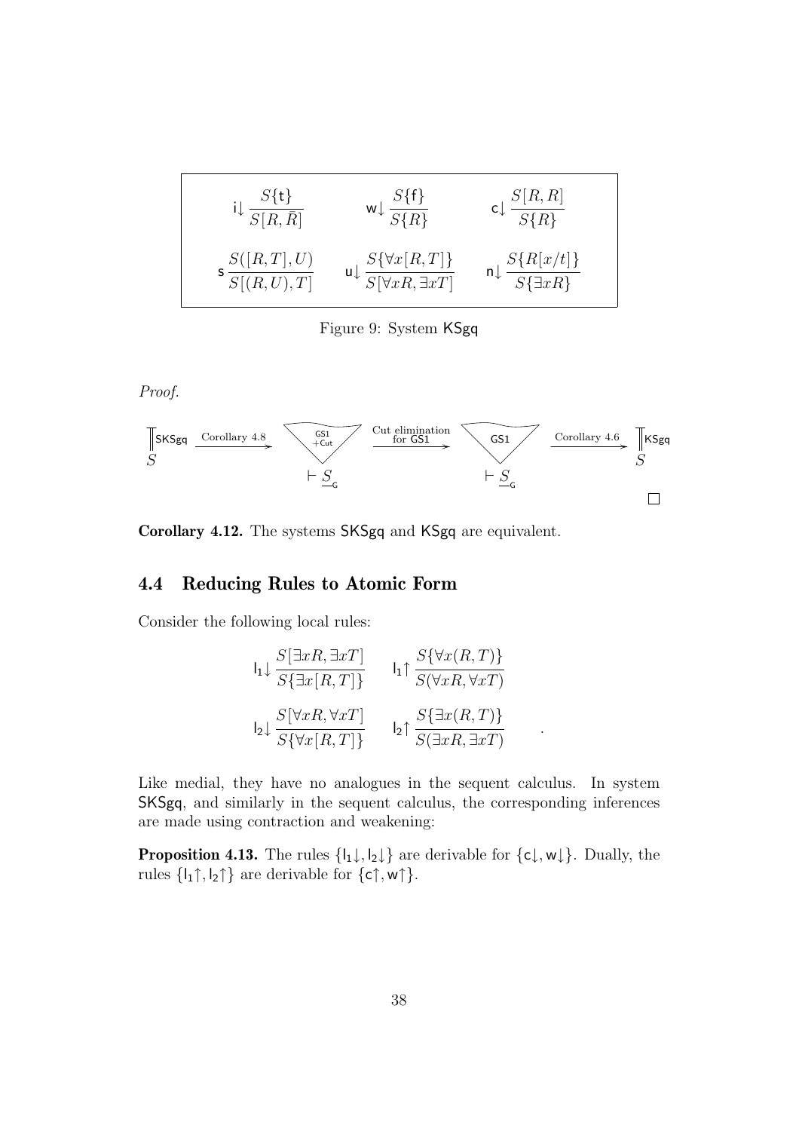| $S[R,\bar{R}]$ | $S\{\mathsf{f}\}$<br>$S\{R\}$ | S[R,R]<br>$S\{R\}$ |
|----------------|-------------------------------|--------------------|
| $S([R,T],U)$   | $S\{\forall x[R,T]\}$         | $S\{R[x/t]\}$      |
| S[(R,U),T]     | $S[\forall x R, \exists x T]$ | $S\{\exists xR\}$  |

<span id="page-38-1"></span>Figure 9: System KSgq

Proof.



<span id="page-38-0"></span>**Corollary 4.12.** The systems SKSgq and KSgq are equivalent.

## **4.4 Reducing Rules to Atomic Form**

Consider the following local rules:

$$
I_{1} \downarrow \frac{S[\exists xR, \exists xT]}{S\{\exists x[R, T]\}} \qquad I_{1} \uparrow \frac{S\{\forall x(R, T)\}}{S(\forall xR, \forall xT)}
$$

$$
I_{2} \downarrow \frac{S[\forall xR, \forall xT]}{S\{\forall x[R, T]\}} \qquad I_{2} \uparrow \frac{S\{\exists x(R, T)\}}{S(\exists xR, \exists xT)} \qquad .
$$

Like medial, they have no analogues in the sequent calculus. In system SKSgq, and similarly in the sequent calculus, the corresponding inferences are made using contraction and weakening:

<span id="page-38-2"></span>**Proposition 4.13.** The rules  $\{l_1 \downarrow, l_2 \downarrow\}$  are derivable for  $\{c \downarrow, w \downarrow\}$ . Dually, the rules  $\{I_1 \uparrow, I_2 \uparrow\}$  are derivable for  $\{c \uparrow, w \uparrow\}.$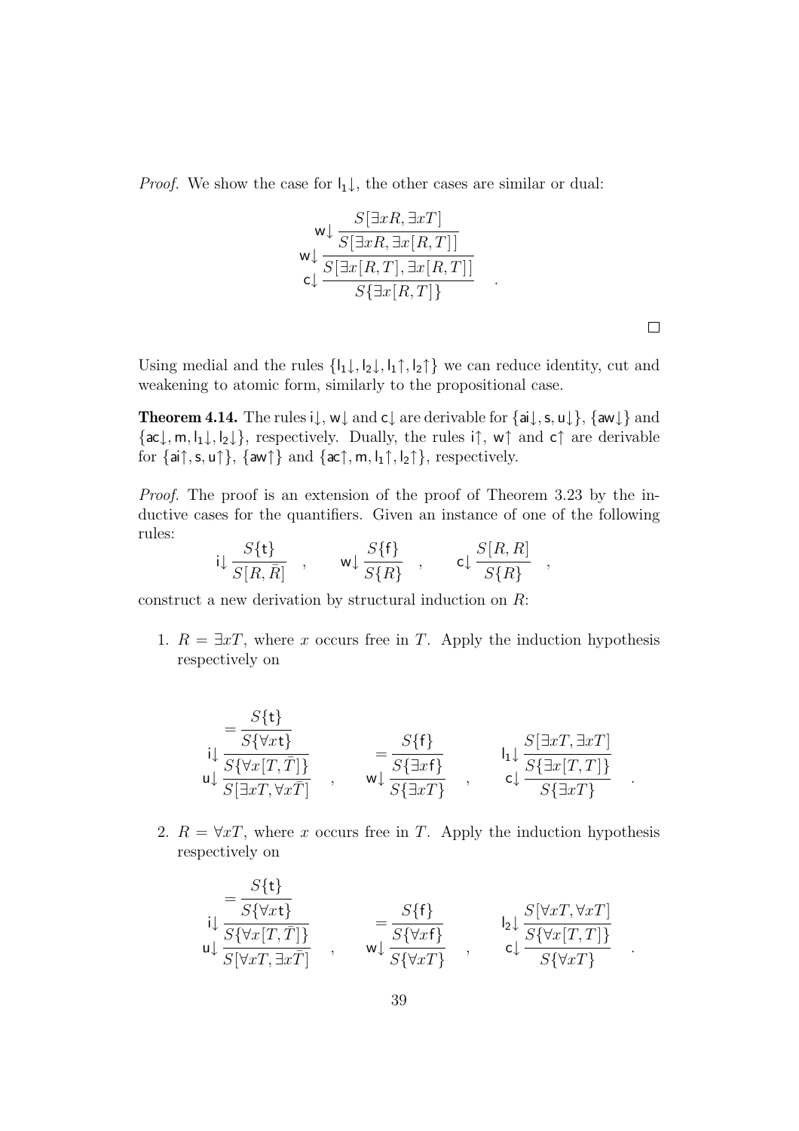*Proof.* We show the case for  $I_1\downarrow$ , the other cases are similar or dual:

$$
\begin{array}{c}\n\mathsf{w} \downarrow \frac{S[\exists xR, \exists xT]}{S[\exists xR, \exists x[R, T]]} \\
\mathsf{w} \downarrow \frac{S[\exists x[R, T], \exists x[R, T]]}{S[\exists x[R, T], \exists x[R, T]]} \\
\mathsf{c} \downarrow \frac{S[\exists x[R, T], \exists x[R, T]]}{S{\exists x[R, T]}}\n\end{array}
$$

 $\Box$ 

<span id="page-39-0"></span>Using medial and the rules  $\{l_1\downarrow, l_2\downarrow, l_1\uparrow, l_2\uparrow\}$  we can reduce identity, cut and weakening to atomic form, similarly to the propositional case.

**Theorem 4.14.** The rules  $i\downarrow$ ,  $w\downarrow$  and  $c\downarrow$  are derivable for  $\{ai\downarrow, s, u\downarrow\}$ ,  $\{aw\downarrow\}$  and  $\{\textsf{ac}\downarrow,\textsf{m},\textsf{l}_1\downarrow,\textsf{l}_2\downarrow\},\$ respectively. Dually, the rules i $\uparrow$ , w $\uparrow$  and  $\textsf{c}\uparrow$  are derivable for  $\{ai\uparrow, s, u\uparrow\}$ ,  $\{aw\uparrow\}$  and  $\{ac\uparrow, m, l_1\uparrow, l_2\uparrow\}$ , respectively.

Proof. The proof is an extension of the proof of Theorem [3.23](#page-20-0) by the inductive cases for the quantifiers. Given an instance of one of the following rules:

$$
i\downarrow \frac{S\{\mathbf{t}\}}{S[R,\bar{R}]}
$$
,  $w\downarrow \frac{S\{\mathbf{f}\}}{S\{R\}}$ ,  $c\downarrow \frac{S[R,R]}{S\{R\}}$ ,

construct a new derivation by structural induction on  $R$ :

1.  $R = \exists xT$ , where x occurs free in T. Apply the induction hypothesis respectively on

$$
\begin{aligned}\n&= \frac{S\{\mathbf{t}\}}{S\{\forall x \mathbf{t}\}} \\
&= \frac{S\{\mathbf{t}\}}{S\{\forall x [T, \overline{T}] \}} \\
&= \frac{S\{\mathbf{f}\}}{S\{\exists x T, \forall x \overline{T} \}}\n\end{aligned}\n\qquad\n\begin{aligned}\n&= \frac{S\{\mathbf{f}\}}{S\{\exists x \mathbf{f}\}} \\
&= \frac{S\{\mathbf{f}\}}{S\{\exists x \mathbf{f}\}}\n\end{aligned}\n\qquad\n\begin{aligned}\n&\mathbf{l}_1 \downarrow \frac{S[\exists x T, \exists x T]}{S\{\exists x [T, T] \}} \\
&= \frac{S\{\exists x [T, \overline{T}]\}}{S\{\exists x T\}}\n\end{aligned}
$$

2.  $R = \forall x T$ , where x occurs free in T. Apply the induction hypothesis respectively on

$$
\begin{aligned}\n&= \frac{S\{\mathbf{t}\}}{S\{\forall x \mathbf{t}\}} \\
&= \frac{S\{\mathbf{t}\}}{S\{\forall x [T, \bar{T}] \}} \\
&= \frac{S\{\mathbf{f}\}}{S\{\forall x \bar{T}, \bar{T} \}}\n\end{aligned}\n\quad \qquad\n\begin{aligned}\n&= \frac{S\{\mathbf{f}\}}{S\{\forall x \mathbf{f}\}} \\
&= \frac{S\{\mathbf{f}\}}{S\{\forall x \mathbf{f}\}}\n\end{aligned}\n\quad \qquad\n\begin{aligned}\n&= \frac{S[\forall x T, \forall x T]}{S\{\forall x [T, T] \}} \\
&= \frac{S[\forall x T, \forall x T]}{S\{\forall x T\}}\n\end{aligned}
$$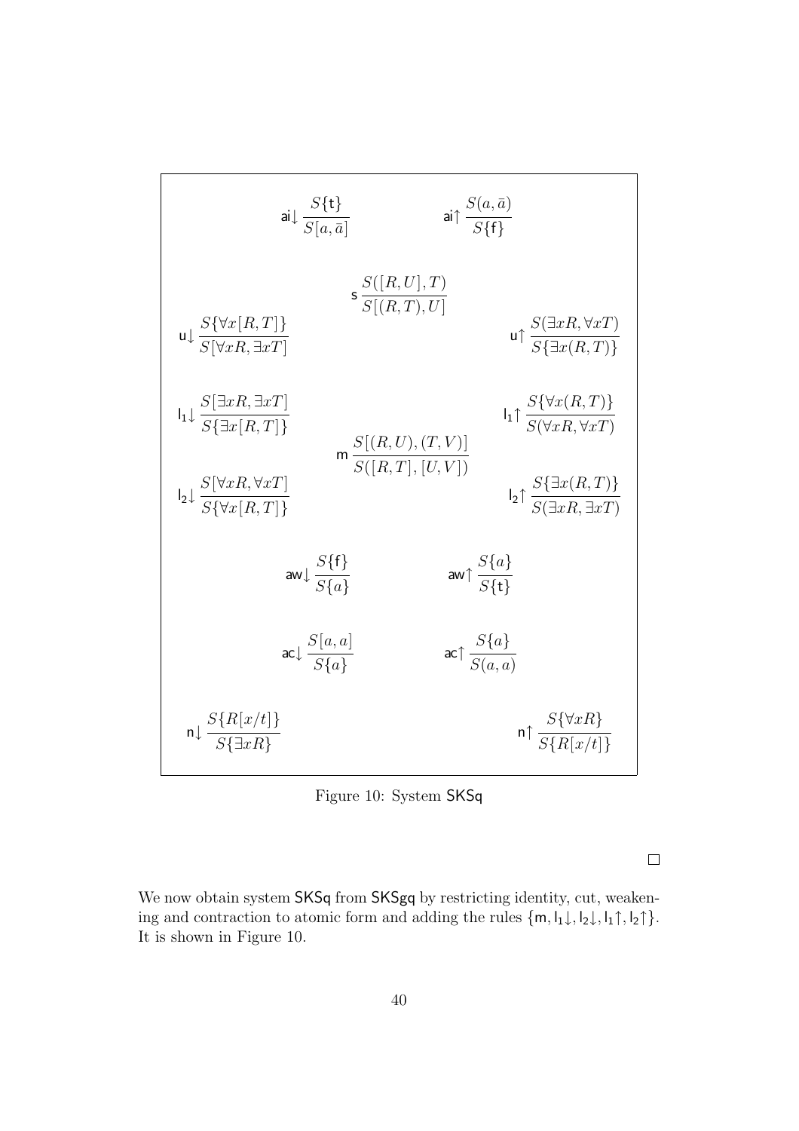$$
a\downarrow \frac{S\{\mathbf{t}\}}{S[a,\bar{a}]}\n a\uparrow \frac{S(a,\bar{a})}{S\{\mathbf{f}\}}
$$
\n
$$
a\uparrow \frac{S(a,\bar{a})}{S\{\mathbf{y}\}\mathbf{f}\}}
$$
\n
$$
a\uparrow \frac{S(\exists xR, \forall xT)}{S[\forall xR, \exists xT]}\n \qquad \qquad \mathbf{u}\uparrow \frac{S(\exists xR, \forall xT)}{S\{\exists x(R,T)\}}
$$
\n
$$
b\downarrow \frac{S[\exists xR, \exists xT]}{S\{\exists x[R,T]\}}\n \qquad \qquad b\downarrow \uparrow \frac{S(\forall x(R,T))}{S(\forall xR, \forall xT)}
$$
\n
$$
b\downarrow \frac{S[\forall xR, \forall xT]}{S\{\forall x[R,T]\}}\n \qquad \qquad \mathbf{u}\uparrow \frac{S\{\forall x(R,T)\}}{S(\forall xR, \forall xT)}
$$
\n
$$
b\downarrow \uparrow \frac{S\{\exists x(R,T)\}}{S(\exists xR, \exists xT)}
$$
\n
$$
a\mathbf{w}\downarrow \frac{S\{\mathbf{f}\}}{S\{\mathbf{a}\}}\n \qquad \qquad a\mathbf{w}\uparrow \frac{S\{a\}}{S\{\mathbf{t}\}}
$$
\n
$$
a\mathbf{c}\uparrow \frac{S\{a\}}{S(a,a)}
$$
\n
$$
a\downarrow \frac{S\{R[x/t]\}}{S\{\exists xR\}}\n \qquad \qquad \mathbf{n}\uparrow \frac{S\{\forall xR\}}{S\{R[x/t]\}}
$$

<span id="page-40-0"></span>Figure 10: System SKSq

 $\Box$ 

We now obtain system SKSq from SKSgq by restricting identity, cut, weakening and contraction to atomic form and adding the rules  $\{\textsf{m}, \textsf{l}_1\downarrow, \textsf{l}_2\downarrow, \textsf{l}_1\uparrow, \textsf{l}_2\uparrow\}.$ It is shown in Figure [10.](#page-40-0)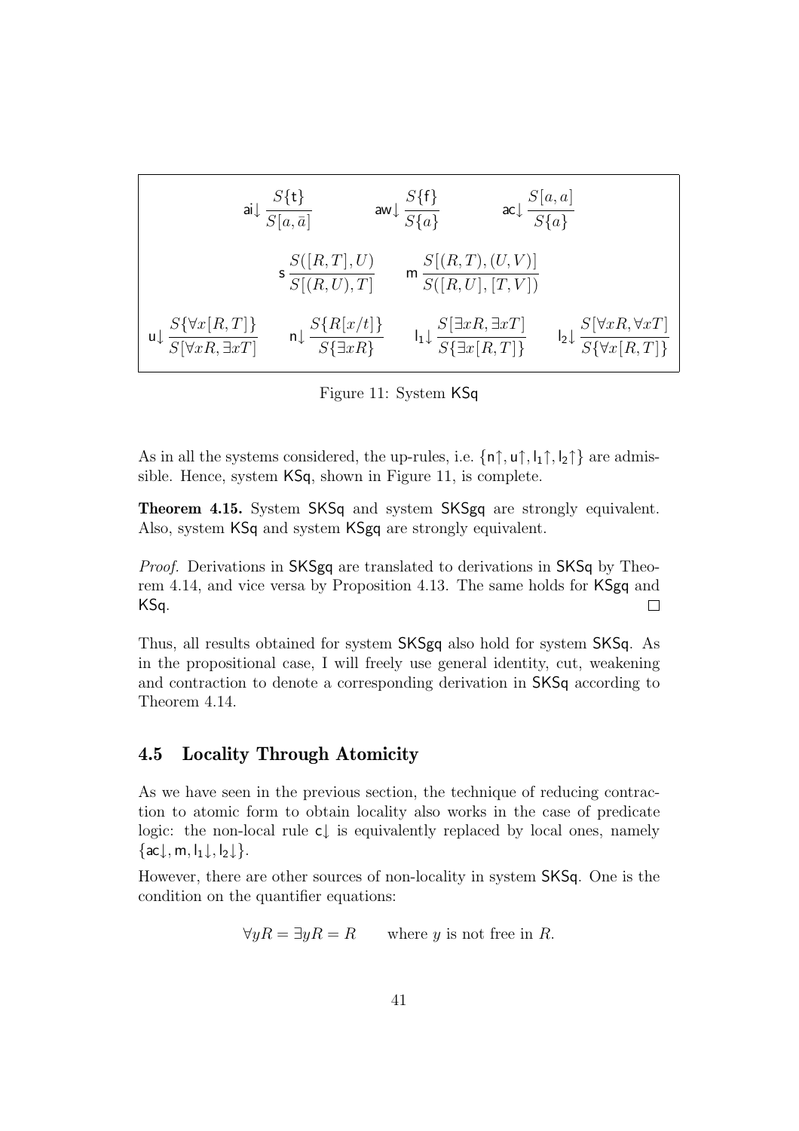$$
\begin{array}{cccc}\n\text{ai}\downarrow \frac{S\{\mathbf{t}\}}{S[a,\bar{a}]} & \text{aw}\downarrow \frac{S\{\mathbf{f}\}}{S\{a\}} & \text{ac}\downarrow \frac{S[a,a]}{S\{a\}} \\
& \text{s}\frac{S([R,T],U)}{S[(R,U),T]} & \text{m}\frac{S[(R,T),(U,V)]}{S([R,U],[T,V])} \\
\text{u}\downarrow \frac{S\{\forall x[R,T]\}}{S[\forall xR,\exists xT]} & \text{n}\downarrow \frac{S\{R[x/t]\}}{S\{\exists xR\}} & \text{l}\downarrow \frac{S[\exists xR,\exists xT]}{S\{\exists x[R,T]\}} & \text{l}\downarrow \frac{S[\forall xR,\forall xT]}{S\{\forall x[R,T]\}}\n\end{array}
$$

<span id="page-41-1"></span>Figure 11: System KSq

As in all the systems considered, the up-rules, i.e.  $\{n\}\, u\}$ ,  $\{1\}$ ,  $\{1\}$ ,  $\{2\}$  are admissible. Hence, system KSq, shown in Figure [11,](#page-41-1) is complete.

**Theorem 4.15.** System SKSq and system SKSgq are strongly equivalent. Also, system KSq and system KSgq are strongly equivalent.

Proof. Derivations in SKSgq are translated to derivations in SKSq by Theorem [4.14,](#page-39-0) and vice versa by Proposition [4.13.](#page-38-2) The same holds for KSgq and KSq.  $\Box$ 

Thus, all results obtained for system SKSgq also hold for system SKSq. As in the propositional case, I will freely use general identity, cut, weakening and contraction to denote a corresponding derivation in SKSq according to Theorem [4.14.](#page-39-0)

## <span id="page-41-0"></span>**4.5 Locality Through Atomicity**

As we have seen in the previous section, the technique of reducing contraction to atomic form to obtain locality also works in the case of predicate logic: the non-local rule c↓ is equivalently replaced by local ones, namely  $\{ac\downarrow, m, l_1\downarrow, l_2\downarrow\}.$ 

However, there are other sources of non-locality in system SKSq. One is the condition on the quantifier equations:

 $\forall yR = \exists yR = R$  where y is not free in R.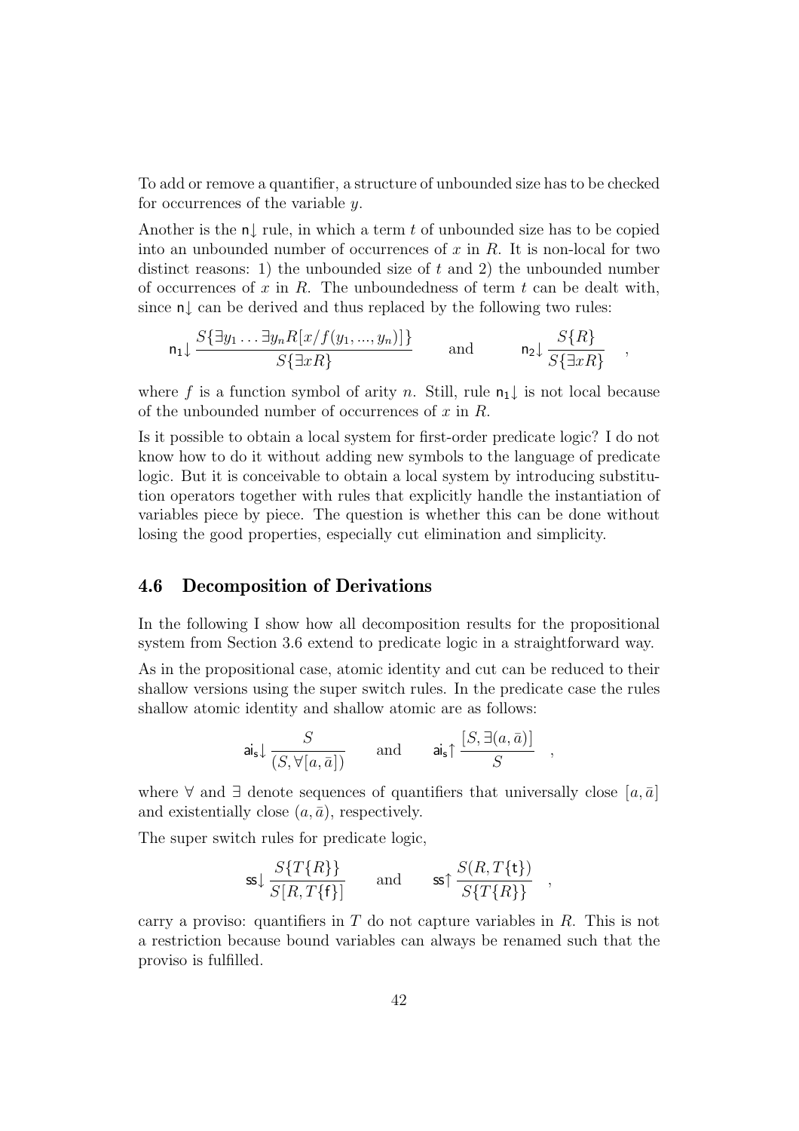To add or remove a quantifier, a structure of unbounded size has to be checked for occurrences of the variable y.

Another is the  $n \mid$  rule, in which a term t of unbounded size has to be copied into an unbounded number of occurrences of  $x$  in  $R$ . It is non-local for two distinct reasons: 1) the unbounded size of  $t$  and 2) the unbounded number of occurrences of x in R. The unboundedness of term t can be dealt with, since n↓ can be derived and thus replaced by the following two rules:

$$
\mathsf{n}_1 \downarrow \frac{S\{\exists y_1 \dots \exists y_n R[x/f(y_1, \dots, y_n)]\}}{S\{\exists x R\}} \quad \text{and} \quad \mathsf{n}_2 \downarrow \frac{S\{R\}}{S\{\exists x R\}} \quad ,
$$

where f is a function symbol of arity n. Still, rule  $n_1 \downarrow$  is not local because of the unbounded number of occurrences of  $x$  in  $R$ .

Is it possible to obtain a local system for first-order predicate logic? I do not know how to do it without adding new symbols to the language of predicate logic. But it is conceivable to obtain a local system by introducing substitution operators together with rules that explicitly handle the instantiation of variables piece by piece. The question is whether this can be done without losing the good properties, especially cut elimination and simplicity.

## <span id="page-42-0"></span>**4.6 Decomposition of Derivations**

In the following I show how all decomposition results for the propositional system from Section [3.6](#page-24-0) extend to predicate logic in a straightforward way.

As in the propositional case, atomic identity and cut can be reduced to their shallow versions using the super switch rules. In the predicate case the rules shallow atomic identity and shallow atomic are as follows:

$$
\mathsf{ai}_{\mathsf{s}} \downarrow \frac{S}{(S, \forall [a, \bar{a}])} \qquad \text{and} \qquad \mathsf{ai}_{\mathsf{s}} \uparrow \frac{[S, \exists (a, \bar{a})]}{S} \quad ,
$$

where  $\forall$  and  $\exists$  denote sequences of quantifiers that universally close  $[a, \bar{a}]$ and existentially close  $(a, \bar{a})$ , respectively.

The super switch rules for predicate logic,

$$
\text{ss}\downarrow \frac{S\{T\{R\}\}}{S[R,T\{f\}]}\qquad \text{and} \qquad \text{ss}\uparrow \frac{S(R,T\{\mathbf{t}\})}{S\{T\{R\}\}}\quad ,
$$

carry a proviso: quantifiers in  $T$  do not capture variables in  $R$ . This is not a restriction because bound variables can always be renamed such that the proviso is fulfilled.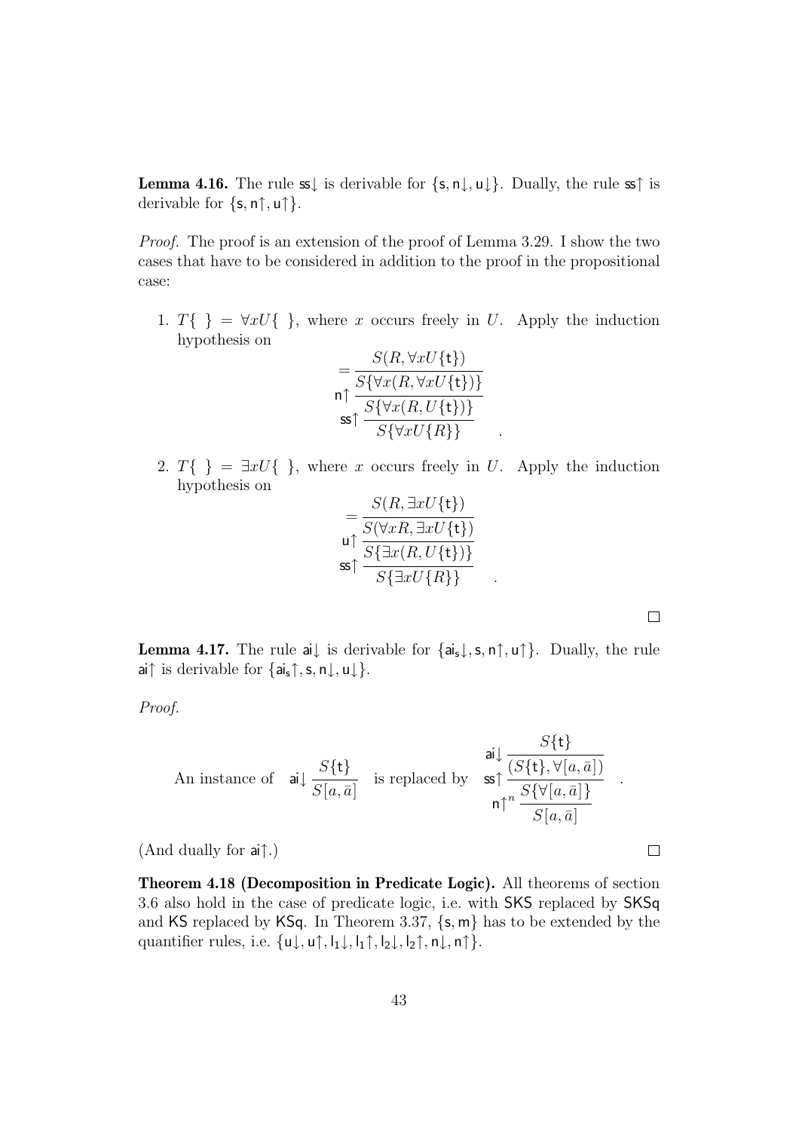**Lemma 4.16.** The rule  $s\downarrow$  is derivable for  $\{s, n\downarrow, u\downarrow\}$ . Dually, the rule  $s\uparrow$  is derivable for  $\{s, n\}$ ,  $\mathsf{u}\uparrow$  }.

Proof. The proof is an extension of the proof of Lemma [3.29.](#page-25-1) I show the two cases that have to be considered in addition to the proof in the propositional case:

1.  $T\{\} = \forall x U\{\}\}\,$ , where x occurs freely in U. Apply the induction hypothesis on

$$
= \frac{S(R, \forall x U\{\mathbf{t}\})}{S\{\forall x (R, \forall x U\{\mathbf{t}\})\}}
$$
  
\nn $\uparrow$  
$$
\frac{S\{\forall x (R, U\{\mathbf{t}\})\}}{S\{\forall x U\{R\}\}}
$$

2.  $T\{\} = \exists x U\{\}\}\,$ , where x occurs freely in U. Apply the induction hypothesis on

$$
= \frac{S(R, \exists x U\{\mathbf{t}\})}{S(\forall x R, \exists x U\{\mathbf{t}\})}
$$

$$
\text{us} \uparrow \frac{S\{\exists x (R, U\{\mathbf{t}\})\}}{S\{\exists x U\{R\}\}}.
$$

 $\Box$ 

 $\Box$ 

<span id="page-43-0"></span>**Lemma 4.17.** The rule ai $\downarrow$  is derivable for  $\{a_i, \downarrow, s, n\}$ ,  $\uparrow\}$ . Dually, the rule ai↑ is derivable for  $\{a_i, \uparrow, s, n \downarrow, u \downarrow\}.$ 

Proof.

An instance of 
$$
\text{ai}\downarrow \frac{S\{\mathbf{t}\}}{S[a,\bar{a}]}
$$
 is replaced by  $\text{ss}\uparrow \frac{S\{\mathbf{t}\}}{(S\{\mathbf{t}\}, \forall [a,\bar{a}])}$ .

(And dually for ai↑.)

**Theorem 4.18 (Decomposition in Predicate Logic).** All theorems of section [3.6](#page-24-0) also hold in the case of predicate logic, i.e. with SKS replaced by SKSq and KS replaced by KSq. In Theorem [3.37,](#page-30-0)  $\{s, m\}$  has to be extended by the quantifier rules, i.e.  $\{u\downarrow, u\uparrow, l_1\downarrow, l_1\uparrow, l_2\downarrow, l_2\uparrow, n\downarrow, n\uparrow\}.$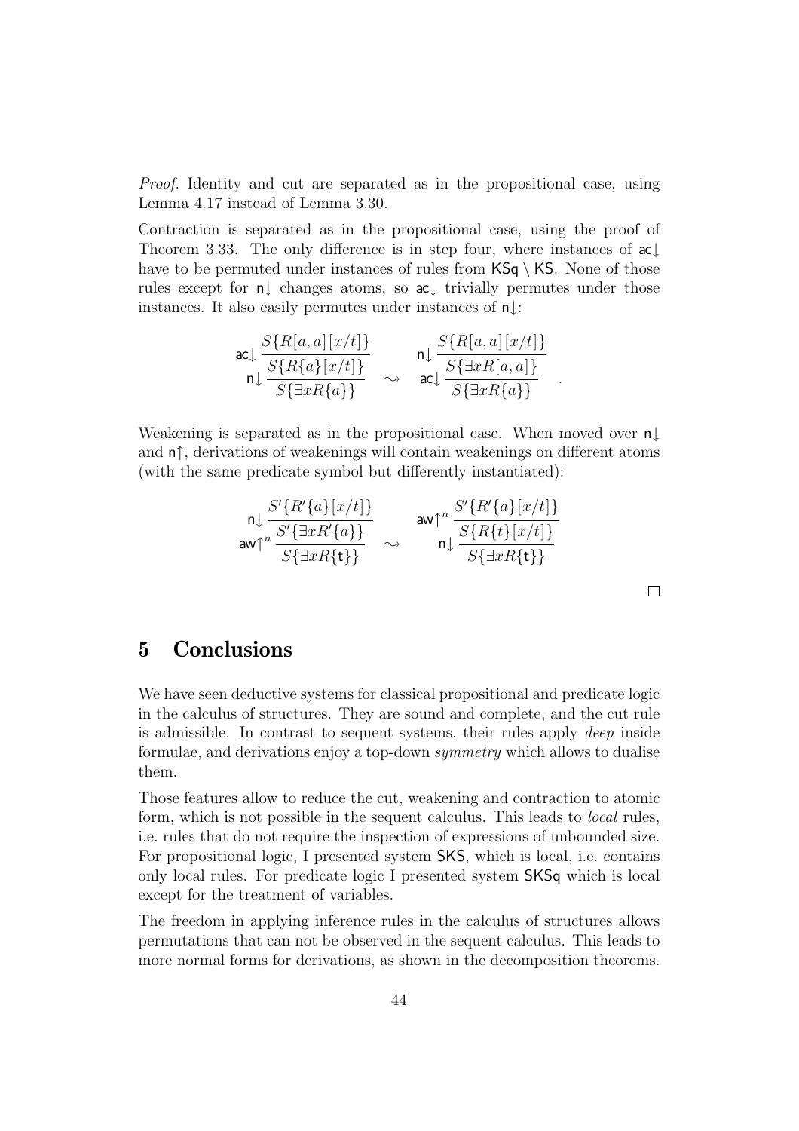Proof. Identity and cut are separated as in the propositional case, using Lemma [4.17](#page-43-0) instead of Lemma [3.30.](#page-26-0)

Contraction is separated as in the propositional case, using the proof of Theorem [3.33.](#page-27-0) The only difference is in step four, where instances of ac↓ have to be permuted under instances of rules from  $\text{KS}_q \setminus \text{KS}$ . None of those rules except for n↓ changes atoms, so ac↓ trivially permutes under those instances. It also easily permutes under instances of n↓:

$$
\operatorname{acl}\frac{S\{R[a,a][x/t]\}}{\operatorname{rl}\frac{S\{R\{a\}[x/t]\}}{S\{\exists xR\{a\}\}}}\n\sim\n\operatorname{acl}\frac{S\{R[a,a][x/t]\}}{\operatorname{acl}\frac{S\{\exists xR[a,a]\}}{S\{\exists xR\{a\}\}}}
$$

Weakening is separated as in the propositional case. When moved over n↓ and n↑, derivations of weakenings will contain weakenings on different atoms (with the same predicate symbol but differently instantiated):

$$
\frac{\mathsf{n} \downarrow \frac{S'\{R'\{a\}[x/t]\}}{S'\{\exists x R'\{a\}\}}}{\mathsf{aw} \uparrow^n} \sim \frac{S'\{R'\{a\}[x/t]\}}{\mathsf{n} \downarrow \frac{S\{R\{t\}[x/t]\}}{S\{\exists x R\{t\}\}}}
$$

 $\Box$ 

## <span id="page-44-0"></span>**5 Conclusions**

We have seen deductive systems for classical propositional and predicate logic in the calculus of structures. They are sound and complete, and the cut rule is admissible. In contrast to sequent systems, their rules apply deep inside formulae, and derivations enjoy a top-down symmetry which allows to dualise them.

Those features allow to reduce the cut, weakening and contraction to atomic form, which is not possible in the sequent calculus. This leads to local rules, i.e. rules that do not require the inspection of expressions of unbounded size. For propositional logic, I presented system SKS, which is local, i.e. contains only local rules. For predicate logic I presented system SKSq which is local except for the treatment of variables.

The freedom in applying inference rules in the calculus of structures allows permutations that can not be observed in the sequent calculus. This leads to more normal forms for derivations, as shown in the decomposition theorems.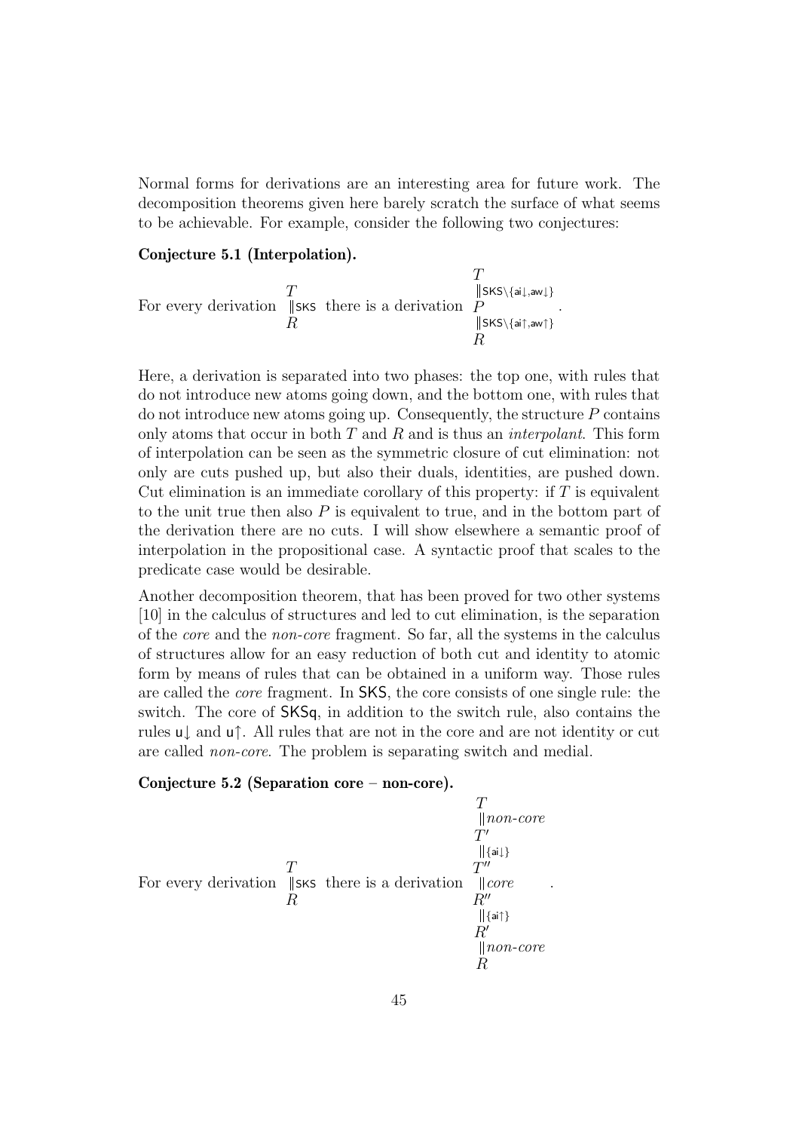Normal forms for derivations are an interesting area for future work. The decomposition theorems given here barely scratch the surface of what seems to be achievable. For example, consider the following two conjectures:

#### **Conjecture 5.1 (Interpolation).**

$$
\begin{array}{ccc}\n & T & \text{${\rm [[SKS\setminus\{ai\downarrow,aw\}\)}$}\\
 & \text{For every derivation} & \text{${\rm [[SKS\setminus\{ai\downarrow,aw\uparrow\})$} \\ & R & \text{${\rm [[SKS\setminus\{ai\uparrow,aw\uparrow\})$} \\ & R & \text{${\rm ]}}\n\end{array}.
$$

Here, a derivation is separated into two phases: the top one, with rules that do not introduce new atoms going down, and the bottom one, with rules that do not introduce new atoms going up. Consequently, the structure  $P$  contains only atoms that occur in both  $T$  and  $R$  and is thus an *interpolant*. This form of interpolation can be seen as the symmetric closure of cut elimination: not only are cuts pushed up, but also their duals, identities, are pushed down. Cut elimination is an immediate corollary of this property: if  $T$  is equivalent to the unit true then also  $P$  is equivalent to true, and in the bottom part of the derivation there are no cuts. I will show elsewhere a semantic proof of interpolation in the propositional case. A syntactic proof that scales to the predicate case would be desirable.

Another decomposition theorem, that has been proved for two other systems [\[10\]](#page-47-4) in the calculus of structures and led to cut elimination, is the separation of the core and the non-core fragment. So far, all the systems in the calculus of structures allow for an easy reduction of both cut and identity to atomic form by means of rules that can be obtained in a uniform way. Those rules are called the core fragment. In SKS, the core consists of one single rule: the switch. The core of SKSq, in addition to the switch rule, also contains the rules u↓ and u↑. All rules that are not in the core and are not identity or cut are called non-core. The problem is separating switch and medial.

#### **Conjecture 5.2 (Separation core – non-core).**

$$
\begin{array}{c}\nT \\
\parallel \text{non-core} \\
T' \\
\parallel \{\text{id}\}\n\end{array}
$$
\nFor every derivation 
$$
\begin{array}{c}\nT \\
\parallel \{\text{sixs}\} \\
R\n\end{array}
$$
 there is a derivation 
$$
\begin{array}{c}\nT'' \\
T'' \\
\parallel \{\text{core} \\
R'' \\
\parallel \{\text{air}\}\n\end{array}
$$
\n
$$
\begin{array}{c}\nR'' \\
\parallel \{\text{an}\} \\
R'\n\end{array}
$$

.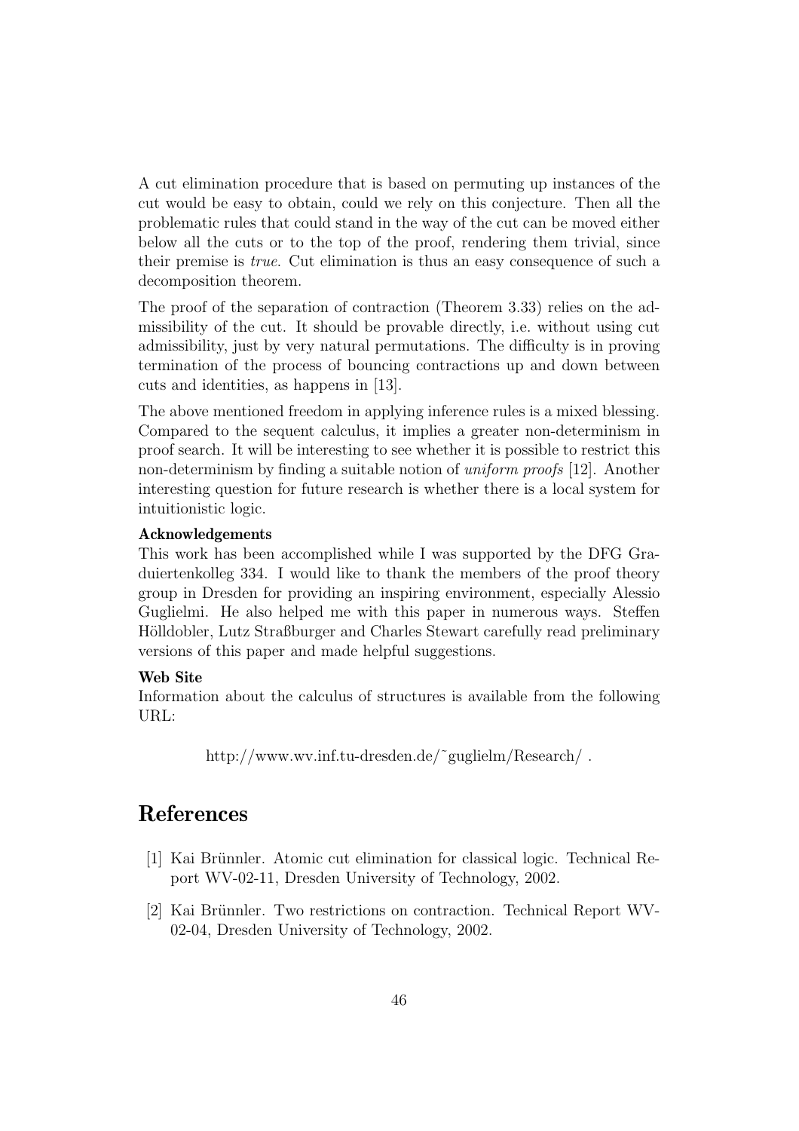A cut elimination procedure that is based on permuting up instances of the cut would be easy to obtain, could we rely on this conjecture. Then all the problematic rules that could stand in the way of the cut can be moved either below all the cuts or to the top of the proof, rendering them trivial, since their premise is true. Cut elimination is thus an easy consequence of such a decomposition theorem.

The proof of the separation of contraction (Theorem [3.33\)](#page-27-0) relies on the admissibility of the cut. It should be provable directly, i.e. without using cut admissibility, just by very natural permutations. The difficulty is in proving termination of the process of bouncing contractions up and down between cuts and identities, as happens in [\[13\]](#page-47-7).

The above mentioned freedom in applying inference rules is a mixed blessing. Compared to the sequent calculus, it implies a greater non-determinism in proof search. It will be interesting to see whether it is possible to restrict this non-determinism by finding a suitable notion of uniform proofs [\[12\]](#page-47-10). Another interesting question for future research is whether there is a local system for intuitionistic logic.

#### **Acknowledgements**

This work has been accomplished while I was supported by the DFG Graduiertenkolleg 334. I would like to thank the members of the proof theory group in Dresden for providing an inspiring environment, especially Alessio Guglielmi. He also helped me with this paper in numerous ways. Steffen Hölldobler, Lutz Straßburger and Charles Stewart carefully read preliminary versions of this paper and made helpful suggestions.

#### **Web Site**

Information about the calculus of structures is available from the following URL:

http://www.wv.inf.tu-dresden.de/˜guglielm/Research/ .

## <span id="page-46-1"></span>**References**

- [1] Kai Brünnler. Atomic cut elimination for classical logic. Technical Report WV-02-11, Dresden University of Technology, 2002.
- <span id="page-46-0"></span>[2] Kai Brünnler. Two restrictions on contraction. Technical Report WV-02-04, Dresden University of Technology, 2002.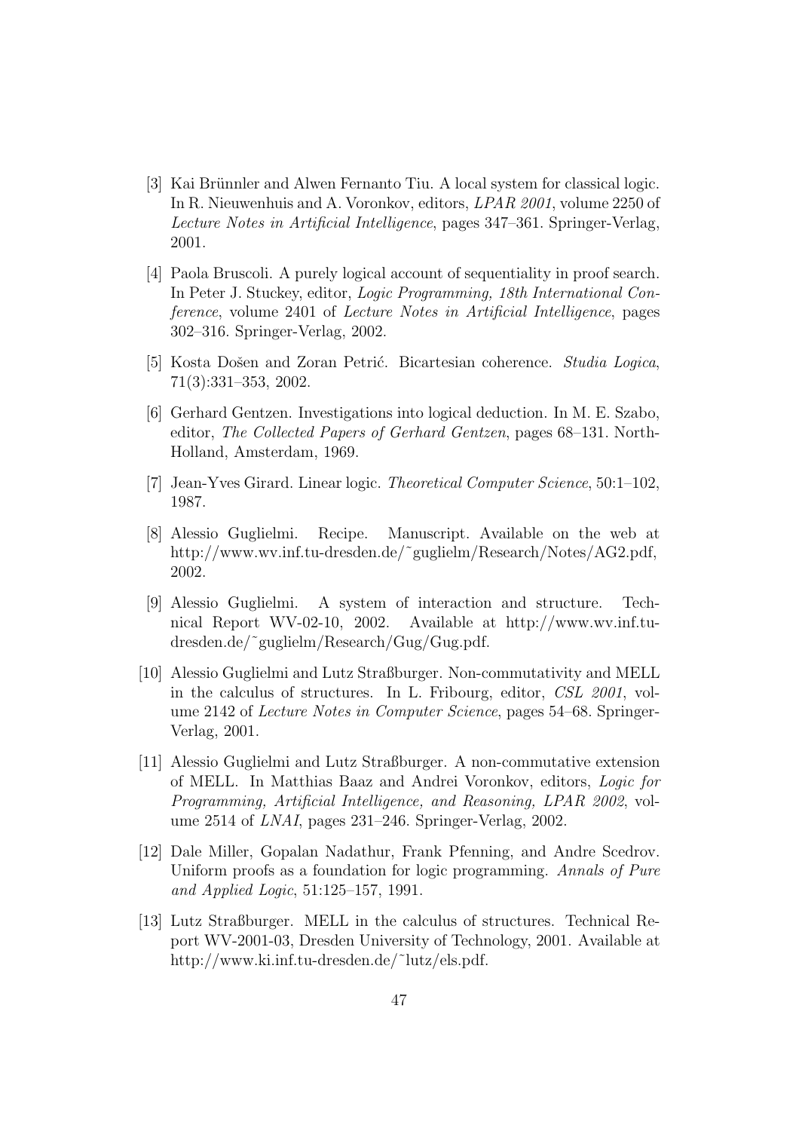- <span id="page-47-2"></span>[3] Kai Brünnler and Alwen Fernanto Tiu. A local system for classical logic. In R. Nieuwenhuis and A. Voronkov, editors, LPAR 2001, volume 2250 of Lecture Notes in Artificial Intelligence, pages 347–361. Springer-Verlag, 2001.
- <span id="page-47-6"></span>[4] Paola Bruscoli. A purely logical account of sequentiality in proof search. In Peter J. Stuckey, editor, Logic Programming, 18th International Conference, volume 2401 of Lecture Notes in Artificial Intelligence, pages 302–316. Springer-Verlag, 2002.
- <span id="page-47-8"></span><span id="page-47-0"></span>[5] Kosta Došen and Zoran Petrić. Bicartesian coherence. Studia Logica, 71(3):331–353, 2002.
- [6] Gerhard Gentzen. Investigations into logical deduction. In M. E. Szabo, editor, The Collected Papers of Gerhard Gentzen, pages 68–131. North-Holland, Amsterdam, 1969.
- <span id="page-47-9"></span><span id="page-47-1"></span>[7] Jean-Yves Girard. Linear logic. Theoretical Computer Science, 50:1–102, 1987.
- [8] Alessio Guglielmi. Recipe. Manuscript. Available on the web at http://www.wv.inf.tu-dresden.de/˜guglielm/Research/Notes/AG2.pdf, 2002.
- <span id="page-47-3"></span>[9] Alessio Guglielmi. A system of interaction and structure. Technical Report WV-02-10, 2002. Available at http://www.wv.inf.tudresden.de/˜guglielm/Research/Gug/Gug.pdf.
- <span id="page-47-4"></span>[10] Alessio Guglielmi and Lutz Straßburger. Non-commutativity and MELL in the calculus of structures. In L. Fribourg, editor, CSL 2001, volume 2142 of Lecture Notes in Computer Science, pages 54–68. Springer-Verlag, 2001.
- <span id="page-47-5"></span>[11] Alessio Guglielmi and Lutz Straßburger. A non-commutative extension of MELL. In Matthias Baaz and Andrei Voronkov, editors, Logic for Programming, Artificial Intelligence, and Reasoning, LPAR 2002, volume 2514 of LNAI, pages 231–246. Springer-Verlag, 2002.
- <span id="page-47-10"></span>[12] Dale Miller, Gopalan Nadathur, Frank Pfenning, and Andre Scedrov. Uniform proofs as a foundation for logic programming. Annals of Pure and Applied Logic, 51:125–157, 1991.
- <span id="page-47-7"></span>[13] Lutz Straßburger. MELL in the calculus of structures. Technical Report WV-2001-03, Dresden University of Technology, 2001. Available at http://www.ki.inf.tu-dresden.de/˜lutz/els.pdf.